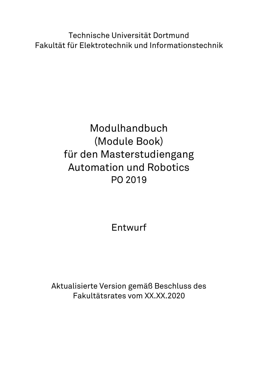Technische Universität Dortmund Fakultät für Elektrotechnik und Informationstechnik

## Modulhandbuch (Module Book) für den Masterstudiengang Automation und Robotics PO 2019

Entwurf

Aktualisierte Version gemäß Beschluss des Fakultätsrates vom XX.XX.2020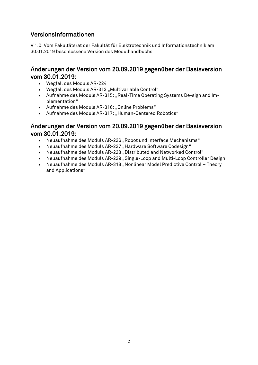### <span id="page-1-0"></span>Versionsinformationen

V 1.0: Vom Fakultätsrat der Fakultät für Elektrotechnik und Informationstechnik am 30.01.2019 beschlossene Version des Modulhandbuchs

### Änderungen der Version vom 20.09.2019 gegenüber der Basisversion vom 30.01.2019:

- Wegfall des Moduls AR-224
- Wegfall des Moduls AR-313 "Multivariable Control"
- Aufnahme des Moduls AR-315: "Real-Time Operating Systems De-sign and Implementation"
- Aufnahme des Moduls AR-316: "Online Problems"
- Aufnahme des Moduls AR-317: "Human-Centered Robotics"

### Änderungen der Version vom 20.09.2019 gegenüber der Basisversion vom 30.01.2019:

- Neuaufnahme des Moduls AR-226 "Robot und Interface Mechanisms"
- Neuaufnahme des Moduls AR-227 "Hardware Software Codesign"
- Neuaufnahme des Moduls AR-228 "Distributed and Networked Control"
- Neuaufnahme des Moduls AR-229 "Single-Loop and Multi-Loop Controller Design
- Neuaufnahme des Moduls AR-318 "Nonlinear Model Predictive Control Theory and Applications"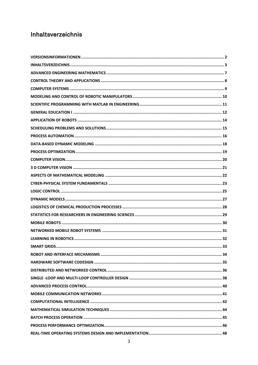### <span id="page-2-0"></span>Inhaltsverzeichnis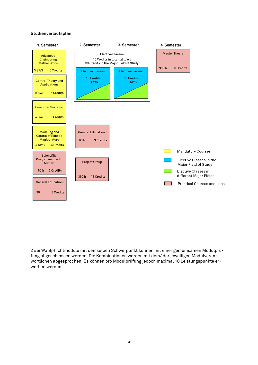#### Studienverlaufsplan



Zwei Wahlpflichtmodule mit demselben Schwerpunkt können mit einer gemeinsamen Modulprüfung abgeschlossen werden. Die Kombinationen werden mit dem/ der jeweiligen Modulverantwortlichen abgesprochen. Es können pro Modulprüfung jedoch maximal 10 Leistungspunkte erworben werden.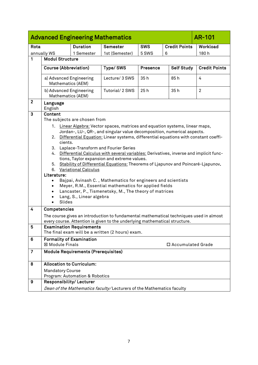<span id="page-6-0"></span>

|                | <b>Advanced Engineering Mathematics</b><br>AR-101                                |                                                                      |                                                                                                                                                                   |            |                      |                      |  |  |
|----------------|----------------------------------------------------------------------------------|----------------------------------------------------------------------|-------------------------------------------------------------------------------------------------------------------------------------------------------------------|------------|----------------------|----------------------|--|--|
| Rota           |                                                                                  | <b>Duration</b>                                                      | <b>Semester</b>                                                                                                                                                   | <b>SWS</b> | <b>Credit Points</b> | Workload             |  |  |
|                | annually WS                                                                      | 1 Semester                                                           | 1st (Semester)                                                                                                                                                    | 5 SWS      | 6                    | 180h                 |  |  |
| 1              | <b>Modul Structure</b>                                                           |                                                                      |                                                                                                                                                                   |            |                      |                      |  |  |
|                | <b>Course (Abbreviation)</b>                                                     |                                                                      | Type/SWS                                                                                                                                                          | Presence   | <b>Self Study</b>    | <b>Credit Points</b> |  |  |
|                | a) Advanced Engineering<br>Mathematics (AEM)                                     |                                                                      | Lecture/ 3 SWS                                                                                                                                                    | 35h        | 85h                  | 4                    |  |  |
|                | b) Advanced Engineering<br>Mathematics (AEM)                                     |                                                                      | Tutorial/2 SWS                                                                                                                                                    | 25h        | 35h                  | $\overline{c}$       |  |  |
| $\mathbf{2}$   | Language<br>English                                                              |                                                                      |                                                                                                                                                                   |            |                      |                      |  |  |
| 3              | Content                                                                          |                                                                      |                                                                                                                                                                   |            |                      |                      |  |  |
|                |                                                                                  | The subjects are chosen from                                         |                                                                                                                                                                   |            |                      |                      |  |  |
|                |                                                                                  |                                                                      | 1. Linear Algebra: Vector spaces, matrices and equation systems, linear maps,                                                                                     |            |                      |                      |  |  |
|                |                                                                                  |                                                                      | Jordan-, LU-, QR-, and singular value decomposition, numerical aspects.<br>2. Differential Equation: Linear systems, differential equations with constant coeffi- |            |                      |                      |  |  |
|                | cients.                                                                          |                                                                      |                                                                                                                                                                   |            |                      |                      |  |  |
|                | 3.                                                                               |                                                                      | Laplace-Transform and Fourier Series                                                                                                                              |            |                      |                      |  |  |
|                | 4.                                                                               |                                                                      | Differential Calculus with several variables: Derivatives, inverse and implicit func-                                                                             |            |                      |                      |  |  |
|                |                                                                                  |                                                                      | tions, Taylor expansion and extreme values.<br>Stability of Differential Equations: Theorems of Ljapunov and Poincaré-Ljapunov.                                   |            |                      |                      |  |  |
|                | 5.                                                                               | 6. Variational Calculus                                              |                                                                                                                                                                   |            |                      |                      |  |  |
|                | Literature:                                                                      |                                                                      |                                                                                                                                                                   |            |                      |                      |  |  |
|                | $\bullet$                                                                        |                                                                      | Bajpai, Avinash C., Mathematics for engineers and scientists                                                                                                      |            |                      |                      |  |  |
|                |                                                                                  |                                                                      | Meyer, R.M., Essential mathematics for applied fields                                                                                                             |            |                      |                      |  |  |
|                |                                                                                  |                                                                      | Lancaster, P., Tismenetsky, M., The theory of matrices                                                                                                            |            |                      |                      |  |  |
|                | Slides                                                                           | Lang, S., Linear algebra                                             |                                                                                                                                                                   |            |                      |                      |  |  |
| 4              | Competencies                                                                     |                                                                      |                                                                                                                                                                   |            |                      |                      |  |  |
|                |                                                                                  |                                                                      | The course gives an introduction to fundamental mathematical techniques used in almost                                                                            |            |                      |                      |  |  |
|                |                                                                                  |                                                                      | every course. Attention is given to the underlying mathematical structure.                                                                                        |            |                      |                      |  |  |
| 5              |                                                                                  | <b>Examination Requirements</b>                                      |                                                                                                                                                                   |            |                      |                      |  |  |
|                |                                                                                  |                                                                      | The final exam will be a written (2 hours) exam.                                                                                                                  |            |                      |                      |  |  |
| 6              | <b>Formality of Examination</b><br><b>図 Module Finals</b><br>□ Accumulated Grade |                                                                      |                                                                                                                                                                   |            |                      |                      |  |  |
| $\overline{7}$ |                                                                                  | <b>Module Requirements (Prerequisites)</b>                           |                                                                                                                                                                   |            |                      |                      |  |  |
| 8              |                                                                                  | <b>Allocation to Curriculum:</b>                                     |                                                                                                                                                                   |            |                      |                      |  |  |
|                | <b>Mandatory Course</b>                                                          |                                                                      |                                                                                                                                                                   |            |                      |                      |  |  |
|                |                                                                                  | Program: Automation & Robotics                                       |                                                                                                                                                                   |            |                      |                      |  |  |
| 9              | <b>Responsibility/Lecturer</b>                                                   |                                                                      |                                                                                                                                                                   |            |                      |                      |  |  |
|                |                                                                                  | Dean of the Mathematics faculty/Lecturers of the Mathematics faculty |                                                                                                                                                                   |            |                      |                      |  |  |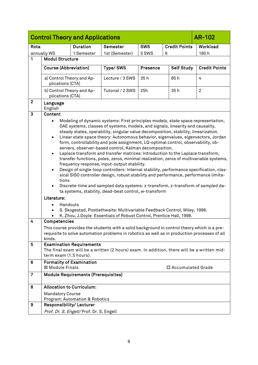<span id="page-7-0"></span>

|                | <b>Control Theory and Applications</b><br><b>AR-102</b>                                                                                                                                                                                                                                                                                                                                                                                                                                                                                                                                                                                                                                                                                                                                                                                                                                                                                                                                                                                                                                                                                                                                                                                    |                                            |                                                                                                                                                                                             |          |                     |                      |  |  |
|----------------|--------------------------------------------------------------------------------------------------------------------------------------------------------------------------------------------------------------------------------------------------------------------------------------------------------------------------------------------------------------------------------------------------------------------------------------------------------------------------------------------------------------------------------------------------------------------------------------------------------------------------------------------------------------------------------------------------------------------------------------------------------------------------------------------------------------------------------------------------------------------------------------------------------------------------------------------------------------------------------------------------------------------------------------------------------------------------------------------------------------------------------------------------------------------------------------------------------------------------------------------|--------------------------------------------|---------------------------------------------------------------------------------------------------------------------------------------------------------------------------------------------|----------|---------------------|----------------------|--|--|
| Rota           | <b>Credit Points</b><br><b>Duration</b><br><b>SWS</b><br>Workload<br>Semester                                                                                                                                                                                                                                                                                                                                                                                                                                                                                                                                                                                                                                                                                                                                                                                                                                                                                                                                                                                                                                                                                                                                                              |                                            |                                                                                                                                                                                             |          |                     |                      |  |  |
|                | annually WS                                                                                                                                                                                                                                                                                                                                                                                                                                                                                                                                                                                                                                                                                                                                                                                                                                                                                                                                                                                                                                                                                                                                                                                                                                | 1 Semester                                 | 1st (Semester)                                                                                                                                                                              | 5 SWS    | 6                   | 180h                 |  |  |
| 1              | <b>Modul Structure</b>                                                                                                                                                                                                                                                                                                                                                                                                                                                                                                                                                                                                                                                                                                                                                                                                                                                                                                                                                                                                                                                                                                                                                                                                                     |                                            |                                                                                                                                                                                             |          |                     |                      |  |  |
|                | <b>Course (Abbreviation)</b>                                                                                                                                                                                                                                                                                                                                                                                                                                                                                                                                                                                                                                                                                                                                                                                                                                                                                                                                                                                                                                                                                                                                                                                                               |                                            | Type/SWS                                                                                                                                                                                    | Presence | <b>Self Study</b>   | <b>Credit Points</b> |  |  |
|                | a) Control Theory and Ap-<br>plications (CTA)                                                                                                                                                                                                                                                                                                                                                                                                                                                                                                                                                                                                                                                                                                                                                                                                                                                                                                                                                                                                                                                                                                                                                                                              |                                            | Lecture / 3 SWS                                                                                                                                                                             | 35h      | 85h                 | 4                    |  |  |
|                | b) Control Theory and Ap-<br>plications (CTA)                                                                                                                                                                                                                                                                                                                                                                                                                                                                                                                                                                                                                                                                                                                                                                                                                                                                                                                                                                                                                                                                                                                                                                                              |                                            | Tutorial / 2 SWS                                                                                                                                                                            | 25h      | 35h                 | $\overline{2}$       |  |  |
| $\mathbf{2}$   | Language<br>English                                                                                                                                                                                                                                                                                                                                                                                                                                                                                                                                                                                                                                                                                                                                                                                                                                                                                                                                                                                                                                                                                                                                                                                                                        |                                            |                                                                                                                                                                                             |          |                     |                      |  |  |
| $\mathbf{3}$   | Content                                                                                                                                                                                                                                                                                                                                                                                                                                                                                                                                                                                                                                                                                                                                                                                                                                                                                                                                                                                                                                                                                                                                                                                                                                    |                                            |                                                                                                                                                                                             |          |                     |                      |  |  |
|                | Modeling of dynamic systems: First principles models, state space representation,<br>$\bullet$<br>DAE systems, classes of systems, models, and signals, linearity and causality,<br>steady states, operability, singular value decomposition, stability, linearization.<br>Linear state space theory: Autonomous behavior, eigenvalues, eigenvectors, Jordan<br>$\bullet$<br>form, controllability and pole assignment, LQ-optimal control, observability, ob-<br>servers, observer-based control, Kalman decomposition.<br>Laplace transform and transfer matrices: Introduction to the Laplace transform,<br>$\bullet$<br>transfer functions, poles, zeros, minimal realization, zeros of multivariable systems,<br>frequency response, input-output stability.<br>Design of single-loop controllers: Internal stability, performance specification, clas-<br>$\bullet$<br>sical SISO controller design, robust stability and performance, performance limita-<br>tions<br>Discrete-time and sampled data systems: z-transform, z-transform of sampled da-<br>$\bullet$<br>ta systems, stability, dead-beat control, w-transform<br>Literature:<br>Handouts<br>S. Skogestad, Postlethwaite: Multivariable Feedback Control, Wiley, 1996. |                                            |                                                                                                                                                                                             |          |                     |                      |  |  |
| 4              | Competencies<br>kinds.                                                                                                                                                                                                                                                                                                                                                                                                                                                                                                                                                                                                                                                                                                                                                                                                                                                                                                                                                                                                                                                                                                                                                                                                                     |                                            | This course provides the students with a solid background in control theory which is a pre-<br>requisite to solve automation problems in robotics as well as in production processes of all |          |                     |                      |  |  |
| 5              | term exam (1.5 hours).                                                                                                                                                                                                                                                                                                                                                                                                                                                                                                                                                                                                                                                                                                                                                                                                                                                                                                                                                                                                                                                                                                                                                                                                                     | <b>Examination Requirements</b>            | The final exam will be a written (2 hours) exam. In addition, there will be a written mid-                                                                                                  |          |                     |                      |  |  |
| 6              | <b>Formality of Examination</b><br><b>⊠ Module Finals</b>                                                                                                                                                                                                                                                                                                                                                                                                                                                                                                                                                                                                                                                                                                                                                                                                                                                                                                                                                                                                                                                                                                                                                                                  |                                            |                                                                                                                                                                                             |          | □ Accumulated Grade |                      |  |  |
| $\overline{7}$ |                                                                                                                                                                                                                                                                                                                                                                                                                                                                                                                                                                                                                                                                                                                                                                                                                                                                                                                                                                                                                                                                                                                                                                                                                                            | <b>Module Requirements (Prerequisites)</b> |                                                                                                                                                                                             |          |                     |                      |  |  |
| 8              | <b>Allocation to Curriculum:</b>                                                                                                                                                                                                                                                                                                                                                                                                                                                                                                                                                                                                                                                                                                                                                                                                                                                                                                                                                                                                                                                                                                                                                                                                           |                                            |                                                                                                                                                                                             |          |                     |                      |  |  |
|                | <b>Mandatory Course</b>                                                                                                                                                                                                                                                                                                                                                                                                                                                                                                                                                                                                                                                                                                                                                                                                                                                                                                                                                                                                                                                                                                                                                                                                                    |                                            |                                                                                                                                                                                             |          |                     |                      |  |  |
|                |                                                                                                                                                                                                                                                                                                                                                                                                                                                                                                                                                                                                                                                                                                                                                                                                                                                                                                                                                                                                                                                                                                                                                                                                                                            | Program: Automation & Robotics             |                                                                                                                                                                                             |          |                     |                      |  |  |
| 9              | Responsibility/Lecturer                                                                                                                                                                                                                                                                                                                                                                                                                                                                                                                                                                                                                                                                                                                                                                                                                                                                                                                                                                                                                                                                                                                                                                                                                    |                                            |                                                                                                                                                                                             |          |                     |                      |  |  |
|                | Prof. Dr. S. Engell/Prof. Dr. S. Engell                                                                                                                                                                                                                                                                                                                                                                                                                                                                                                                                                                                                                                                                                                                                                                                                                                                                                                                                                                                                                                                                                                                                                                                                    |                                            |                                                                                                                                                                                             |          |                     |                      |  |  |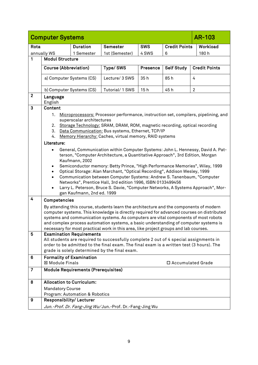<span id="page-8-0"></span>

|                  | <b>Computer Systems</b>                                                                                                                                                                                                                                                                                                                                                                                                                                                                                                                                                                                                                                        |                                            |                                                                                                                                                                                                                                                                                  |            |                      | <b>AR-103</b>        |
|------------------|----------------------------------------------------------------------------------------------------------------------------------------------------------------------------------------------------------------------------------------------------------------------------------------------------------------------------------------------------------------------------------------------------------------------------------------------------------------------------------------------------------------------------------------------------------------------------------------------------------------------------------------------------------------|--------------------------------------------|----------------------------------------------------------------------------------------------------------------------------------------------------------------------------------------------------------------------------------------------------------------------------------|------------|----------------------|----------------------|
| Rota             |                                                                                                                                                                                                                                                                                                                                                                                                                                                                                                                                                                                                                                                                | <b>Duration</b>                            | Semester                                                                                                                                                                                                                                                                         | <b>SWS</b> | <b>Credit Points</b> | Workload             |
|                  | annually WS                                                                                                                                                                                                                                                                                                                                                                                                                                                                                                                                                                                                                                                    | 1 Semester                                 | 1st (Semester)                                                                                                                                                                                                                                                                   | 4 SWS      | 6                    | 180h                 |
| 1                | <b>Modul Structure</b>                                                                                                                                                                                                                                                                                                                                                                                                                                                                                                                                                                                                                                         |                                            |                                                                                                                                                                                                                                                                                  |            |                      |                      |
|                  | <b>Course (Abbreviation)</b>                                                                                                                                                                                                                                                                                                                                                                                                                                                                                                                                                                                                                                   |                                            | Type/SWS                                                                                                                                                                                                                                                                         | Presence   | <b>Self Study</b>    | <b>Credit Points</b> |
|                  | a) Computer Systems (CS)                                                                                                                                                                                                                                                                                                                                                                                                                                                                                                                                                                                                                                       |                                            | Lecture/ 3 SWS                                                                                                                                                                                                                                                                   | 35h        | 85h                  | 4                    |
|                  |                                                                                                                                                                                                                                                                                                                                                                                                                                                                                                                                                                                                                                                                | b) Computer Systems (CS)                   | Tutorial/ 1 SWS                                                                                                                                                                                                                                                                  | 15h        | 45h                  | $\overline{2}$       |
| $\mathbf{2}$     | Language<br>English                                                                                                                                                                                                                                                                                                                                                                                                                                                                                                                                                                                                                                            |                                            |                                                                                                                                                                                                                                                                                  |            |                      |                      |
| 3                | Content                                                                                                                                                                                                                                                                                                                                                                                                                                                                                                                                                                                                                                                        |                                            |                                                                                                                                                                                                                                                                                  |            |                      |                      |
|                  | 1.<br>2.<br>3.<br>4.<br>Literature:                                                                                                                                                                                                                                                                                                                                                                                                                                                                                                                                                                                                                            | superscalar architectures                  | Microprocessors: Processor performance, instruction set, compilers, pipelining, and<br>Storage Technology: SRAM, DRAM, ROM, magnetic recording, optical recording<br>Data Communication: Bus systems, Ethernet, TCP/IP<br>Memory Hierarchy: Caches, virtual memory, RAID systems |            |                      |                      |
|                  | General, Communication within Computer Systems: John L. Hennessy, David A. Pat-<br>terson, "Computer Architecture, a Quantitative Approach", 3rd Edition, Morgan<br>Kaufmann, 2002<br>Semiconductor memory: Betty Prince, "High Performance Memories", Wiley, 1999<br>$\bullet$<br>Optical Storage: Alan Marchant, "Optical Recording", Addison Wesley, 1999<br>$\bullet$<br>Communication between Computer Systems: Andrew S. Tanenbaum, "Computer<br>$\bullet$<br>Networks", Prentice Hall, 3rd edition 1996, ISBN 0133499456<br>Larry L. Peterson, Bruce S. Davie, "Computer Networks, A Systems Approach", Mor-<br>$\bullet$<br>gan Kaufmann, 2nd ed. 1999 |                                            |                                                                                                                                                                                                                                                                                  |            |                      |                      |
| $\overline{4}$   | Competencies                                                                                                                                                                                                                                                                                                                                                                                                                                                                                                                                                                                                                                                   |                                            |                                                                                                                                                                                                                                                                                  |            |                      |                      |
|                  | By attending this course, students learn the architecture and the components of modern<br>computer systems. This knowledge is directly required for advanced courses on distributed<br>systems and communication systems. As computers are vital components of most robots<br>and complex process automation systems, a basic understanding of computer systems is<br>necessary for most practical work in this area, like project groups and lab courses.                                                                                                                                                                                                     |                                            |                                                                                                                                                                                                                                                                                  |            |                      |                      |
| $\overline{5}$   | <b>Examination Requirements</b><br>All students are required to successfully complete 2 out of 4 special assignments in<br>order to be admitted to the final exam. The final exam is a written test (3 hours). The<br>grade is solely determined by the final exam.                                                                                                                                                                                                                                                                                                                                                                                            |                                            |                                                                                                                                                                                                                                                                                  |            |                      |                      |
| 6                | <b>Formality of Examination</b><br>⊠ Module Finals                                                                                                                                                                                                                                                                                                                                                                                                                                                                                                                                                                                                             |                                            |                                                                                                                                                                                                                                                                                  |            | □ Accumulated Grade  |                      |
| $\overline{7}$   |                                                                                                                                                                                                                                                                                                                                                                                                                                                                                                                                                                                                                                                                | <b>Module Requirements (Prerequisites)</b> |                                                                                                                                                                                                                                                                                  |            |                      |                      |
| 8                | <b>Allocation to Curriculum:</b>                                                                                                                                                                                                                                                                                                                                                                                                                                                                                                                                                                                                                               |                                            |                                                                                                                                                                                                                                                                                  |            |                      |                      |
|                  | <b>Mandatory Course</b>                                                                                                                                                                                                                                                                                                                                                                                                                                                                                                                                                                                                                                        |                                            |                                                                                                                                                                                                                                                                                  |            |                      |                      |
|                  |                                                                                                                                                                                                                                                                                                                                                                                                                                                                                                                                                                                                                                                                | Program: Automation & Robotics             |                                                                                                                                                                                                                                                                                  |            |                      |                      |
| $\boldsymbol{9}$ | Responsibility/Lecturer                                                                                                                                                                                                                                                                                                                                                                                                                                                                                                                                                                                                                                        |                                            |                                                                                                                                                                                                                                                                                  |            |                      |                      |
|                  | Jun.-Prof. Dr. Fang-Jing Wu/Jun.-Prof. Dr.-Fang-Jing Wu                                                                                                                                                                                                                                                                                                                                                                                                                                                                                                                                                                                                        |                                            |                                                                                                                                                                                                                                                                                  |            |                      |                      |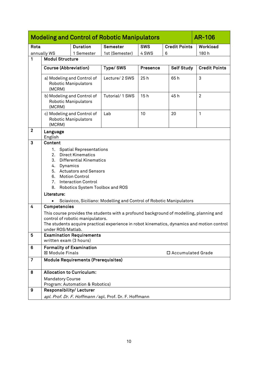<span id="page-9-0"></span>

|                | <b>Modeling and Control of Robotic Manipulators</b><br><b>AR-106</b>                                                                                                                                                                                                               |                                                           |                                                                                            |                 |                      |                      |  |  |
|----------------|------------------------------------------------------------------------------------------------------------------------------------------------------------------------------------------------------------------------------------------------------------------------------------|-----------------------------------------------------------|--------------------------------------------------------------------------------------------|-----------------|----------------------|----------------------|--|--|
| Rota           |                                                                                                                                                                                                                                                                                    | <b>Duration</b>                                           | Semester                                                                                   | <b>SWS</b>      | <b>Credit Points</b> | Workload             |  |  |
|                | annually WS                                                                                                                                                                                                                                                                        | 1 Semester                                                | 1st (Semester)                                                                             | 4 SWS           | 6                    | 180h                 |  |  |
| 1              | <b>Modul Structure</b>                                                                                                                                                                                                                                                             |                                                           |                                                                                            |                 |                      |                      |  |  |
|                | <b>Course (Abbreviation)</b>                                                                                                                                                                                                                                                       |                                                           | Type/SWS                                                                                   | <b>Presence</b> | <b>Self Study</b>    | <b>Credit Points</b> |  |  |
|                | (MCRM)                                                                                                                                                                                                                                                                             | a) Modeling and Control of<br><b>Robotic Manipulators</b> | Lecture/ 2 SWS                                                                             | 25h             | 65h                  | 3                    |  |  |
|                | (MCRM)                                                                                                                                                                                                                                                                             | b) Modeling and Control of<br>Robotic Manipulators        | Tutorial/1 SWS                                                                             | 15h             | 45h                  | $\overline{2}$       |  |  |
|                | (MCRM)                                                                                                                                                                                                                                                                             | c) Modeling and Control of<br>Robotic Manipulators        | Lab                                                                                        | 10              | 20                   | 1                    |  |  |
| $\mathbf{2}$   | Language<br>English                                                                                                                                                                                                                                                                |                                                           |                                                                                            |                 |                      |                      |  |  |
| 3              | Content                                                                                                                                                                                                                                                                            |                                                           |                                                                                            |                 |                      |                      |  |  |
|                | 1.<br><b>Spatial Representations</b><br><b>Direct Kinematics</b><br>2.<br>3.<br><b>Differential Kinematics</b><br>Dynamics<br>4.<br><b>Actuators and Sensors</b><br>5.<br><b>Motion Control</b><br>6.<br><b>Interaction Control</b><br>7.<br>Robotics System Toolbox and ROS<br>8. |                                                           |                                                                                            |                 |                      |                      |  |  |
|                | Literature:                                                                                                                                                                                                                                                                        |                                                           |                                                                                            |                 |                      |                      |  |  |
|                |                                                                                                                                                                                                                                                                                    |                                                           | Sciavicco, Siciliano: Modelling and Control of Robotic Manipulators                        |                 |                      |                      |  |  |
| 4              | Competencies                                                                                                                                                                                                                                                                       |                                                           |                                                                                            |                 |                      |                      |  |  |
|                |                                                                                                                                                                                                                                                                                    | control of robotic manipulators.                          | This course provides the students with a profound background of modelling, planning and    |                 |                      |                      |  |  |
|                | under ROS/Matlab.                                                                                                                                                                                                                                                                  |                                                           | The students acquire practical experience in robot kinematics, dynamics and motion control |                 |                      |                      |  |  |
| $\overline{5}$ | written exam (3 hours)                                                                                                                                                                                                                                                             | <b>Examination Requirements</b>                           |                                                                                            |                 |                      |                      |  |  |
| 6              |                                                                                                                                                                                                                                                                                    | <b>Formality of Examination</b>                           |                                                                                            |                 |                      |                      |  |  |
|                | 図 Module Finals                                                                                                                                                                                                                                                                    |                                                           |                                                                                            |                 | □ Accumulated Grade  |                      |  |  |
| $\overline{7}$ |                                                                                                                                                                                                                                                                                    | <b>Module Requirements (Prerequisites)</b>                |                                                                                            |                 |                      |                      |  |  |
| 8              |                                                                                                                                                                                                                                                                                    | <b>Allocation to Curriculum:</b>                          |                                                                                            |                 |                      |                      |  |  |
|                | <b>Mandatory Course</b>                                                                                                                                                                                                                                                            |                                                           |                                                                                            |                 |                      |                      |  |  |
|                |                                                                                                                                                                                                                                                                                    | Program: Automation & Robotics)                           |                                                                                            |                 |                      |                      |  |  |
| 9              | Responsibility/Lecturer                                                                                                                                                                                                                                                            |                                                           |                                                                                            |                 |                      |                      |  |  |
|                |                                                                                                                                                                                                                                                                                    | apl. Prof. Dr. F. Hoffmann / apl. Prof. Dr. F. Hoffmann   |                                                                                            |                 |                      |                      |  |  |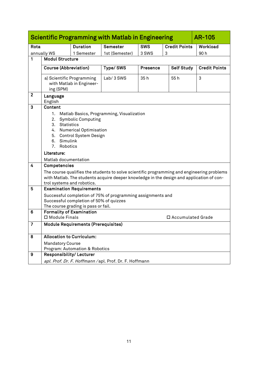<span id="page-10-0"></span>

|                |                                                                                                                                                                                                                         |                                                                                | <b>Scientific Programming with Matlab in Engineering</b>                                                                                                                               |                 |   |                   | <b>AR-105</b>        |
|----------------|-------------------------------------------------------------------------------------------------------------------------------------------------------------------------------------------------------------------------|--------------------------------------------------------------------------------|----------------------------------------------------------------------------------------------------------------------------------------------------------------------------------------|-----------------|---|-------------------|----------------------|
| Rota           | <b>SWS</b><br><b>Duration</b><br>Semester<br><b>Credit Points</b>                                                                                                                                                       |                                                                                |                                                                                                                                                                                        |                 |   |                   | Workload             |
|                | annually WS                                                                                                                                                                                                             | 1 Semester                                                                     | 1st (Semester)                                                                                                                                                                         | 3 SWS           | 3 |                   | 90h                  |
| 1              | <b>Modul Structure</b>                                                                                                                                                                                                  |                                                                                |                                                                                                                                                                                        |                 |   |                   |                      |
|                |                                                                                                                                                                                                                         | <b>Course (Abbreviation)</b>                                                   | Type/SWS                                                                                                                                                                               | <b>Presence</b> |   | <b>Self Study</b> | <b>Credit Points</b> |
|                |                                                                                                                                                                                                                         | a) Scientific Programming                                                      | Lab/3 SWS                                                                                                                                                                              | 35h             |   | 55h               | 3                    |
|                | ing (SPM)                                                                                                                                                                                                               | with Matlab in Engineer-                                                       |                                                                                                                                                                                        |                 |   |                   |                      |
| $\mathbf{2}$   | Language<br>English                                                                                                                                                                                                     |                                                                                |                                                                                                                                                                                        |                 |   |                   |                      |
| 3              | Content                                                                                                                                                                                                                 |                                                                                |                                                                                                                                                                                        |                 |   |                   |                      |
|                | Matlab Basics, Programming, Visualization<br>1.<br><b>Symbolic Computing</b><br>2.<br><b>Statistics</b><br>3.<br><b>Numerical Optimisation</b><br>4.<br>Control System Design<br>5.<br>Simulink<br>6.<br>7.<br>Robotics |                                                                                |                                                                                                                                                                                        |                 |   |                   |                      |
|                | Literature:                                                                                                                                                                                                             |                                                                                |                                                                                                                                                                                        |                 |   |                   |                      |
|                |                                                                                                                                                                                                                         | Matlab documentation                                                           |                                                                                                                                                                                        |                 |   |                   |                      |
| 4              | <b>Competencies</b>                                                                                                                                                                                                     |                                                                                |                                                                                                                                                                                        |                 |   |                   |                      |
|                |                                                                                                                                                                                                                         | trol systems and robotics.                                                     | The course qualifies the students to solve scientific programming and engineering problems<br>with Matlab. The students acquire deeper knowledge in the design and application of con- |                 |   |                   |                      |
| 5              |                                                                                                                                                                                                                         | <b>Examination Requirements</b>                                                |                                                                                                                                                                                        |                 |   |                   |                      |
|                |                                                                                                                                                                                                                         |                                                                                | Successful completion of 75% of programming assignments and                                                                                                                            |                 |   |                   |                      |
|                |                                                                                                                                                                                                                         | Successful completion of 50% of quizzes<br>The course grading is pass or fail. |                                                                                                                                                                                        |                 |   |                   |                      |
| $6\phantom{1}$ |                                                                                                                                                                                                                         | <b>Formality of Examination</b>                                                |                                                                                                                                                                                        |                 |   |                   |                      |
|                | □ Module Finals<br>□ Accumulated Grade                                                                                                                                                                                  |                                                                                |                                                                                                                                                                                        |                 |   |                   |                      |
| $\overline{7}$ |                                                                                                                                                                                                                         | <b>Module Requirements (Prerequisites)</b>                                     |                                                                                                                                                                                        |                 |   |                   |                      |
| 8              |                                                                                                                                                                                                                         | <b>Allocation to Curriculum:</b>                                               |                                                                                                                                                                                        |                 |   |                   |                      |
|                | <b>Mandatory Course</b>                                                                                                                                                                                                 |                                                                                |                                                                                                                                                                                        |                 |   |                   |                      |
|                |                                                                                                                                                                                                                         | Program: Automation & Robotics                                                 |                                                                                                                                                                                        |                 |   |                   |                      |
| 9              |                                                                                                                                                                                                                         | <b>Responsibility/Lecturer</b>                                                 |                                                                                                                                                                                        |                 |   |                   |                      |
|                |                                                                                                                                                                                                                         |                                                                                | apl. Prof. Dr. F. Hoffmann / apl. Prof. Dr. F. Hoffmann                                                                                                                                |                 |   |                   |                      |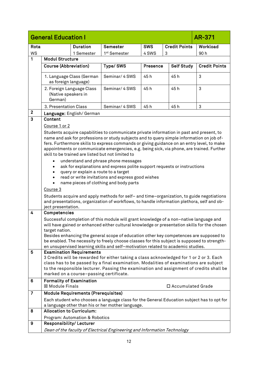<span id="page-11-0"></span>

|                | <b>General Education I</b>                                                                                                                                                                                                                                                                                                                                                                                                                    |                                            |                                                                                                                                                                                                                                                                                                                                                                                                                                                                                                                                                                                                                                                                                                                                                                                                                                                                                             |                 |                      | AR-371               |
|----------------|-----------------------------------------------------------------------------------------------------------------------------------------------------------------------------------------------------------------------------------------------------------------------------------------------------------------------------------------------------------------------------------------------------------------------------------------------|--------------------------------------------|---------------------------------------------------------------------------------------------------------------------------------------------------------------------------------------------------------------------------------------------------------------------------------------------------------------------------------------------------------------------------------------------------------------------------------------------------------------------------------------------------------------------------------------------------------------------------------------------------------------------------------------------------------------------------------------------------------------------------------------------------------------------------------------------------------------------------------------------------------------------------------------------|-----------------|----------------------|----------------------|
| Rota           |                                                                                                                                                                                                                                                                                                                                                                                                                                               | <b>Duration</b>                            | <b>Semester</b>                                                                                                                                                                                                                                                                                                                                                                                                                                                                                                                                                                                                                                                                                                                                                                                                                                                                             | <b>SWS</b>      | <b>Credit Points</b> | Workload             |
| <b>WS</b>      |                                                                                                                                                                                                                                                                                                                                                                                                                                               | 1 Semester                                 | 1 <sup>st</sup> Semester                                                                                                                                                                                                                                                                                                                                                                                                                                                                                                                                                                                                                                                                                                                                                                                                                                                                    | 4 SWS           | 3                    | 90h                  |
| 1              | <b>Modul Structure</b>                                                                                                                                                                                                                                                                                                                                                                                                                        |                                            |                                                                                                                                                                                                                                                                                                                                                                                                                                                                                                                                                                                                                                                                                                                                                                                                                                                                                             |                 |                      |                      |
|                | <b>Course (Abbreviation)</b>                                                                                                                                                                                                                                                                                                                                                                                                                  |                                            | Type/SWS                                                                                                                                                                                                                                                                                                                                                                                                                                                                                                                                                                                                                                                                                                                                                                                                                                                                                    | <b>Presence</b> | <b>Self Study</b>    | <b>Credit Points</b> |
|                | as foreign language)                                                                                                                                                                                                                                                                                                                                                                                                                          | 1. Language Class (German                  | Seminar/ 4 SWS                                                                                                                                                                                                                                                                                                                                                                                                                                                                                                                                                                                                                                                                                                                                                                                                                                                                              | 45 h            | 45h                  | 3                    |
|                | 2. Foreign Language Class<br>(Native speakers in<br>German)                                                                                                                                                                                                                                                                                                                                                                                   |                                            | Seminar/ 4 SWS                                                                                                                                                                                                                                                                                                                                                                                                                                                                                                                                                                                                                                                                                                                                                                                                                                                                              | 45h             | 45h                  | 3                    |
|                | 3. Presentation Class                                                                                                                                                                                                                                                                                                                                                                                                                         |                                            | Seminar/ 4 SWS                                                                                                                                                                                                                                                                                                                                                                                                                                                                                                                                                                                                                                                                                                                                                                                                                                                                              | 45h             | 45h                  | 3                    |
| $\mathbf{2}$   |                                                                                                                                                                                                                                                                                                                                                                                                                                               | Language: English/German                   |                                                                                                                                                                                                                                                                                                                                                                                                                                                                                                                                                                                                                                                                                                                                                                                                                                                                                             |                 |                      |                      |
| 3              | Content<br>Course 1 or 2<br>Course 3<br>ject presentation.                                                                                                                                                                                                                                                                                                                                                                                    |                                            | Students acquire capabilities to communicate private information in past and present, to<br>name and ask for professions or study subjects and to query simple information on job of-<br>fers. Furthermore skills to express commands or giving guidance on an entry level, to make<br>appointments or communicate emergencies, e.g. being sick, via phone, are trained. Further<br>skill to be trained are listed but not limited to<br>understand and phrase phone messages<br>ask for explanations and express polite support requests or instructions<br>query or explain a route to a target<br>read or write invitations and express good wishes<br>name pieces of clothing and body parts<br>Students acquire and apply methods for self- and time-organization, to guide negotiations<br>and presentations, organization of workflows, to handle information plethora, self and ob- |                 |                      |                      |
| $\overline{4}$ | Competencies<br>Successful completion of this module will grant knowledge of a non-native language and<br>will have gained or enhanced either cultural knowledge or presentation skills for the chosen<br>target nation.<br>Besides enhancing the general scope of education other key competences are supposed to<br>be enabled. The necessity to freely choose classes for this subject is supposed to strength-                            |                                            |                                                                                                                                                                                                                                                                                                                                                                                                                                                                                                                                                                                                                                                                                                                                                                                                                                                                                             |                 |                      |                      |
| 5              | en unsupervised learning skills and self-motivation related to academic studies.<br><b>Examination Requirements</b><br>3 Credits will be rewarded for either taking a class acknowledged for 1 or 2 or 3. Each<br>class has to be passed by a final examination. Modalities of examinations are subject<br>to the responsible lecturer. Passing the examination and assignment of credits shall be<br>marked on a course-passing certificate. |                                            |                                                                                                                                                                                                                                                                                                                                                                                                                                                                                                                                                                                                                                                                                                                                                                                                                                                                                             |                 |                      |                      |
| 6              | <b>Formality of Examination</b><br>⊠ Module Finals                                                                                                                                                                                                                                                                                                                                                                                            |                                            |                                                                                                                                                                                                                                                                                                                                                                                                                                                                                                                                                                                                                                                                                                                                                                                                                                                                                             |                 | □ Accumulated Grade  |                      |
| $\overline{7}$ |                                                                                                                                                                                                                                                                                                                                                                                                                                               | <b>Module Requirements (Prerequisites)</b> |                                                                                                                                                                                                                                                                                                                                                                                                                                                                                                                                                                                                                                                                                                                                                                                                                                                                                             |                 |                      |                      |
|                |                                                                                                                                                                                                                                                                                                                                                                                                                                               |                                            | Each student who chooses a language class for the General Education subject has to opt for<br>a language other than his or her mother language.                                                                                                                                                                                                                                                                                                                                                                                                                                                                                                                                                                                                                                                                                                                                             |                 |                      |                      |
| 8              | Allocation to Curriculum:                                                                                                                                                                                                                                                                                                                                                                                                                     |                                            |                                                                                                                                                                                                                                                                                                                                                                                                                                                                                                                                                                                                                                                                                                                                                                                                                                                                                             |                 |                      |                      |
|                |                                                                                                                                                                                                                                                                                                                                                                                                                                               | Program: Automation & Robotics             |                                                                                                                                                                                                                                                                                                                                                                                                                                                                                                                                                                                                                                                                                                                                                                                                                                                                                             |                 |                      |                      |
| 9              | Responsibility/Lecturer                                                                                                                                                                                                                                                                                                                                                                                                                       |                                            |                                                                                                                                                                                                                                                                                                                                                                                                                                                                                                                                                                                                                                                                                                                                                                                                                                                                                             |                 |                      |                      |
|                |                                                                                                                                                                                                                                                                                                                                                                                                                                               |                                            | Dean of the faculty of Electrical Engineering and Information Technology                                                                                                                                                                                                                                                                                                                                                                                                                                                                                                                                                                                                                                                                                                                                                                                                                    |                 |                      |                      |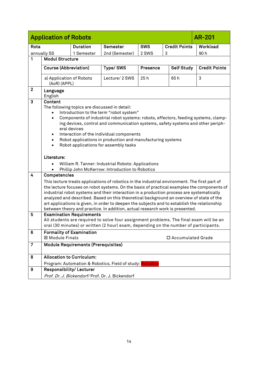<span id="page-13-0"></span>

|                | <b>Application of Robots</b>                                                                                                                                                                                                                                                                                                                                                                                                                                                                                                                                                                                           |                                                                          |                                                          |          |   |                     | <b>AR-201</b>        |
|----------------|------------------------------------------------------------------------------------------------------------------------------------------------------------------------------------------------------------------------------------------------------------------------------------------------------------------------------------------------------------------------------------------------------------------------------------------------------------------------------------------------------------------------------------------------------------------------------------------------------------------------|--------------------------------------------------------------------------|----------------------------------------------------------|----------|---|---------------------|----------------------|
| Rota           |                                                                                                                                                                                                                                                                                                                                                                                                                                                                                                                                                                                                                        | <b>SWS</b><br><b>Credit Points</b><br><b>Duration</b><br><b>Semester</b> |                                                          |          |   |                     | Workload             |
|                | annually SS                                                                                                                                                                                                                                                                                                                                                                                                                                                                                                                                                                                                            | 1 Semester                                                               | 2nd (Semester)                                           | 2 SWS    | 3 |                     | 90 h                 |
| 1              | <b>Modul Structure</b>                                                                                                                                                                                                                                                                                                                                                                                                                                                                                                                                                                                                 |                                                                          |                                                          |          |   |                     |                      |
|                | <b>Course (Abbreviation)</b>                                                                                                                                                                                                                                                                                                                                                                                                                                                                                                                                                                                           |                                                                          | Type/SWS                                                 | Presence |   | <b>Self Study</b>   | <b>Credit Points</b> |
|                | a) Application of Robots<br>(AoR) (APPL)                                                                                                                                                                                                                                                                                                                                                                                                                                                                                                                                                                               |                                                                          | Lecture/ 2 SWS                                           | 25h      |   | 65h                 | 3                    |
| $\mathbf{2}$   | Language<br>English                                                                                                                                                                                                                                                                                                                                                                                                                                                                                                                                                                                                    |                                                                          |                                                          |          |   |                     |                      |
| $\mathbf{3}$   | <b>Content</b><br>The following topics are discussed in detail:<br>Introduction to the term "robot system"<br>Components of industrial robot systems: robots, effectors, feeding systems, clamp-<br>$\bullet$<br>ing devices, control and communication systems, safety systems and other periph-<br>eral devices<br>Interaction of the individual components<br>Robot applications in production and manufacturing systems<br>$\bullet$<br>Robot applications for assembly tasks<br>$\bullet$<br>Literature:<br>William R. Tanner: Industrial Robots: Applications<br>Phillip John McKerrow: Introduction to Robotics |                                                                          |                                                          |          |   |                     |                      |
| $\overline{4}$ | Competencies<br>This lecture treats applications of robotics in the industrial environment. The first part of<br>the lecture focuses on robot systems. On the basis of practical examples the components of<br>industrial robot systems and their interaction in a production process are systematically<br>analyzed and described. Based on this theoretical background an overview of state of the<br>art applications is given, in order to deepen the subjects and to establish the relationship<br>between theory and practice. In addition, actual research work is presented.                                   |                                                                          |                                                          |          |   |                     |                      |
| 5              | <b>Examination Requirements</b><br>All students are required to solve four assignment problems. The final exam will be an<br>oral (30 minutes) or written (2 hour) exam, depending on the number of participants.                                                                                                                                                                                                                                                                                                                                                                                                      |                                                                          |                                                          |          |   |                     |                      |
| 6              | <b>⊠ Module Finals</b>                                                                                                                                                                                                                                                                                                                                                                                                                                                                                                                                                                                                 | <b>Formality of Examination</b>                                          |                                                          |          |   | □ Accumulated Grade |                      |
| $\overline{7}$ |                                                                                                                                                                                                                                                                                                                                                                                                                                                                                                                                                                                                                        | <b>Module Requirements (Prerequisites)</b>                               |                                                          |          |   |                     |                      |
| 8              | <b>Allocation to Curriculum:</b>                                                                                                                                                                                                                                                                                                                                                                                                                                                                                                                                                                                       |                                                                          | Program: Automation & Robotics, Field of study: Robotics |          |   |                     |                      |
| 9              |                                                                                                                                                                                                                                                                                                                                                                                                                                                                                                                                                                                                                        |                                                                          |                                                          |          |   |                     |                      |
|                | Responsibility/Lecturer<br>Prof. Dr. J. Bickendorf/Prof. Dr. J. Bickendorf                                                                                                                                                                                                                                                                                                                                                                                                                                                                                                                                             |                                                                          |                                                          |          |   |                     |                      |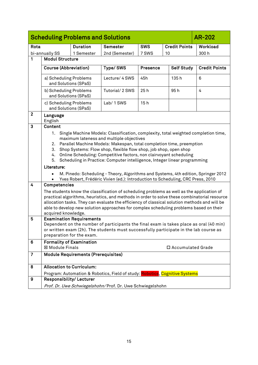<span id="page-14-0"></span>

|                | <b>Scheduling Problems and Solutions</b><br><b>AR-202</b>                                                                                                                                                                                                                                                                                                                                                                                                              |                                            |                                                                                                                                                                       |            |    |                      |                      |
|----------------|------------------------------------------------------------------------------------------------------------------------------------------------------------------------------------------------------------------------------------------------------------------------------------------------------------------------------------------------------------------------------------------------------------------------------------------------------------------------|--------------------------------------------|-----------------------------------------------------------------------------------------------------------------------------------------------------------------------|------------|----|----------------------|----------------------|
| Rota           |                                                                                                                                                                                                                                                                                                                                                                                                                                                                        | <b>Duration</b>                            | Semester                                                                                                                                                              | <b>SWS</b> |    | <b>Credit Points</b> | Workload             |
|                | bi-annually SS                                                                                                                                                                                                                                                                                                                                                                                                                                                         | 1 Semester                                 | 2nd (Semester)                                                                                                                                                        | 7 SWS      | 10 |                      | 300h                 |
| 1              | <b>Modul Structure</b>                                                                                                                                                                                                                                                                                                                                                                                                                                                 |                                            |                                                                                                                                                                       |            |    |                      |                      |
|                | <b>Course (Abbreviation)</b>                                                                                                                                                                                                                                                                                                                                                                                                                                           |                                            | Type/SWS                                                                                                                                                              | Presence   |    | <b>Self Study</b>    | <b>Credit Points</b> |
|                | a) Scheduling Problems                                                                                                                                                                                                                                                                                                                                                                                                                                                 | and Solutions (SPaS)                       | Lecture/ 4 SWS                                                                                                                                                        | 45h        |    | 135h                 | 6                    |
|                | b) Scheduling Problems<br>and Solutions (SPaS)                                                                                                                                                                                                                                                                                                                                                                                                                         |                                            | Tutorial/2 SWS                                                                                                                                                        | 25h        |    | 95h                  | 4                    |
|                | c) Scheduling Problems<br>and Solutions (SPaS)                                                                                                                                                                                                                                                                                                                                                                                                                         |                                            | Lab/1SWS                                                                                                                                                              | 15h        |    |                      |                      |
| $\overline{2}$ | Language<br>English                                                                                                                                                                                                                                                                                                                                                                                                                                                    |                                            |                                                                                                                                                                       |            |    |                      |                      |
| 3              | Content<br>Single Machine Models: Classification, complexity, total weighted completion time,<br>1.<br>maximum lateness and multiple objectives<br>Parallel Machine Models: Makespan, total completion time, preemption<br>2.<br>Shop Systems: Flow shop, flexible flow shop, job shop, open shop<br>3.<br>Online Scheduling: Competitive factors, non clairvoyant scheduling<br>4.<br>Scheduling in Practice: Computer intelligence, Integer linear programming<br>5. |                                            |                                                                                                                                                                       |            |    |                      |                      |
|                | Literature:                                                                                                                                                                                                                                                                                                                                                                                                                                                            |                                            | M. Pinedo: Scheduling - Theory, Algorithms and Systems, 4th edition, Springer 2012<br>Yves Robert, Frédéric Vivien (ed.): Introduction to Scheduling, CRC Press, 2010 |            |    |                      |                      |
| $\overline{4}$ | Competencies                                                                                                                                                                                                                                                                                                                                                                                                                                                           |                                            |                                                                                                                                                                       |            |    |                      |                      |
|                | The students know the classification of scheduling problems as well as the application of<br>practical algorithms, heuristics, and methods in order to solve these combinatorial resource<br>allocation tasks. They can evaluate the efficiency of classical solution methods and will be<br>able to develop new solution approaches for complex scheduling problems based on their<br>acquired knowledge.                                                             |                                            |                                                                                                                                                                       |            |    |                      |                      |
| 5              | <b>Examination Requirements</b><br>Dependent on the number of participants the final exam is takes place as oral (40 min)<br>or written exam (2h). The students must successfully participate in the lab course as<br>preparation for the exam.                                                                                                                                                                                                                        |                                            |                                                                                                                                                                       |            |    |                      |                      |
| 6              | <b>⊠ Module Finals</b>                                                                                                                                                                                                                                                                                                                                                                                                                                                 | <b>Formality of Examination</b>            |                                                                                                                                                                       |            |    | □ Accumulated Grade  |                      |
| $\overline{7}$ |                                                                                                                                                                                                                                                                                                                                                                                                                                                                        | <b>Module Requirements (Prerequisites)</b> |                                                                                                                                                                       |            |    |                      |                      |
| 8              |                                                                                                                                                                                                                                                                                                                                                                                                                                                                        | <b>Allocation to Curriculum:</b>           | Program: Automation & Robotics, Field of study: Robotics, Cognitive Systems                                                                                           |            |    |                      |                      |
| 9              | Responsibility/Lecturer<br>Prof. Dr. Uwe Schwiegelshohn/Prof. Dr. Uwe Schwiegelshohn                                                                                                                                                                                                                                                                                                                                                                                   |                                            |                                                                                                                                                                       |            |    |                      |                      |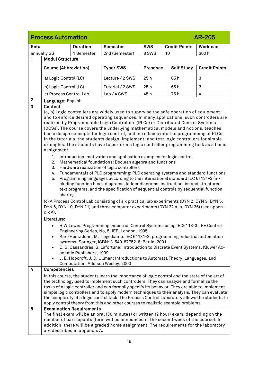<span id="page-15-0"></span>

|                  | <b>Process Automation</b>                                                                                                                                                                                                                                                                                                                                                                                                                                                                                                                                                                                                                                                                                                                                                                                                                                                                                                                                                                                                                                                                                                                                                                                                                                                                                                                                                                                                                         |                 |                  |                 |                      | <b>AR-205</b>        |
|------------------|---------------------------------------------------------------------------------------------------------------------------------------------------------------------------------------------------------------------------------------------------------------------------------------------------------------------------------------------------------------------------------------------------------------------------------------------------------------------------------------------------------------------------------------------------------------------------------------------------------------------------------------------------------------------------------------------------------------------------------------------------------------------------------------------------------------------------------------------------------------------------------------------------------------------------------------------------------------------------------------------------------------------------------------------------------------------------------------------------------------------------------------------------------------------------------------------------------------------------------------------------------------------------------------------------------------------------------------------------------------------------------------------------------------------------------------------------|-----------------|------------------|-----------------|----------------------|----------------------|
| Rota             |                                                                                                                                                                                                                                                                                                                                                                                                                                                                                                                                                                                                                                                                                                                                                                                                                                                                                                                                                                                                                                                                                                                                                                                                                                                                                                                                                                                                                                                   | <b>Duration</b> | Semester         | <b>SWS</b>      | <b>Credit Points</b> | Workload             |
|                  | annually SS                                                                                                                                                                                                                                                                                                                                                                                                                                                                                                                                                                                                                                                                                                                                                                                                                                                                                                                                                                                                                                                                                                                                                                                                                                                                                                                                                                                                                                       | 1 Semester      | 2nd (Semester)   | 8 SWS           | 10                   | 300h                 |
| 1                | <b>Modul Structure</b>                                                                                                                                                                                                                                                                                                                                                                                                                                                                                                                                                                                                                                                                                                                                                                                                                                                                                                                                                                                                                                                                                                                                                                                                                                                                                                                                                                                                                            |                 |                  |                 |                      |                      |
|                  | <b>Course (Abbreviation)</b>                                                                                                                                                                                                                                                                                                                                                                                                                                                                                                                                                                                                                                                                                                                                                                                                                                                                                                                                                                                                                                                                                                                                                                                                                                                                                                                                                                                                                      |                 | Type/SWS         | <b>Presence</b> | <b>Self Study</b>    | <b>Credit Points</b> |
|                  | a) Logic Control (LC)                                                                                                                                                                                                                                                                                                                                                                                                                                                                                                                                                                                                                                                                                                                                                                                                                                                                                                                                                                                                                                                                                                                                                                                                                                                                                                                                                                                                                             |                 | Lecture / 2 SWS  | 25h             | 65h                  | 3                    |
|                  | b) Logic Control (LC)                                                                                                                                                                                                                                                                                                                                                                                                                                                                                                                                                                                                                                                                                                                                                                                                                                                                                                                                                                                                                                                                                                                                                                                                                                                                                                                                                                                                                             |                 | Tutorial / 2 SWS | 25h             | 65h                  | 3                    |
|                  | c) Process Control Lab                                                                                                                                                                                                                                                                                                                                                                                                                                                                                                                                                                                                                                                                                                                                                                                                                                                                                                                                                                                                                                                                                                                                                                                                                                                                                                                                                                                                                            |                 | Lab / 4 SWS      | 45h             | 75h                  | 4                    |
| $\boldsymbol{2}$ | Language: English                                                                                                                                                                                                                                                                                                                                                                                                                                                                                                                                                                                                                                                                                                                                                                                                                                                                                                                                                                                                                                                                                                                                                                                                                                                                                                                                                                                                                                 |                 |                  |                 |                      |                      |
| 3                | <b>Content</b><br>(a, b) Logic controllers are widely used to supervise the safe operation of equipment,<br>and to enforce desired operating sequences. In many applications, such controllers are<br>realized by Programmable Logic Controllers (PLCs) or Distributed Control Systems<br>(DCSs). The course covers the underlying mathematical models and notions, teaches<br>basic design concepts for logic control, and introduces into the programming of PLCs.<br>In the tutorials, the students design, implement, and test logic controllers for simple<br>examples. The students have to perform a logic controller programming task as a home<br>assignment.<br>Introduction: motivation and application examples for logic control<br>1.<br>Mathematical foundations: Boolean algebra and functions<br>2.<br>Hardware realization of logic controllers<br>3.<br>Fundamentals of PLC programming: PLC operating systems and standard functions<br>4.<br>Programming languages according to the international standard IEC 61131-3 (in-<br>5.<br>cluding function block diagrams, ladder diagrams, instruction list and structured<br>text programs, and the specification of sequential controls by sequential function<br>charts)<br>(c) A Process Control Lab consisting of six practical lab experiments (DYN 2, DYN 3, DYN 5,<br>DYN 6, DYN 10, DYN 11) and three computer experiments (DYN 22 a, b, DYN 26) (see appen-<br>dix A). |                 |                  |                 |                      |                      |
|                  | Literature:<br>R.W.Lewis: Programming Industrial Control Systems using IEC6113-3. IEE Control<br>Engineering Series, No, 5, IEE, London, 1995<br>Karl-Heinz John, M. Tiegelkamp: IEC 61131-3: programming industrial automation<br>$\bullet$<br>systems. Springer, ISBN: 3-540-67752-6, Berlin, 2001<br>C. G. Cassandras, S. Lafortune: Introduction to Discrete Event Systems. Kluwer Ac-<br>$\bullet$<br>ademic Publishers, 1999<br>J. E. Hopcroft, J. D. Ullman: Introductions to Automata Theory, Languages, and<br>$\bullet$<br>Computation. Addison Wesley, 2000                                                                                                                                                                                                                                                                                                                                                                                                                                                                                                                                                                                                                                                                                                                                                                                                                                                                            |                 |                  |                 |                      |                      |
| 4                | Competencies                                                                                                                                                                                                                                                                                                                                                                                                                                                                                                                                                                                                                                                                                                                                                                                                                                                                                                                                                                                                                                                                                                                                                                                                                                                                                                                                                                                                                                      |                 |                  |                 |                      |                      |
| 5                | In this course, the students learn the importance of logic control and the state of the art of<br>the technology used to implement such controllers. They can analyze and formalize the<br>tasks of a logic controller and can formally specify its behavior. They are able to implement<br>simple logic controllers and to apply modern techniques to their analysis. They can evaluate<br>the complexity of a logic control task. The Process Control Laboratory allows the students to<br>apply control theory from this and other courses to realistic example problems.                                                                                                                                                                                                                                                                                                                                                                                                                                                                                                                                                                                                                                                                                                                                                                                                                                                                      |                 |                  |                 |                      |                      |
|                  | <b>Examination Requirements</b><br>The final exam will be an oral (30 minutes) or written (2 hour) exam, depending on the<br>number of participants (form will be announced in the second week of the course). In<br>addition, there will be a graded home assignment. The requirements for the laboratory<br>are described in appendix A.                                                                                                                                                                                                                                                                                                                                                                                                                                                                                                                                                                                                                                                                                                                                                                                                                                                                                                                                                                                                                                                                                                        |                 |                  |                 |                      |                      |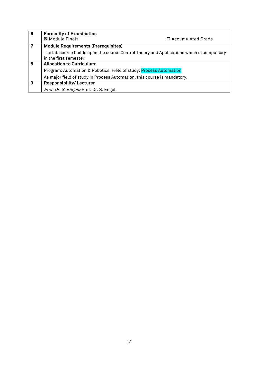| 6 | <b>Formality of Examination</b>                                                                                     |                     |  |  |  |  |
|---|---------------------------------------------------------------------------------------------------------------------|---------------------|--|--|--|--|
|   | ⊠ Module Finals                                                                                                     | □ Accumulated Grade |  |  |  |  |
| 7 | <b>Module Requirements (Prerequisites)</b>                                                                          |                     |  |  |  |  |
|   | The lab course builds upon the course Control Theory and Applications which is compulsory<br>in the first semester. |                     |  |  |  |  |
| 8 | <b>Allocation to Curriculum:</b>                                                                                    |                     |  |  |  |  |
|   | Program: Automation & Robotics, Field of study: Process Automation                                                  |                     |  |  |  |  |
|   | As major field of study in Process Automation, this course is mandatory.                                            |                     |  |  |  |  |
| 9 | <b>Responsibility/Lecturer</b>                                                                                      |                     |  |  |  |  |
|   | Prof. Dr. S. Engell/Prof. Dr. S. Engell                                                                             |                     |  |  |  |  |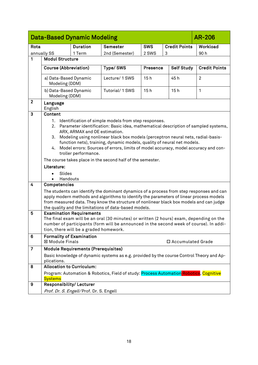<span id="page-17-0"></span>

|                |                                                           | <b>Data-Based Dynamic Modeling</b>                    |                                                                                                                                                                                                                                                                                                                                                                                                 |            |                      | <b>AR-206</b>        |
|----------------|-----------------------------------------------------------|-------------------------------------------------------|-------------------------------------------------------------------------------------------------------------------------------------------------------------------------------------------------------------------------------------------------------------------------------------------------------------------------------------------------------------------------------------------------|------------|----------------------|----------------------|
| Rota           |                                                           | <b>Duration</b>                                       | <b>Semester</b>                                                                                                                                                                                                                                                                                                                                                                                 | <b>SWS</b> | <b>Credit Points</b> | Workload             |
|                | annually SS                                               | 1 Term                                                | 2nd (Semester)                                                                                                                                                                                                                                                                                                                                                                                  | 2 SWS      | 3                    | 90h                  |
| $\mathbf{1}$   | <b>Modul Structure</b>                                    |                                                       |                                                                                                                                                                                                                                                                                                                                                                                                 |            |                      |                      |
|                | <b>Course (Abbreviation)</b>                              |                                                       | Type/SWS                                                                                                                                                                                                                                                                                                                                                                                        | Presence   | <b>Self Study</b>    | <b>Credit Points</b> |
|                |                                                           |                                                       |                                                                                                                                                                                                                                                                                                                                                                                                 |            |                      |                      |
|                | a) Data-Based Dynamic<br>Modeling (DDM)                   |                                                       | Lecture/ 1 SWS                                                                                                                                                                                                                                                                                                                                                                                  | 15h        | 45 h                 | $\overline{2}$       |
|                | b) Data-Based Dynamic<br>Modeling (DDM)                   |                                                       | Tutorial/1 SWS                                                                                                                                                                                                                                                                                                                                                                                  | 15h        | 15h                  | $\mathbf{1}$         |
| $\mathbf{2}$   | Language<br>English                                       |                                                       |                                                                                                                                                                                                                                                                                                                                                                                                 |            |                      |                      |
| $\mathbf{3}$   | Content                                                   |                                                       |                                                                                                                                                                                                                                                                                                                                                                                                 |            |                      |                      |
|                | 1.<br>2.<br>3.<br>4.                                      | ARX, ARMAX and OE estimation.<br>troller performance. | Identification of simple models from step responses.<br>Parameter identification: Basic idea, mathematical description of sampled systems,<br>Modeling using nonlinear black box models (perceptron neural nets, radial-basis-<br>function nets), training, dynamic models, quality of neural net models.<br>Model errors: Sources of errors, limits of model accuracy, model accuracy and con- |            |                      |                      |
|                |                                                           |                                                       | The course takes place in the second half of the semester.                                                                                                                                                                                                                                                                                                                                      |            |                      |                      |
|                | Literature:                                               |                                                       |                                                                                                                                                                                                                                                                                                                                                                                                 |            |                      |                      |
|                | Slides                                                    |                                                       |                                                                                                                                                                                                                                                                                                                                                                                                 |            |                      |                      |
|                | Handouts                                                  |                                                       |                                                                                                                                                                                                                                                                                                                                                                                                 |            |                      |                      |
| 4              | Competencies                                              |                                                       |                                                                                                                                                                                                                                                                                                                                                                                                 |            |                      |                      |
|                |                                                           |                                                       | The students can identify the dominant dynamics of a process from step responses and can<br>apply modern methods and algorithms to identify the parameters of linear process models<br>from measured data. They know the structure of nonlinear black box models and can judge<br>the quality and the limitations of data-based models.                                                         |            |                      |                      |
| 5              |                                                           | <b>Examination Requirements</b>                       |                                                                                                                                                                                                                                                                                                                                                                                                 |            |                      |                      |
|                |                                                           | tion, there will be a graded homework.                | The final exam will be an oral (30 minutes) or written (2 hours) exam, depending on the<br>number of participants (form will be announced in the second week of course). In addi-                                                                                                                                                                                                               |            |                      |                      |
| 6              | <b>Formality of Examination</b><br><b>⊠ Module Finals</b> |                                                       |                                                                                                                                                                                                                                                                                                                                                                                                 |            |                      |                      |
|                |                                                           |                                                       |                                                                                                                                                                                                                                                                                                                                                                                                 |            | □ Accumulated Grade  |                      |
| $\overline{7}$ |                                                           | <b>Module Requirements (Prerequisites)</b>            |                                                                                                                                                                                                                                                                                                                                                                                                 |            |                      |                      |
|                | plications.                                               |                                                       | Basic knowledge of dynamic systems as e.g. provided by the course Control Theory and Ap-                                                                                                                                                                                                                                                                                                        |            |                      |                      |
| 8              | <b>Allocation to Curriculum:</b>                          |                                                       |                                                                                                                                                                                                                                                                                                                                                                                                 |            |                      |                      |
|                | <b>Systems</b>                                            |                                                       | Program: Automation & Robotics, Field of study: Process Automation Robotics, Cognitive                                                                                                                                                                                                                                                                                                          |            |                      |                      |
| 9              | Responsibility/Lecturer                                   |                                                       |                                                                                                                                                                                                                                                                                                                                                                                                 |            |                      |                      |
|                |                                                           | Prof. Dr. S. Engell/Prof. Dr. S. Engell               |                                                                                                                                                                                                                                                                                                                                                                                                 |            |                      |                      |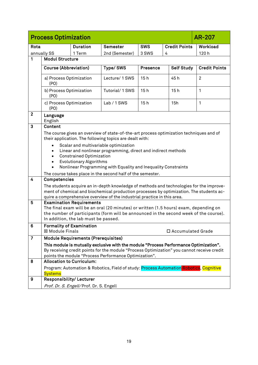<span id="page-18-0"></span>

|                     | <b>AR-207</b><br><b>Process Optimization</b>                                                                                                                                                                                                                                                                                                                                                                                                                                                                                                                                                                                                                                                                                                                                                       |                                                                         |                                                                                                                                                                                                                                              |            |                      |                                                                                       |  |  |
|---------------------|----------------------------------------------------------------------------------------------------------------------------------------------------------------------------------------------------------------------------------------------------------------------------------------------------------------------------------------------------------------------------------------------------------------------------------------------------------------------------------------------------------------------------------------------------------------------------------------------------------------------------------------------------------------------------------------------------------------------------------------------------------------------------------------------------|-------------------------------------------------------------------------|----------------------------------------------------------------------------------------------------------------------------------------------------------------------------------------------------------------------------------------------|------------|----------------------|---------------------------------------------------------------------------------------|--|--|
| Rota                |                                                                                                                                                                                                                                                                                                                                                                                                                                                                                                                                                                                                                                                                                                                                                                                                    | <b>Duration</b>                                                         | <b>Semester</b>                                                                                                                                                                                                                              | <b>SWS</b> | <b>Credit Points</b> | Workload                                                                              |  |  |
|                     | annually SS                                                                                                                                                                                                                                                                                                                                                                                                                                                                                                                                                                                                                                                                                                                                                                                        | 1 Term                                                                  | 2nd (Semester)                                                                                                                                                                                                                               | 3 SWS      | 4                    | 120h                                                                                  |  |  |
| 1                   | <b>Modul Structure</b>                                                                                                                                                                                                                                                                                                                                                                                                                                                                                                                                                                                                                                                                                                                                                                             |                                                                         |                                                                                                                                                                                                                                              |            |                      |                                                                                       |  |  |
|                     | <b>Course (Abbreviation)</b><br>Type/SWS<br><b>Self Study</b><br>Presence                                                                                                                                                                                                                                                                                                                                                                                                                                                                                                                                                                                                                                                                                                                          |                                                                         |                                                                                                                                                                                                                                              |            |                      |                                                                                       |  |  |
|                     |                                                                                                                                                                                                                                                                                                                                                                                                                                                                                                                                                                                                                                                                                                                                                                                                    |                                                                         |                                                                                                                                                                                                                                              |            |                      | <b>Credit Points</b>                                                                  |  |  |
|                     | a) Process Optimization<br>(PO)                                                                                                                                                                                                                                                                                                                                                                                                                                                                                                                                                                                                                                                                                                                                                                    |                                                                         | Lecture/ 1 SWS                                                                                                                                                                                                                               | 15h        | 45h                  | $\overline{2}$                                                                        |  |  |
|                     | b) Process Optimization<br>(PO)                                                                                                                                                                                                                                                                                                                                                                                                                                                                                                                                                                                                                                                                                                                                                                    |                                                                         | Tutorial/1 SWS                                                                                                                                                                                                                               | 15h        | 15h                  | $\mathbf{1}$                                                                          |  |  |
|                     | c) Process Optimization<br>(PO)                                                                                                                                                                                                                                                                                                                                                                                                                                                                                                                                                                                                                                                                                                                                                                    |                                                                         | $Lab/1$ SWS                                                                                                                                                                                                                                  | 15h        | 15h                  | 1                                                                                     |  |  |
| $\overline{2}$      | Language<br>English                                                                                                                                                                                                                                                                                                                                                                                                                                                                                                                                                                                                                                                                                                                                                                                |                                                                         |                                                                                                                                                                                                                                              |            |                      |                                                                                       |  |  |
| 3                   | <b>Content</b>                                                                                                                                                                                                                                                                                                                                                                                                                                                                                                                                                                                                                                                                                                                                                                                     |                                                                         |                                                                                                                                                                                                                                              |            |                      |                                                                                       |  |  |
| $\overline{4}$<br>5 | The course gives an overview of state-of-the-art process optimization techniques and of<br>their application. The following topics are dealt with:<br>Scalar and multivariable optimization<br>Linear and nonlinear programming, direct and indirect methods<br><b>Constrained Optimization</b><br><b>Evolutionary Algorithms</b><br>$\bullet$<br>Nonlinear Programming with Equality and Inequality Constraints<br>The course takes place in the second half of the semester.<br>Competencies<br>The students acquire an in-depth knowledge of methods and technologies for the improve-<br>ment of chemical and biochemical production processes by optimization. The students ac-<br>quire a comprehensive overview of the industrial practice in this area.<br><b>Examination Requirements</b> |                                                                         |                                                                                                                                                                                                                                              |            |                      | The final exam will be an oral (20 minutes) or written (1.5 hours) exam, depending on |  |  |
|                     |                                                                                                                                                                                                                                                                                                                                                                                                                                                                                                                                                                                                                                                                                                                                                                                                    |                                                                         | the number of participants (form will be announced in the second week of the course).                                                                                                                                                        |            |                      |                                                                                       |  |  |
| 6                   |                                                                                                                                                                                                                                                                                                                                                                                                                                                                                                                                                                                                                                                                                                                                                                                                    | In addition, the lab must be passed.<br><b>Formality of Examination</b> |                                                                                                                                                                                                                                              |            |                      |                                                                                       |  |  |
|                     | ⊠ Module Finals                                                                                                                                                                                                                                                                                                                                                                                                                                                                                                                                                                                                                                                                                                                                                                                    |                                                                         |                                                                                                                                                                                                                                              |            | □ Accumulated Grade  |                                                                                       |  |  |
| $\overline{7}$      |                                                                                                                                                                                                                                                                                                                                                                                                                                                                                                                                                                                                                                                                                                                                                                                                    | <b>Module Requirements (Prerequisites)</b>                              |                                                                                                                                                                                                                                              |            |                      |                                                                                       |  |  |
|                     |                                                                                                                                                                                                                                                                                                                                                                                                                                                                                                                                                                                                                                                                                                                                                                                                    |                                                                         | This module is mutually exclusive with the module "Process Performance Optimization".<br>By receiving credit points for the module "Process Optimization" you cannot receive credit<br>points the module "Process Performance Optimization". |            |                      |                                                                                       |  |  |
| 8                   | <b>Allocation to Curriculum:</b>                                                                                                                                                                                                                                                                                                                                                                                                                                                                                                                                                                                                                                                                                                                                                                   |                                                                         |                                                                                                                                                                                                                                              |            |                      |                                                                                       |  |  |
|                     | <b>Systems</b>                                                                                                                                                                                                                                                                                                                                                                                                                                                                                                                                                                                                                                                                                                                                                                                     |                                                                         | Program: Automation & Robotics, Field of study: Process Automation Robotics, Cognitive                                                                                                                                                       |            |                      |                                                                                       |  |  |
| 9                   | <b>Responsibility/Lecturer</b>                                                                                                                                                                                                                                                                                                                                                                                                                                                                                                                                                                                                                                                                                                                                                                     |                                                                         |                                                                                                                                                                                                                                              |            |                      |                                                                                       |  |  |
|                     |                                                                                                                                                                                                                                                                                                                                                                                                                                                                                                                                                                                                                                                                                                                                                                                                    | Prof. Dr. S. Engell/Prof. Dr. S. Engell                                 |                                                                                                                                                                                                                                              |            |                      |                                                                                       |  |  |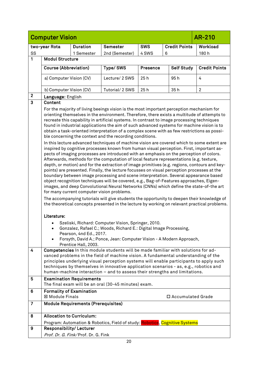<span id="page-19-0"></span>

|                         | <b>Computer Vision</b><br>AR-210                                                                                                                                                                                                                                                                                                                                                                                                                                                                                                                                                                                                                                                                                                                                                                                                                                                                                                                                                                                                                                                                                                                                                                                                                                                                                                                                                                                                                                                                                                                                                                                                                        |                                            |                                                                                                                                                                                                                                                                                                                                                                                                                                          |                 |                      |                      |  |  |
|-------------------------|---------------------------------------------------------------------------------------------------------------------------------------------------------------------------------------------------------------------------------------------------------------------------------------------------------------------------------------------------------------------------------------------------------------------------------------------------------------------------------------------------------------------------------------------------------------------------------------------------------------------------------------------------------------------------------------------------------------------------------------------------------------------------------------------------------------------------------------------------------------------------------------------------------------------------------------------------------------------------------------------------------------------------------------------------------------------------------------------------------------------------------------------------------------------------------------------------------------------------------------------------------------------------------------------------------------------------------------------------------------------------------------------------------------------------------------------------------------------------------------------------------------------------------------------------------------------------------------------------------------------------------------------------------|--------------------------------------------|------------------------------------------------------------------------------------------------------------------------------------------------------------------------------------------------------------------------------------------------------------------------------------------------------------------------------------------------------------------------------------------------------------------------------------------|-----------------|----------------------|----------------------|--|--|
|                         | two-year Rota                                                                                                                                                                                                                                                                                                                                                                                                                                                                                                                                                                                                                                                                                                                                                                                                                                                                                                                                                                                                                                                                                                                                                                                                                                                                                                                                                                                                                                                                                                                                                                                                                                           | <b>Duration</b>                            | <b>Semester</b>                                                                                                                                                                                                                                                                                                                                                                                                                          | <b>SWS</b>      | <b>Credit Points</b> | Workload             |  |  |
| SS                      |                                                                                                                                                                                                                                                                                                                                                                                                                                                                                                                                                                                                                                                                                                                                                                                                                                                                                                                                                                                                                                                                                                                                                                                                                                                                                                                                                                                                                                                                                                                                                                                                                                                         | 1 Semester                                 | 2nd (Semester)                                                                                                                                                                                                                                                                                                                                                                                                                           | 4 SWS           | 6                    | 180h                 |  |  |
| 1                       | <b>Modul Structure</b>                                                                                                                                                                                                                                                                                                                                                                                                                                                                                                                                                                                                                                                                                                                                                                                                                                                                                                                                                                                                                                                                                                                                                                                                                                                                                                                                                                                                                                                                                                                                                                                                                                  |                                            |                                                                                                                                                                                                                                                                                                                                                                                                                                          |                 |                      |                      |  |  |
|                         | <b>Course (Abbreviation)</b>                                                                                                                                                                                                                                                                                                                                                                                                                                                                                                                                                                                                                                                                                                                                                                                                                                                                                                                                                                                                                                                                                                                                                                                                                                                                                                                                                                                                                                                                                                                                                                                                                            |                                            | Type/SWS                                                                                                                                                                                                                                                                                                                                                                                                                                 | <b>Presence</b> | <b>Self Study</b>    | <b>Credit Points</b> |  |  |
|                         | a) Computer Vision (CV)                                                                                                                                                                                                                                                                                                                                                                                                                                                                                                                                                                                                                                                                                                                                                                                                                                                                                                                                                                                                                                                                                                                                                                                                                                                                                                                                                                                                                                                                                                                                                                                                                                 |                                            | Lecture/ 2 SWS                                                                                                                                                                                                                                                                                                                                                                                                                           | 25h             | 95 h                 | 4                    |  |  |
|                         | b) Computer Vision (CV)                                                                                                                                                                                                                                                                                                                                                                                                                                                                                                                                                                                                                                                                                                                                                                                                                                                                                                                                                                                                                                                                                                                                                                                                                                                                                                                                                                                                                                                                                                                                                                                                                                 |                                            | Tutorial/ 2 SWS                                                                                                                                                                                                                                                                                                                                                                                                                          | 25h             | 35h                  | $\overline{2}$       |  |  |
| $\mathbf{2}$            | Language: English                                                                                                                                                                                                                                                                                                                                                                                                                                                                                                                                                                                                                                                                                                                                                                                                                                                                                                                                                                                                                                                                                                                                                                                                                                                                                                                                                                                                                                                                                                                                                                                                                                       |                                            |                                                                                                                                                                                                                                                                                                                                                                                                                                          |                 |                      |                      |  |  |
| $\overline{\mathbf{3}}$ | Content                                                                                                                                                                                                                                                                                                                                                                                                                                                                                                                                                                                                                                                                                                                                                                                                                                                                                                                                                                                                                                                                                                                                                                                                                                                                                                                                                                                                                                                                                                                                                                                                                                                 |                                            |                                                                                                                                                                                                                                                                                                                                                                                                                                          |                 |                      |                      |  |  |
|                         | For the majority of living beeings vision is the most important perception mechanism for<br>orienting themselves in the environment. Therefore, there exists a multitude of attempts to<br>recreate this capability in artificial systems. In contrast to image processing techniques<br>found in industrial applications the aim of such advanced systems for machine vision is to<br>obtain a task-oriented interpretation of a complex scene with as few restrictions as possi-<br>ble concerning the context and the recording conditions.<br>In this lecture advanced techniques of machine vision are covered which to some extent are<br>inspired by cognitive processes known from human visual perception. First, important as-<br>pects of imaging processes are introduced with an emphasis on the perception of colors.<br>Afterwards, methods for the computation of local feature representations (e.g. texture,<br>depth, or motion) and for the extraction of image primitives (e.g. regions, contours and key-<br>points) are presented. Finally, the lecture focusses on visual perception processes at the<br>boundary between image processing and scene interpretation. Several appearance based<br>object recognition techniques will be covered, e.g., Bag-of-Features approaches, Eigen-<br>images, and deep Convolutional Neural Networks (CNNs) which define the state-of-the art<br>for many current computer vision problems.<br>The accompanying tutorials will give students the opportunity to deepen their knowledge of<br>the theoretical concepts presented in the lecture by working on relevant practical problems. |                                            |                                                                                                                                                                                                                                                                                                                                                                                                                                          |                 |                      |                      |  |  |
|                         | Literature:                                                                                                                                                                                                                                                                                                                                                                                                                                                                                                                                                                                                                                                                                                                                                                                                                                                                                                                                                                                                                                                                                                                                                                                                                                                                                                                                                                                                                                                                                                                                                                                                                                             | Pearson, 4nd Ed., 2017.                    | Szeliski, Richard: Computer Vision, Springer, 2010.<br>Gonzalez, Rafael C.; Woods, Richard E.: Digital Image Processing,                                                                                                                                                                                                                                                                                                                 |                 |                      |                      |  |  |
|                         |                                                                                                                                                                                                                                                                                                                                                                                                                                                                                                                                                                                                                                                                                                                                                                                                                                                                                                                                                                                                                                                                                                                                                                                                                                                                                                                                                                                                                                                                                                                                                                                                                                                         | Prentice Hall, 2003.                       | Forsyth, David A.; Ponce, Jean: Computer Vision - A Modern Approach,                                                                                                                                                                                                                                                                                                                                                                     |                 |                      |                      |  |  |
| 4                       |                                                                                                                                                                                                                                                                                                                                                                                                                                                                                                                                                                                                                                                                                                                                                                                                                                                                                                                                                                                                                                                                                                                                                                                                                                                                                                                                                                                                                                                                                                                                                                                                                                                         |                                            | Competencies In this module students will be made familiar with solutions for ad-<br>vanced problems in the field of machine vision. A fundamental understanding of the<br>principles underlying visual perception systems will enable participants to apply such<br>techniques by themselves in innovative application scenarios - as, e.g., robotics and<br>human-machine interaction - and to assess their strengths and limitations. |                 |                      |                      |  |  |
| 5                       |                                                                                                                                                                                                                                                                                                                                                                                                                                                                                                                                                                                                                                                                                                                                                                                                                                                                                                                                                                                                                                                                                                                                                                                                                                                                                                                                                                                                                                                                                                                                                                                                                                                         | <b>Examination Requirements</b>            | The final exam will be an oral (30-45 minutes) exam.                                                                                                                                                                                                                                                                                                                                                                                     |                 |                      |                      |  |  |
| 6                       | <b>Formality of Examination</b><br><b>⊠ Module Finals</b>                                                                                                                                                                                                                                                                                                                                                                                                                                                                                                                                                                                                                                                                                                                                                                                                                                                                                                                                                                                                                                                                                                                                                                                                                                                                                                                                                                                                                                                                                                                                                                                               |                                            |                                                                                                                                                                                                                                                                                                                                                                                                                                          |                 | □ Accumulated Grade  |                      |  |  |
| $\overline{7}$          |                                                                                                                                                                                                                                                                                                                                                                                                                                                                                                                                                                                                                                                                                                                                                                                                                                                                                                                                                                                                                                                                                                                                                                                                                                                                                                                                                                                                                                                                                                                                                                                                                                                         | <b>Module Requirements (Prerequisites)</b> |                                                                                                                                                                                                                                                                                                                                                                                                                                          |                 |                      |                      |  |  |
| 8                       | <b>Allocation to Curriculum:</b>                                                                                                                                                                                                                                                                                                                                                                                                                                                                                                                                                                                                                                                                                                                                                                                                                                                                                                                                                                                                                                                                                                                                                                                                                                                                                                                                                                                                                                                                                                                                                                                                                        |                                            |                                                                                                                                                                                                                                                                                                                                                                                                                                          |                 |                      |                      |  |  |
|                         |                                                                                                                                                                                                                                                                                                                                                                                                                                                                                                                                                                                                                                                                                                                                                                                                                                                                                                                                                                                                                                                                                                                                                                                                                                                                                                                                                                                                                                                                                                                                                                                                                                                         |                                            | Program: Automation & Robotics, Field of study: Robotics, Cognitive Systems                                                                                                                                                                                                                                                                                                                                                              |                 |                      |                      |  |  |
| 9                       | <b>Responsibility/Lecturer</b>                                                                                                                                                                                                                                                                                                                                                                                                                                                                                                                                                                                                                                                                                                                                                                                                                                                                                                                                                                                                                                                                                                                                                                                                                                                                                                                                                                                                                                                                                                                                                                                                                          |                                            |                                                                                                                                                                                                                                                                                                                                                                                                                                          |                 |                      |                      |  |  |
|                         |                                                                                                                                                                                                                                                                                                                                                                                                                                                                                                                                                                                                                                                                                                                                                                                                                                                                                                                                                                                                                                                                                                                                                                                                                                                                                                                                                                                                                                                                                                                                                                                                                                                         | Prof. Dr. G. Fink/Prof. Dr. G. Fink        |                                                                                                                                                                                                                                                                                                                                                                                                                                          |                 |                      |                      |  |  |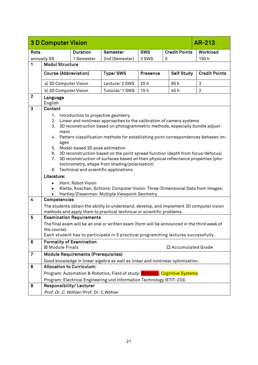<span id="page-20-0"></span>

|                  | <b>3 D Computer Vision</b>   |                                            |                                                                                             |                 |   |                      | AR-213               |
|------------------|------------------------------|--------------------------------------------|---------------------------------------------------------------------------------------------|-----------------|---|----------------------|----------------------|
| Rota             |                              | <b>Duration</b>                            | <b>Semester</b>                                                                             | <b>SWS</b>      |   | <b>Credit Points</b> | Workload             |
|                  | annually SS                  | 1 Semester                                 | 2nd (Semester)                                                                              | 3 SWS           | 5 |                      | 150h                 |
| 1                | <b>Modul Structure</b>       |                                            |                                                                                             |                 |   |                      |                      |
|                  | <b>Course (Abbreviation)</b> |                                            | Type/SWS                                                                                    | <b>Presence</b> |   | <b>Self Study</b>    | <b>Credit Points</b> |
|                  | a) 3D Computer Vision        |                                            | Lecture/ 2 SWS                                                                              | 25h             |   | 65h                  | 3                    |
|                  | b) 3D Computer Vision        |                                            | Tutorial/1 SWS                                                                              | 15h             |   | 45h                  | $\overline{2}$       |
| $\boldsymbol{2}$ | Language<br>English          |                                            |                                                                                             |                 |   |                      |                      |
| 3                | <b>Content</b>               |                                            |                                                                                             |                 |   |                      |                      |
|                  | 1.<br>2.                     | Introduction to projective geometry        | Linear and nonlinear approaches to the calibration of camera systems                        |                 |   |                      |                      |
|                  | 3.                           |                                            | 3D reconstruction based on photogrammetric methods, especially bundle adjust-               |                 |   |                      |                      |
|                  | ment<br>4.                   |                                            | Pattern classification methods for establishing point correspondences between im-           |                 |   |                      |                      |
|                  | ages                         |                                            |                                                                                             |                 |   |                      |                      |
|                  | 5.<br>6.                     | Model-based 3D pose estimation             | 3D reconstruction based on the point spread function (depth from focus/defocus)             |                 |   |                      |                      |
|                  | 7.                           |                                            | 3D reconstruction of surfaces based on their physical reflectance properties (pho-          |                 |   |                      |                      |
|                  |                              |                                            | toclinometry, shape from shading/polarisation)                                              |                 |   |                      |                      |
|                  |                              |                                            | 8. Technical and scientific applications                                                    |                 |   |                      |                      |
|                  | Literature:                  |                                            |                                                                                             |                 |   |                      |                      |
|                  |                              | Horn: Robot Vision                         | Klette, Koschan, Schlüns: Computer Vision: Three-Dimensional Data from Images;              |                 |   |                      |                      |
|                  |                              |                                            | Hartley/Zisserman: Multiple Viewpoint Geometry                                              |                 |   |                      |                      |
| $\overline{4}$   | Competencies                 |                                            |                                                                                             |                 |   |                      |                      |
|                  |                              |                                            | The students obtain the ability to understand, develop, and implement 3D computer vision    |                 |   |                      |                      |
| 5                |                              | <b>Examination Requirements</b>            | methods and apply them to practical technical or scientific problems.                       |                 |   |                      |                      |
|                  |                              |                                            | The final exam will be an oral or written exam (form will be announced in the third week of |                 |   |                      |                      |
|                  | the course).                 |                                            |                                                                                             |                 |   |                      |                      |
|                  |                              |                                            | Each student has to participate in 5 practical programming lectures successfully.           |                 |   |                      |                      |
| 6                | <b>⊠ Module Finals</b>       | <b>Formality of Examination</b>            |                                                                                             |                 |   | □ Accumulated Grade  |                      |
| $\overline{7}$   |                              | <b>Module Requirements (Prerequisites)</b> |                                                                                             |                 |   |                      |                      |
|                  |                              |                                            | Good knowledge in linear algebra as well as linear and nonlinear optimization.              |                 |   |                      |                      |
| 8                |                              | <b>Allocation to Curriculum:</b>           |                                                                                             |                 |   |                      |                      |
|                  |                              |                                            | Program: Automation & Robotics, Field of study: Robotics, Cognitive Systems                 |                 |   |                      |                      |
|                  |                              |                                            | Program: Electrical Engineering und Information Technology (ETIT-233)                       |                 |   |                      |                      |
| 9                | Responsibility/Lecturer      |                                            |                                                                                             |                 |   |                      |                      |
|                  |                              | Prof. Dr. C. Wöhler/Prof. Dr. C.Wöhler     |                                                                                             |                 |   |                      |                      |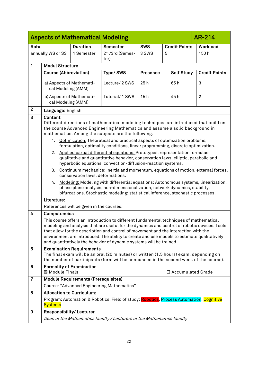<span id="page-21-0"></span>

|                |                                    | <b>Aspects of Mathematical Modeling</b>        |                                                                                                                                                                                                                                                                                                                                                                                                                                                                                                                                                                                                                                                                                                                                                                                                                                                                                                                                                                                  |          |                      | AR-214               |
|----------------|------------------------------------|------------------------------------------------|----------------------------------------------------------------------------------------------------------------------------------------------------------------------------------------------------------------------------------------------------------------------------------------------------------------------------------------------------------------------------------------------------------------------------------------------------------------------------------------------------------------------------------------------------------------------------------------------------------------------------------------------------------------------------------------------------------------------------------------------------------------------------------------------------------------------------------------------------------------------------------------------------------------------------------------------------------------------------------|----------|----------------------|----------------------|
| Rota           |                                    | <b>Duration</b>                                | Semester                                                                                                                                                                                                                                                                                                                                                                                                                                                                                                                                                                                                                                                                                                                                                                                                                                                                                                                                                                         | SWS      | <b>Credit Points</b> | Workload             |
|                | annually WS or SS                  | 1 Semester                                     | 2 <sup>nd</sup> /3rd (Semes-<br>ter)                                                                                                                                                                                                                                                                                                                                                                                                                                                                                                                                                                                                                                                                                                                                                                                                                                                                                                                                             | 3 SWS    | 5                    | 150h                 |
| $\mathbf{1}$   | <b>Modul Structure</b>             |                                                |                                                                                                                                                                                                                                                                                                                                                                                                                                                                                                                                                                                                                                                                                                                                                                                                                                                                                                                                                                                  |          |                      |                      |
|                | Course (Abbreviation)              |                                                | Type/SWS                                                                                                                                                                                                                                                                                                                                                                                                                                                                                                                                                                                                                                                                                                                                                                                                                                                                                                                                                                         | Presence | <b>Self Study</b>    | <b>Credit Points</b> |
|                |                                    | a) Aspects of Mathemati-<br>cal Modeling (AMM) | Lecture/ 2 SWS                                                                                                                                                                                                                                                                                                                                                                                                                                                                                                                                                                                                                                                                                                                                                                                                                                                                                                                                                                   | 25h      | 65h                  | 3                    |
|                |                                    | b) Aspects of Mathemati-<br>cal Modeling (AMM) | Tutorial/ 1 SWS                                                                                                                                                                                                                                                                                                                                                                                                                                                                                                                                                                                                                                                                                                                                                                                                                                                                                                                                                                  | 15h      | 45h                  | $\overline{2}$       |
| $\mathbf{2}$   | Language: English                  |                                                |                                                                                                                                                                                                                                                                                                                                                                                                                                                                                                                                                                                                                                                                                                                                                                                                                                                                                                                                                                                  |          |                      |                      |
| 3              | Content<br>2.<br>4.<br>Literature: | conservation laws, deformations.               | Different directions of mathematical modeling techniques are introduced that build on<br>the course Advanced Engineering Mathematics and assume a solid background in<br>mathematics. Among the subjects are the following:<br>1. Optimization: Theoretical and practical aspects of optimization problems,<br>formulation, optimality conditions, linear programming, discrete optimization.<br>Applied partial differential equations: Prototypes, representation formulae,<br>qualitative and quantitative behavior, conservation laws, elliptic, parabolic and<br>hyperbolic equations, convection-diffusion-reaction systems.<br>3. Continuum mechanics: Inertia and momentum, equations of motion, external forces,<br>Modeling: Modeling with differential equations: Autonomous systems, linearization,<br>phase plane analysis, non-dimensionalization, network dynamics, stability,<br>bifurcations. Stochastic modeling: statistical inference, stochastic processes. |          |                      |                      |
|                |                                    | References will be given in the courses.       |                                                                                                                                                                                                                                                                                                                                                                                                                                                                                                                                                                                                                                                                                                                                                                                                                                                                                                                                                                                  |          |                      |                      |
| 4              | Competencies                       |                                                | This course offers an introduction to different fundamental techniques of mathematical<br>modeling and analysis that are useful for the dynamics and control of robotic devices. Tools<br>that allow for the description and control of movement and the interaction with the<br>environment are introduced. The ability to create and use models to estimate qualitatively<br>and quantitatively the behavior of dynamic systems will be trained.                                                                                                                                                                                                                                                                                                                                                                                                                                                                                                                               |          |                      |                      |
| 5              |                                    | <b>Examination Requirements</b>                | The final exam will be an oral (20 minutes) or written (1.5 hours) exam, depending on<br>the number of participants (form will be announced in the second week of the course).                                                                                                                                                                                                                                                                                                                                                                                                                                                                                                                                                                                                                                                                                                                                                                                                   |          |                      |                      |
| 6              | <b>図 Module Finals</b>             | <b>Formality of Examination</b>                |                                                                                                                                                                                                                                                                                                                                                                                                                                                                                                                                                                                                                                                                                                                                                                                                                                                                                                                                                                                  |          | □ Accumulated Grade  |                      |
| $\overline{7}$ |                                    | <b>Module Requirements (Prerequisites)</b>     |                                                                                                                                                                                                                                                                                                                                                                                                                                                                                                                                                                                                                                                                                                                                                                                                                                                                                                                                                                                  |          |                      |                      |
|                |                                    |                                                | Course: "Advanced Engineering Mathematics"                                                                                                                                                                                                                                                                                                                                                                                                                                                                                                                                                                                                                                                                                                                                                                                                                                                                                                                                       |          |                      |                      |
| 8              |                                    | <b>Allocation to Curriculum:</b>               |                                                                                                                                                                                                                                                                                                                                                                                                                                                                                                                                                                                                                                                                                                                                                                                                                                                                                                                                                                                  |          |                      |                      |
|                | <b>Systems</b>                     |                                                | Program: Automation & Robotics, Field of study: <mark>Robotics</mark> , Process Automation, Cognitive                                                                                                                                                                                                                                                                                                                                                                                                                                                                                                                                                                                                                                                                                                                                                                                                                                                                            |          |                      |                      |
| 9              |                                    | <b>Responsibility/Lecturer</b>                 |                                                                                                                                                                                                                                                                                                                                                                                                                                                                                                                                                                                                                                                                                                                                                                                                                                                                                                                                                                                  |          |                      |                      |
|                |                                    |                                                | Dean of the Mathematics faculty / Lecturers of the Mathematics faculty                                                                                                                                                                                                                                                                                                                                                                                                                                                                                                                                                                                                                                                                                                                                                                                                                                                                                                           |          |                      |                      |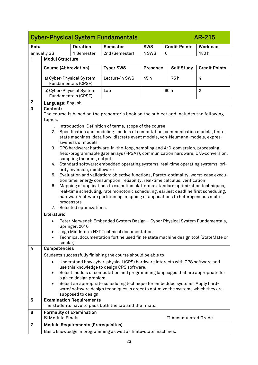<span id="page-22-0"></span>

|                 | <b>Cyber-Physical System Fundamentals</b><br><b>AR-215</b> |                                            |                                                                                                                                                                         |          |                      |                      |  |
|-----------------|------------------------------------------------------------|--------------------------------------------|-------------------------------------------------------------------------------------------------------------------------------------------------------------------------|----------|----------------------|----------------------|--|
| Rota            | <b>SWS</b><br><b>Duration</b><br>Semester                  |                                            |                                                                                                                                                                         |          | <b>Credit Points</b> | Workload             |  |
|                 | annually SS                                                | 1 Semester                                 | 2nd (Semester)                                                                                                                                                          | 4 SWS    | 6                    | 180h                 |  |
| 1               | <b>Modul Structure</b>                                     |                                            |                                                                                                                                                                         |          |                      |                      |  |
|                 | <b>Course (Abbreviation)</b>                               |                                            | Type/SWS                                                                                                                                                                | Presence | <b>Self Study</b>    | <b>Credit Points</b> |  |
|                 |                                                            |                                            |                                                                                                                                                                         |          |                      |                      |  |
|                 | a) Cyber-Physical System                                   | Fundamentals (CPSF)                        | Lecture/ 4 SWS                                                                                                                                                          | 45h      | 75h                  | 4                    |  |
|                 | b) Cyber-Physical System                                   | Fundamentals (CPSF)                        | Lab                                                                                                                                                                     |          | 60h                  | $\overline{2}$       |  |
| $\mathbf{2}$    | Language: English                                          |                                            |                                                                                                                                                                         |          |                      |                      |  |
| 3               | Content:                                                   |                                            |                                                                                                                                                                         |          |                      |                      |  |
|                 | topics:                                                    |                                            | The course is based on the presenter's book on the subject and includes the following                                                                                   |          |                      |                      |  |
|                 |                                                            |                                            | 1. Introduction: Definition of terms, scope of the course                                                                                                               |          |                      |                      |  |
|                 |                                                            |                                            | 2. Specification and modeling: models of computation, communication models, finite                                                                                      |          |                      |                      |  |
|                 |                                                            | siveness of models                         | state machines, data flow, discrete event models, von-Neumann-models, expres-                                                                                           |          |                      |                      |  |
|                 |                                                            |                                            | 3. CPS hardware: hardware-in-the-loop, sampling and A/D-conversion, processing,                                                                                         |          |                      |                      |  |
|                 |                                                            |                                            | field-programmable gate arrays (FPGAs), communication hardware, D/A-conversion,                                                                                         |          |                      |                      |  |
|                 |                                                            | sampling theorem, output                   |                                                                                                                                                                         |          |                      |                      |  |
|                 |                                                            |                                            | 4. Standard software: embedded operating systems, real-time operating systems, pri-                                                                                     |          |                      |                      |  |
|                 |                                                            | ority inversion, middleware                |                                                                                                                                                                         |          |                      |                      |  |
|                 |                                                            |                                            | 5. Evaluation and validation: objective functions, Pareto-optimality, worst-case execu-<br>tion time, energy consumption, reliability, real-time calculus, verification |          |                      |                      |  |
|                 | 6.                                                         |                                            | Mapping of applications to execution platforms: standard optimization techniques,                                                                                       |          |                      |                      |  |
|                 |                                                            |                                            | real-time scheduling, rate monotonic scheduling, earliest deadline first scheduling,                                                                                    |          |                      |                      |  |
|                 |                                                            |                                            | hardware/software partitioning, mapping of applications to heterogeneous multi-                                                                                         |          |                      |                      |  |
|                 |                                                            | processors                                 |                                                                                                                                                                         |          |                      |                      |  |
|                 |                                                            | 7. Selected optimizations.                 |                                                                                                                                                                         |          |                      |                      |  |
|                 | Literature:                                                |                                            |                                                                                                                                                                         |          |                      |                      |  |
|                 |                                                            | Springer, 2010                             | Peter Marwedel: Embedded System Design - Cyber Physical System Fundamentals,                                                                                            |          |                      |                      |  |
|                 |                                                            |                                            | Lego Mindstorm NXT Technical documentation                                                                                                                              |          |                      |                      |  |
|                 |                                                            |                                            | Technical documentation fort he used finite state machine design tool (StateMate or                                                                                     |          |                      |                      |  |
|                 | similar)                                                   |                                            |                                                                                                                                                                         |          |                      |                      |  |
| 4               | Competencies                                               |                                            |                                                                                                                                                                         |          |                      |                      |  |
|                 |                                                            |                                            | Students successfully finishing the course should be able to                                                                                                            |          |                      |                      |  |
|                 |                                                            |                                            | Understand how cyber-physical (CPS) hardware interacts with CPS software and                                                                                            |          |                      |                      |  |
|                 |                                                            |                                            | use this knowledge to design CPS software,<br>Select models of computation and programming languages that are appropriate for                                           |          |                      |                      |  |
|                 | $\bullet$                                                  | a given design problem,                    |                                                                                                                                                                         |          |                      |                      |  |
|                 |                                                            |                                            | Select an appropriate scheduling technique for embedded systems, Apply hard-                                                                                            |          |                      |                      |  |
|                 |                                                            |                                            | ware/software design techniques in order to optimize the systems which they are                                                                                         |          |                      |                      |  |
|                 |                                                            | supposed to design.                        |                                                                                                                                                                         |          |                      |                      |  |
| 5               |                                                            | <b>Examination Requirements</b>            | The students have to pass both the lab and the finals.                                                                                                                  |          |                      |                      |  |
|                 |                                                            |                                            |                                                                                                                                                                         |          |                      |                      |  |
| $6\phantom{1}6$ | <b>Formality of Examination</b><br>⊠ Module Finals         |                                            |                                                                                                                                                                         |          | □ Accumulated Grade  |                      |  |
|                 |                                                            |                                            |                                                                                                                                                                         |          |                      |                      |  |
| $\overline{7}$  |                                                            | <b>Module Requirements (Prerequisites)</b> |                                                                                                                                                                         |          |                      |                      |  |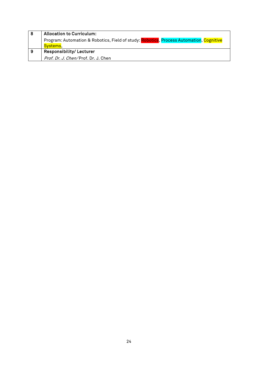| 8 ا      | <b>Allocation to Curriculum:</b>                                                        |
|----------|-----------------------------------------------------------------------------------------|
|          | Program: Automation & Robotics, Field of study: Robotics, Process Automation, Cognitive |
|          | Systems.                                                                                |
| <b>9</b> | <b>Responsibility/Lecturer</b>                                                          |
|          | Prof. Dr. J. Chen/Prof. Dr. J. Chen                                                     |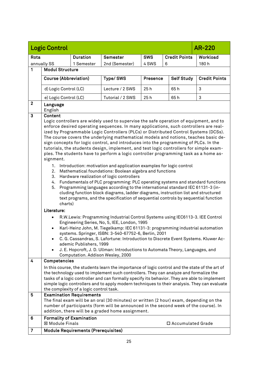<span id="page-24-0"></span>

|                | <b>Logic Control</b>                                                                                                                                                                                                                                                                                                                                                                                                                                                                                                                                                                                                                                                                                                                                                                                                                                                                                                                                                                                                                                                                                                                                                                                                        |                                                              |                                                                                                                                                                                                                                                                                                                                                                                                                                                  |                 |                      | <b>AR-220</b>        |
|----------------|-----------------------------------------------------------------------------------------------------------------------------------------------------------------------------------------------------------------------------------------------------------------------------------------------------------------------------------------------------------------------------------------------------------------------------------------------------------------------------------------------------------------------------------------------------------------------------------------------------------------------------------------------------------------------------------------------------------------------------------------------------------------------------------------------------------------------------------------------------------------------------------------------------------------------------------------------------------------------------------------------------------------------------------------------------------------------------------------------------------------------------------------------------------------------------------------------------------------------------|--------------------------------------------------------------|--------------------------------------------------------------------------------------------------------------------------------------------------------------------------------------------------------------------------------------------------------------------------------------------------------------------------------------------------------------------------------------------------------------------------------------------------|-----------------|----------------------|----------------------|
| Rota           |                                                                                                                                                                                                                                                                                                                                                                                                                                                                                                                                                                                                                                                                                                                                                                                                                                                                                                                                                                                                                                                                                                                                                                                                                             | <b>Duration</b>                                              | <b>Semester</b>                                                                                                                                                                                                                                                                                                                                                                                                                                  | <b>SWS</b>      | <b>Credit Points</b> | Workload             |
|                | annually SS                                                                                                                                                                                                                                                                                                                                                                                                                                                                                                                                                                                                                                                                                                                                                                                                                                                                                                                                                                                                                                                                                                                                                                                                                 | 1 Semester                                                   | 2nd (Semester)                                                                                                                                                                                                                                                                                                                                                                                                                                   | 4 SWS           | 6                    | 180h                 |
| 1              | <b>Modul Structure</b>                                                                                                                                                                                                                                                                                                                                                                                                                                                                                                                                                                                                                                                                                                                                                                                                                                                                                                                                                                                                                                                                                                                                                                                                      |                                                              |                                                                                                                                                                                                                                                                                                                                                                                                                                                  |                 |                      |                      |
|                | Course (Abbreviation)                                                                                                                                                                                                                                                                                                                                                                                                                                                                                                                                                                                                                                                                                                                                                                                                                                                                                                                                                                                                                                                                                                                                                                                                       |                                                              | Type/SWS                                                                                                                                                                                                                                                                                                                                                                                                                                         | <b>Presence</b> | <b>Self Study</b>    | <b>Credit Points</b> |
|                | d) Logic Control (LC)                                                                                                                                                                                                                                                                                                                                                                                                                                                                                                                                                                                                                                                                                                                                                                                                                                                                                                                                                                                                                                                                                                                                                                                                       |                                                              | Lecture / 2 SWS                                                                                                                                                                                                                                                                                                                                                                                                                                  | 25h             | 65h                  | 3                    |
|                | e) Logic Control (LC)                                                                                                                                                                                                                                                                                                                                                                                                                                                                                                                                                                                                                                                                                                                                                                                                                                                                                                                                                                                                                                                                                                                                                                                                       |                                                              | Tutorial / 2 SWS                                                                                                                                                                                                                                                                                                                                                                                                                                 | 25h             | 65h                  | 3                    |
| $\mathbf{2}$   | Language<br>English                                                                                                                                                                                                                                                                                                                                                                                                                                                                                                                                                                                                                                                                                                                                                                                                                                                                                                                                                                                                                                                                                                                                                                                                         |                                                              |                                                                                                                                                                                                                                                                                                                                                                                                                                                  |                 |                      |                      |
| 3              | Content<br>Logic controllers are widely used to supervise the safe operation of equipment, and to<br>enforce desired operating sequences. In many applications, such controllers are real-<br>ized by Programmable Logic Controllers (PLCs) or Distributed Control Systems (DCSs).<br>The course covers the underlying mathematical models and notions, teaches basic de-<br>sign concepts for logic control, and introduces into the programming of PLCs. In the<br>tutorials, the students design, implement, and test logic controllers for simple exam-<br>ples. The students have to perform a logic controller programming task as a home as-<br>signment.<br>Introduction: motivation and application examples for logic control<br>1.<br>Mathematical foundations: Boolean algebra and functions<br>2.<br>Hardware realization of logic controllers<br>3.<br>Fundamentals of PLC programming: PLC operating systems and standard functions<br>4.<br>Programming languages according to the international standard IEC 61131-3 (in-<br>5.<br>cluding function block diagrams, ladder diagrams, instruction list and structured<br>text programs, and the specification of sequential controls by sequential function |                                                              |                                                                                                                                                                                                                                                                                                                                                                                                                                                  |                 |                      |                      |
|                | Literature:<br>$\bullet$<br>$\bullet$                                                                                                                                                                                                                                                                                                                                                                                                                                                                                                                                                                                                                                                                                                                                                                                                                                                                                                                                                                                                                                                                                                                                                                                       | ademic Publishers, 1999<br>Computation. Addison Wesley, 2000 | R.W.Lewis: Programming Industrial Control Systems using IEC6113-3. IEE Control<br>Engineering Series, No, 5, IEE, London, 1995<br>Karl-Heinz John, M. Tiegelkamp: IEC 61131-3: programming industrial automation<br>systems. Springer, ISBN: 3-540-67752-6, Berlin, 2001<br>C. G. Cassandras, S. Lafortune: Introduction to Discrete Event Systems. Kluwer Ac-<br>J. E. Hopcroft, J. D. Ullman: Introductions to Automata Theory, Languages, and |                 |                      |                      |
| 4              | Competencies                                                                                                                                                                                                                                                                                                                                                                                                                                                                                                                                                                                                                                                                                                                                                                                                                                                                                                                                                                                                                                                                                                                                                                                                                |                                                              |                                                                                                                                                                                                                                                                                                                                                                                                                                                  |                 |                      |                      |
|                | In this course, the students learn the importance of logic control and the state of the art of<br>the technology used to implement such controllers. They can analyze and formalize the<br>tasks of a logic controller and can formally specify its behavior. They are able to implement<br>simple logic controllers and to apply modern techniques to their analysis. They can evaluate<br>the complexity of a logic control task.                                                                                                                                                                                                                                                                                                                                                                                                                                                                                                                                                                                                                                                                                                                                                                                         |                                                              |                                                                                                                                                                                                                                                                                                                                                                                                                                                  |                 |                      |                      |
| 5              |                                                                                                                                                                                                                                                                                                                                                                                                                                                                                                                                                                                                                                                                                                                                                                                                                                                                                                                                                                                                                                                                                                                                                                                                                             | <b>Examination Requirements</b>                              | The final exam will be an oral (30 minutes) or written (2 hour) exam, depending on the<br>number of participants (form will be announced in the second week of the course). In<br>addition, there will be a graded home assignment.                                                                                                                                                                                                              |                 |                      |                      |
| 6              | <b>⊠ Module Finals</b>                                                                                                                                                                                                                                                                                                                                                                                                                                                                                                                                                                                                                                                                                                                                                                                                                                                                                                                                                                                                                                                                                                                                                                                                      | <b>Formality of Examination</b>                              |                                                                                                                                                                                                                                                                                                                                                                                                                                                  |                 | □ Accumulated Grade  |                      |
| $\overline{7}$ |                                                                                                                                                                                                                                                                                                                                                                                                                                                                                                                                                                                                                                                                                                                                                                                                                                                                                                                                                                                                                                                                                                                                                                                                                             | Module Requirements (Prerequisites)                          |                                                                                                                                                                                                                                                                                                                                                                                                                                                  |                 |                      |                      |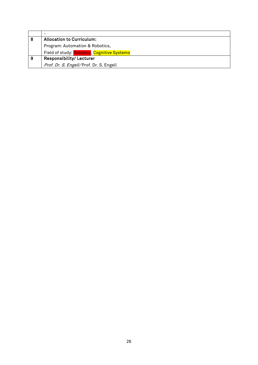|   | $\overline{\phantom{0}}$                    |
|---|---------------------------------------------|
| 8 | <b>Allocation to Curriculum:</b>            |
|   | Program: Automation & Robotics,             |
|   | Field of study: Robotics, Cognitive Systems |
| 9 | <b>Responsibility/Lecturer</b>              |
|   | Prof. Dr. S. Engell/Prof. Dr. S. Engell     |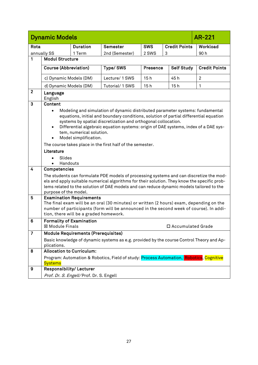<span id="page-26-0"></span>

|                | <b>Dynamic Models</b>            |                                                   |                                                                                                                                                                                                                                                                                                                                |                 |                      | AR-221               |
|----------------|----------------------------------|---------------------------------------------------|--------------------------------------------------------------------------------------------------------------------------------------------------------------------------------------------------------------------------------------------------------------------------------------------------------------------------------|-----------------|----------------------|----------------------|
| Rota           |                                  | <b>Duration</b>                                   | <b>Semester</b>                                                                                                                                                                                                                                                                                                                | <b>SWS</b>      | <b>Credit Points</b> | Workload             |
|                | annually SS                      | 1 Term                                            | 2nd (Semester)                                                                                                                                                                                                                                                                                                                 | 2 SWS           | 3                    | 90h                  |
| 1              | <b>Modul Structure</b>           |                                                   |                                                                                                                                                                                                                                                                                                                                |                 |                      |                      |
|                | <b>Course (Abbreviation)</b>     |                                                   | Type/SWS                                                                                                                                                                                                                                                                                                                       | <b>Presence</b> | <b>Self Study</b>    | <b>Credit Points</b> |
|                | c) Dynamic Models (DM)           |                                                   | Lecture/ 1 SWS                                                                                                                                                                                                                                                                                                                 | 15h             | 45h                  | $\overline{2}$       |
|                | d) Dynamic Models (DM)           |                                                   | Tutorial/1 SWS                                                                                                                                                                                                                                                                                                                 | 15h             | 15h                  | 1                    |
| $\mathbf{2}$   | Language<br>English              |                                                   |                                                                                                                                                                                                                                                                                                                                |                 |                      |                      |
| $\mathbf{3}$   | <b>Content</b>                   |                                                   |                                                                                                                                                                                                                                                                                                                                |                 |                      |                      |
|                | $\bullet$                        | tem, numerical solution.<br>Model simplification. | Modeling and simulation of dynamic distributed parameter systems: fundamental<br>equations, initial and boundary conditions, solution of partial differential equation<br>systems by spatial discretization and orthogonal collocation.<br>Differential algebraic equation systems: origin of DAE systems, index of a DAE sys- |                 |                      |                      |
|                |                                  |                                                   | The course takes place in the first half of the semester.                                                                                                                                                                                                                                                                      |                 |                      |                      |
|                | Literature                       |                                                   |                                                                                                                                                                                                                                                                                                                                |                 |                      |                      |
|                | Slides                           |                                                   |                                                                                                                                                                                                                                                                                                                                |                 |                      |                      |
|                | Handouts                         |                                                   |                                                                                                                                                                                                                                                                                                                                |                 |                      |                      |
| $\overline{4}$ | Competencies                     |                                                   |                                                                                                                                                                                                                                                                                                                                |                 |                      |                      |
|                | purpose of the model.            |                                                   | The students can formulate PDE models of processing systems and can discretize the mod-<br>els and apply suitable numerical algorithms for their solution. They know the specific prob-<br>lems related to the solution of DAE models and can reduce dynamic models tailored to the                                            |                 |                      |                      |
| 5              |                                  | <b>Examination Requirements</b>                   |                                                                                                                                                                                                                                                                                                                                |                 |                      |                      |
|                |                                  | tion, there will be a graded homework.            | The final exam will be an oral (30 minutes) or written (2 hours) exam, depending on the<br>number of participants (form will be announced in the second week of course). In addi-                                                                                                                                              |                 |                      |                      |
| 6              | ⊠ Module Finals                  | <b>Formality of Examination</b>                   |                                                                                                                                                                                                                                                                                                                                |                 | □ Accumulated Grade  |                      |
| 7              |                                  | <b>Module Requirements (Prerequisites)</b>        |                                                                                                                                                                                                                                                                                                                                |                 |                      |                      |
|                | plications.                      |                                                   | Basic knowledge of dynamic systems as e.g. provided by the course Control Theory and Ap-                                                                                                                                                                                                                                       |                 |                      |                      |
| 8              | <b>Allocation to Curriculum:</b> |                                                   |                                                                                                                                                                                                                                                                                                                                |                 |                      |                      |
|                | <b>Systems</b>                   |                                                   | Program: Automation & Robotics, Field of study: Process Automation, Robotics, Cognitive                                                                                                                                                                                                                                        |                 |                      |                      |
| 9              | Responsibility/Lecturer          |                                                   |                                                                                                                                                                                                                                                                                                                                |                 |                      |                      |
|                |                                  | Prof. Dr. S. Engell/Prof. Dr. S. Engell           |                                                                                                                                                                                                                                                                                                                                |                 |                      |                      |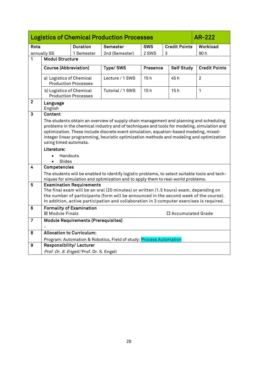<span id="page-27-0"></span>

|                  | <b>Logistics of Chemical Production Processes</b><br><b>AR-222</b>                                                                                                                                                                                                                                                                                                                                             |                                            |                                                                                                                                                                                                                                                                            |                 |                      |                      |  |  |
|------------------|----------------------------------------------------------------------------------------------------------------------------------------------------------------------------------------------------------------------------------------------------------------------------------------------------------------------------------------------------------------------------------------------------------------|--------------------------------------------|----------------------------------------------------------------------------------------------------------------------------------------------------------------------------------------------------------------------------------------------------------------------------|-----------------|----------------------|----------------------|--|--|
| Rota             |                                                                                                                                                                                                                                                                                                                                                                                                                | <b>Duration</b>                            | Semester                                                                                                                                                                                                                                                                   | <b>SWS</b>      | <b>Credit Points</b> | Workload             |  |  |
|                  | annually SS                                                                                                                                                                                                                                                                                                                                                                                                    | 1 Semester                                 | 2nd (Semester)                                                                                                                                                                                                                                                             | 2 SWS           | 3                    | 90h                  |  |  |
| 1                | <b>Modul Structure</b>                                                                                                                                                                                                                                                                                                                                                                                         |                                            |                                                                                                                                                                                                                                                                            |                 |                      |                      |  |  |
|                  | <b>Course (Abbreviation)</b>                                                                                                                                                                                                                                                                                                                                                                                   |                                            | Type/SWS                                                                                                                                                                                                                                                                   | <b>Presence</b> | <b>Self Study</b>    | <b>Credit Points</b> |  |  |
|                  | a) Logistics of Chemical                                                                                                                                                                                                                                                                                                                                                                                       | <b>Production Processes</b>                | Lecture / 1 SWS                                                                                                                                                                                                                                                            | 15h             | 45 h                 | $\overline{2}$       |  |  |
|                  | b) Logistics of Chemical                                                                                                                                                                                                                                                                                                                                                                                       | <b>Production Processes</b>                | Tutorial / 1 SWS                                                                                                                                                                                                                                                           | 15h             | 15h                  | 1                    |  |  |
| $\mathbf{2}$     | Language<br>English                                                                                                                                                                                                                                                                                                                                                                                            |                                            |                                                                                                                                                                                                                                                                            |                 |                      |                      |  |  |
| $\mathbf{3}$     | Content<br>The students obtain an overview of supply chain management and planning and scheduling<br>problems in the chemical industry and of techniques and tools for modeling, simulation and<br>optimization. These include discrete event simulation, equation-based modeling, mixed-<br>integer linear programming, heuristic optimization methods and modeling and optimization<br>using timed automata. |                                            |                                                                                                                                                                                                                                                                            |                 |                      |                      |  |  |
|                  | Literature:<br>Handouts<br>Slides<br>$\bullet$                                                                                                                                                                                                                                                                                                                                                                 |                                            |                                                                                                                                                                                                                                                                            |                 |                      |                      |  |  |
| 4                | Competencies                                                                                                                                                                                                                                                                                                                                                                                                   |                                            |                                                                                                                                                                                                                                                                            |                 |                      |                      |  |  |
|                  |                                                                                                                                                                                                                                                                                                                                                                                                                |                                            | The students will be enabled to identify logistic problems, to select suitable tools and tech-<br>niques for simulation and optimization and to apply them to real-world problems.                                                                                         |                 |                      |                      |  |  |
| 5                |                                                                                                                                                                                                                                                                                                                                                                                                                | <b>Examination Requirements</b>            | The final exam will be an oral (20 minutes) or written (1.5 hours) exam, depending on<br>the number of participants (form will be announced in the second week of the course).<br>In addition, active participation and collaboration in 3 computer exercises is required. |                 |                      |                      |  |  |
| $\boldsymbol{6}$ | <b>Formality of Examination</b><br><b>⊠ Module Finals</b>                                                                                                                                                                                                                                                                                                                                                      |                                            |                                                                                                                                                                                                                                                                            |                 | □ Accumulated Grade  |                      |  |  |
| $\overline{7}$   |                                                                                                                                                                                                                                                                                                                                                                                                                | <b>Module Requirements (Prerequisites)</b> |                                                                                                                                                                                                                                                                            |                 |                      |                      |  |  |
| 8                | <b>Allocation to Curriculum:</b>                                                                                                                                                                                                                                                                                                                                                                               |                                            |                                                                                                                                                                                                                                                                            |                 |                      |                      |  |  |
|                  |                                                                                                                                                                                                                                                                                                                                                                                                                |                                            | Program: Automation & Robotics, Field of study: Process Automation                                                                                                                                                                                                         |                 |                      |                      |  |  |
| 9                | Responsibility/Lecturer                                                                                                                                                                                                                                                                                                                                                                                        |                                            |                                                                                                                                                                                                                                                                            |                 |                      |                      |  |  |
|                  |                                                                                                                                                                                                                                                                                                                                                                                                                | Prof. Dr. S. Engell/Prof. Dr. S. Engell    |                                                                                                                                                                                                                                                                            |                 |                      |                      |  |  |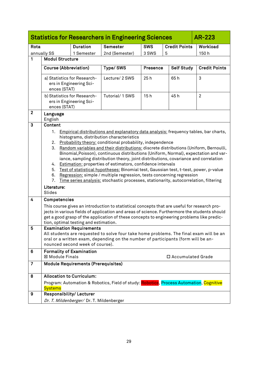<span id="page-28-0"></span>

|                |                                                                                   |                                                                    | <b>Statistics for Researchers in Engineering Sciences</b>                                                                                                                                                                                                                                                                                                                                                                                                                                                                                                                                                                                                                                                                                                                                            |            |                      | <b>AR-223</b>        |
|----------------|-----------------------------------------------------------------------------------|--------------------------------------------------------------------|------------------------------------------------------------------------------------------------------------------------------------------------------------------------------------------------------------------------------------------------------------------------------------------------------------------------------------------------------------------------------------------------------------------------------------------------------------------------------------------------------------------------------------------------------------------------------------------------------------------------------------------------------------------------------------------------------------------------------------------------------------------------------------------------------|------------|----------------------|----------------------|
| Rota           |                                                                                   | <b>Duration</b>                                                    | Semester                                                                                                                                                                                                                                                                                                                                                                                                                                                                                                                                                                                                                                                                                                                                                                                             | <b>SWS</b> | <b>Credit Points</b> | Workload             |
|                | annually SS                                                                       | 1 Semester                                                         | 2nd (Semester)                                                                                                                                                                                                                                                                                                                                                                                                                                                                                                                                                                                                                                                                                                                                                                                       | 3 SWS      | 5                    | 150h                 |
| 1              | <b>Modul Structure</b>                                                            |                                                                    |                                                                                                                                                                                                                                                                                                                                                                                                                                                                                                                                                                                                                                                                                                                                                                                                      |            |                      |                      |
|                | <b>Course (Abbreviation)</b>                                                      |                                                                    | Type/SWS                                                                                                                                                                                                                                                                                                                                                                                                                                                                                                                                                                                                                                                                                                                                                                                             | Presence   | <b>Self Study</b>    | <b>Credit Points</b> |
|                | ences (STAT)                                                                      | a) Statistics for Research-<br>ers in Engineering Sci-             | Lecture/ 2 SWS                                                                                                                                                                                                                                                                                                                                                                                                                                                                                                                                                                                                                                                                                                                                                                                       | 25h        | 65h                  | 3                    |
|                | ences (STAT)                                                                      | b) Statistics for Research-<br>ers in Engineering Sci-             | Tutorial/1 SWS                                                                                                                                                                                                                                                                                                                                                                                                                                                                                                                                                                                                                                                                                                                                                                                       | 15h        | 45h                  | $\overline{2}$       |
| $\overline{2}$ | Language<br>English                                                               |                                                                    |                                                                                                                                                                                                                                                                                                                                                                                                                                                                                                                                                                                                                                                                                                                                                                                                      |            |                      |                      |
| 3              | <b>Content</b><br>1.<br>2.<br>3.<br>4.<br>5.<br>6.<br>7.<br>Literature:<br>Slides |                                                                    | Empirical distributions and explanatory data analysis: frequency tables, bar charts,<br>histograms, distribution characteristics<br>Probability theory: conditional probability, independence<br>Random variables and their distributions: discrete distributions (Uniform, Bernoulli,<br>Binomial, Poisson), continuous distributions (Uniform, Normal), expectation and var-<br>iance, sampling distribution theory, joint distributions, covariance and correlation<br><b>Estimation:</b> properties of estimators, confidence intervals<br>Test of statistical hypotheses: Binomial test, Gaussian test, t-test, power, p-value<br>Regression: simple / multiple regression, tests concerning regression<br>Time series analysis: stochastic processes, stationarity, autocorrelation, filtering |            |                      |                      |
| 4              | Competencies                                                                      | tion, optimal testing and estimation.                              | This course gives an introduction to statistical concepts that are useful for research pro-<br>jects in various fields of application and areas of science. Furthermore the students should<br>get a good grasp of the application of these concepts to engineering problems like predic-                                                                                                                                                                                                                                                                                                                                                                                                                                                                                                            |            |                      |                      |
| 5              |                                                                                   | <b>Examination Requirements</b><br>nounced second week of course). | All students are requested to solve four take home problems. The final exam will be an<br>oral or a written exam, depending on the number of participants (form will be an-                                                                                                                                                                                                                                                                                                                                                                                                                                                                                                                                                                                                                          |            |                      |                      |
| 6              | ⊠ Module Finals                                                                   | <b>Formality of Examination</b>                                    |                                                                                                                                                                                                                                                                                                                                                                                                                                                                                                                                                                                                                                                                                                                                                                                                      |            | □ Accumulated Grade  |                      |
| $\overline{7}$ |                                                                                   | <b>Module Requirements (Prerequisites)</b>                         |                                                                                                                                                                                                                                                                                                                                                                                                                                                                                                                                                                                                                                                                                                                                                                                                      |            |                      |                      |
| 8              | <b>Allocation to Curriculum:</b>                                                  |                                                                    |                                                                                                                                                                                                                                                                                                                                                                                                                                                                                                                                                                                                                                                                                                                                                                                                      |            |                      |                      |
|                | <b>Systems</b>                                                                    |                                                                    | Program: Automation & Robotics, Field of study: Robotics, Process Automation, Cognitive                                                                                                                                                                                                                                                                                                                                                                                                                                                                                                                                                                                                                                                                                                              |            |                      |                      |
| 9              | Responsibility/Lecturer                                                           |                                                                    |                                                                                                                                                                                                                                                                                                                                                                                                                                                                                                                                                                                                                                                                                                                                                                                                      |            |                      |                      |
|                |                                                                                   | Dr. T. Mildenberger/ Dr. T. Mildenberger                           |                                                                                                                                                                                                                                                                                                                                                                                                                                                                                                                                                                                                                                                                                                                                                                                                      |            |                      |                      |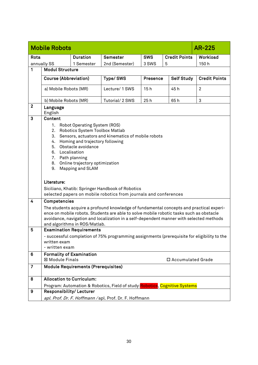<span id="page-29-0"></span>

|              | <b>Mobile Robots</b>                                                                                                                                                                                                                                                                                                                                                                            |                                            |                                                                                                                                                                                                                                                                               |                 |                      | <b>AR-225</b>        |
|--------------|-------------------------------------------------------------------------------------------------------------------------------------------------------------------------------------------------------------------------------------------------------------------------------------------------------------------------------------------------------------------------------------------------|--------------------------------------------|-------------------------------------------------------------------------------------------------------------------------------------------------------------------------------------------------------------------------------------------------------------------------------|-----------------|----------------------|----------------------|
| Rota         |                                                                                                                                                                                                                                                                                                                                                                                                 | <b>Duration</b>                            | <b>Semester</b>                                                                                                                                                                                                                                                               | <b>SWS</b>      | <b>Credit Points</b> | Workload             |
|              | annually SS                                                                                                                                                                                                                                                                                                                                                                                     | 1 Semester                                 | 2nd (Semester)                                                                                                                                                                                                                                                                | 3 SWS           | 5                    | 150h                 |
| 1            | <b>Modul Structure</b>                                                                                                                                                                                                                                                                                                                                                                          |                                            |                                                                                                                                                                                                                                                                               |                 |                      |                      |
|              | <b>Course (Abbreviation)</b>                                                                                                                                                                                                                                                                                                                                                                    |                                            | Type/SWS                                                                                                                                                                                                                                                                      | <b>Presence</b> | <b>Self Study</b>    | <b>Credit Points</b> |
|              | a) Mobile Robots (MR)                                                                                                                                                                                                                                                                                                                                                                           |                                            | Lecture/ 1 SWS                                                                                                                                                                                                                                                                | 15h             | 45h                  | $\overline{2}$       |
|              | b) Mobile Robots (MR)                                                                                                                                                                                                                                                                                                                                                                           |                                            | Tutorial/ 2 SWS                                                                                                                                                                                                                                                               | 25h             | 65h                  | 3                    |
| $\mathbf{2}$ | Language<br>English                                                                                                                                                                                                                                                                                                                                                                             |                                            |                                                                                                                                                                                                                                                                               |                 |                      |                      |
| 3            | Content<br>1. Robot Operating System (ROS)<br>2.<br>Robotics System Toolbox Matlab<br>3.<br>Sensors, actuators and kinematics of mobile robots<br>Homing and trajectory following<br>4.<br>Obstacle avoidance<br>5.<br>6. Localisation<br>7. Path planning<br>Online trajectory optimization<br>8.<br>Mapping and SLAM<br>9.<br>Literature:<br>Siciliano, Khatib: Springer Handbook of Robotics |                                            |                                                                                                                                                                                                                                                                               |                 |                      |                      |
| 4            | Competencies                                                                                                                                                                                                                                                                                                                                                                                    | and algorithms in ROS/Matlab.              | The students acquire a profound knowledge of fundamental concepts and practical experi-<br>ence on mobile robots. Students are able to solve mobile robotic tasks such as obstacle<br>avoidance, navigation and localization in a self-dependent manner with selected methods |                 |                      |                      |
| 5            |                                                                                                                                                                                                                                                                                                                                                                                                 | <b>Examination Requirements</b>            |                                                                                                                                                                                                                                                                               |                 |                      |                      |
|              | written exam<br>- written exam                                                                                                                                                                                                                                                                                                                                                                  |                                            | - successful completion of 75% programming assignments (prerequisite for eligibility to the                                                                                                                                                                                   |                 |                      |                      |
| 6            | <b>Formality of Examination</b><br><b>⊠ Module Finals</b>                                                                                                                                                                                                                                                                                                                                       |                                            |                                                                                                                                                                                                                                                                               |                 | □ Accumulated Grade  |                      |
| 7            |                                                                                                                                                                                                                                                                                                                                                                                                 | <b>Module Requirements (Prerequisites)</b> |                                                                                                                                                                                                                                                                               |                 |                      |                      |
| 8            | <b>Allocation to Curriculum:</b>                                                                                                                                                                                                                                                                                                                                                                |                                            |                                                                                                                                                                                                                                                                               |                 |                      |                      |
|              |                                                                                                                                                                                                                                                                                                                                                                                                 |                                            | Program: Automation & Robotics, Field of study: Robotics, Cognitive Systems                                                                                                                                                                                                   |                 |                      |                      |
| 9            | Responsibility/Lecturer                                                                                                                                                                                                                                                                                                                                                                         |                                            |                                                                                                                                                                                                                                                                               |                 |                      |                      |
|              |                                                                                                                                                                                                                                                                                                                                                                                                 |                                            | apl. Prof. Dr. F. Hoffmann / apl. Prof. Dr. F. Hoffmann                                                                                                                                                                                                                       |                 |                      |                      |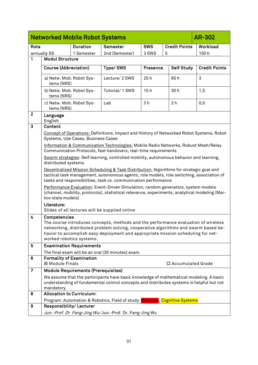<span id="page-30-0"></span>

|                  | <b>Networked Mobile Robot Systems</b><br><b>AR-302</b> |                                            |                                                                                                                                                                                    |                |                      |                      |
|------------------|--------------------------------------------------------|--------------------------------------------|------------------------------------------------------------------------------------------------------------------------------------------------------------------------------------|----------------|----------------------|----------------------|
| Rota             |                                                        | <b>Duration</b>                            | Semester                                                                                                                                                                           | <b>SWS</b>     | <b>Credit Points</b> | Workload             |
|                  | annually SS                                            | 1 Semester                                 | 2nd (Semester)                                                                                                                                                                     | 3 SWS          | 5                    | 150h                 |
| 1                | <b>Modul Structure</b>                                 |                                            |                                                                                                                                                                                    |                |                      |                      |
|                  | <b>Course (Abbreviation)</b>                           |                                            | Type/SWS                                                                                                                                                                           | Presence       | <b>Self Study</b>    | <b>Credit Points</b> |
|                  | a) Netw. Mob. Robot Sys-<br>tems (NRS)                 |                                            | Lecture/ 2 SWS                                                                                                                                                                     | 25h            | 65h                  | 3                    |
|                  | b) Netw. Mob. Robot Sys-<br>tems (NRS)                 |                                            | Tutorial/1 SWS                                                                                                                                                                     | 15h            | 30h                  | 1,5                  |
|                  | c) Netw. Mob. Robot Sys-<br>tems (NRS)                 |                                            | Lab                                                                                                                                                                                | 3 <sub>h</sub> | 2 <sub>h</sub>       | 0, 5                 |
| $\overline{2}$   | Language<br>English                                    |                                            |                                                                                                                                                                                    |                |                      |                      |
| $\overline{3}$   | Content                                                |                                            |                                                                                                                                                                                    |                |                      |                      |
|                  |                                                        | Systems, Use Cases, Business Cases         | Concept of Operations: Definitions, Impact and History of Networked Robot Systems, Robot                                                                                           |                |                      |                      |
|                  |                                                        |                                            | Information & Communication Technologies: Mobile Radio Networks, Robust Mesh/Relay<br>Communication Protocols, fast handovers, real-time requirements                              |                |                      |                      |
|                  |                                                        |                                            | Swarm strategies: Self learning, controlled mobility, autonomous behavior and learning,                                                                                            |                |                      |                      |
|                  | distributed systems                                    |                                            |                                                                                                                                                                                    |                |                      |                      |
|                  |                                                        |                                            | Decentralized Mission Scheduling & Task Distribution: Algorithms for strategic goal and                                                                                            |                |                      |                      |
|                  |                                                        |                                            | tactical task management, autonomous agents, role models, role switching, association of<br>tasks and responsibilities, task vs. communication performance                         |                |                      |                      |
|                  | kov state models)                                      |                                            | Performance Evaluation: Event-Driven Simulation, random generators, system models<br>(channel, mobility, protocols), statistical relevance, experiments, analytical modeling (Mar- |                |                      |                      |
|                  | Literature:                                            |                                            |                                                                                                                                                                                    |                |                      |                      |
|                  |                                                        |                                            | Slides of all lectures will be supplied online                                                                                                                                     |                |                      |                      |
| 4                | Competencies                                           |                                            |                                                                                                                                                                                    |                |                      |                      |
|                  |                                                        |                                            | The course introduces concepts, methods and the performance evaluation of wireless                                                                                                 |                |                      |                      |
|                  |                                                        |                                            | networking, distributed problem solving, cooperative algorithms and swarm based be-<br>havior to accomplish easy deployment and appropriate mission scheduling for net-            |                |                      |                      |
|                  |                                                        | worked robotics systems.                   |                                                                                                                                                                                    |                |                      |                      |
| 5                |                                                        | <b>Examination Requirements</b>            |                                                                                                                                                                                    |                |                      |                      |
|                  |                                                        |                                            | The final exam will be an oral (30 minutes) exam.                                                                                                                                  |                |                      |                      |
| 6                | <b>Formality of Examination</b><br>⊠ Module Finals     |                                            |                                                                                                                                                                                    |                | □ Accumulated Grade  |                      |
| $\overline{7}$   |                                                        | <b>Module Requirements (Prerequisites)</b> |                                                                                                                                                                                    |                |                      |                      |
|                  | mandatory.                                             |                                            | We assume that the participants have basic knowledge of mathematical modeling. A basic<br>understanding of fundamental control concepts and distributes systems is helpful but not |                |                      |                      |
| 8                | <b>Allocation to Curriculum:</b>                       |                                            |                                                                                                                                                                                    |                |                      |                      |
|                  |                                                        |                                            | Program: Automation & Robotics, Field of study: Robotics, Cognitive Systems                                                                                                        |                |                      |                      |
| $\boldsymbol{9}$ | Responsibility/Lecturer                                |                                            |                                                                                                                                                                                    |                |                      |                      |
|                  |                                                        |                                            | Jun.-Prof. Dr. Fang-Jing Wu/Jun.-Prof. Dr. Fang-Jing Wu                                                                                                                            |                |                      |                      |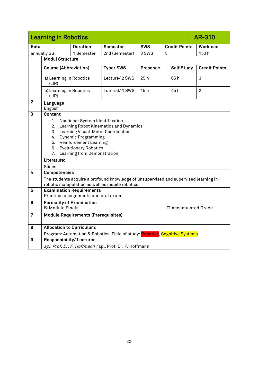<span id="page-31-0"></span>

|                | <b>Learning in Robotics</b>                                                                                                                                                                                                                                                                                           |                                                                         |                                                                                                                                          |                 |                      | <b>AR-310</b>        |
|----------------|-----------------------------------------------------------------------------------------------------------------------------------------------------------------------------------------------------------------------------------------------------------------------------------------------------------------------|-------------------------------------------------------------------------|------------------------------------------------------------------------------------------------------------------------------------------|-----------------|----------------------|----------------------|
| Rota           |                                                                                                                                                                                                                                                                                                                       | <b>Duration</b>                                                         | Semester                                                                                                                                 | <b>SWS</b>      | <b>Credit Points</b> | Workload             |
|                | annually SS                                                                                                                                                                                                                                                                                                           | 1 Semester                                                              | 2nd (Semester)                                                                                                                           | 3 SWS           | 5                    | 150h                 |
| 1              | <b>Modul Structure</b>                                                                                                                                                                                                                                                                                                |                                                                         |                                                                                                                                          |                 |                      |                      |
|                | <b>Course (Abbreviation)</b>                                                                                                                                                                                                                                                                                          |                                                                         | Type/SWS                                                                                                                                 | <b>Presence</b> | <b>Self Study</b>    | <b>Credit Points</b> |
|                | a) Learning in Robotics<br>(LIR)                                                                                                                                                                                                                                                                                      |                                                                         | Lecture/ 2 SWS                                                                                                                           | 25h             | 65h                  | 3                    |
|                | b) Learning in Robotics<br>(LIR)                                                                                                                                                                                                                                                                                      |                                                                         | Tutorial/1 SWS                                                                                                                           | 15h             | 45h                  | $\overline{2}$       |
| $\mathbf{2}$   | Language<br>English                                                                                                                                                                                                                                                                                                   |                                                                         |                                                                                                                                          |                 |                      |                      |
| 3              | <b>Content</b><br>1.<br>Nonlinear System Identification<br>2.<br>Learning Robot Kinematics and Dynamics<br>Learning Visual-Motor Coordination<br>3.<br><b>Dynamic Programming</b><br>4.<br>5. Reinforcement Learning<br><b>Evolutionary Robotics</b><br>6.<br>7. Learning from Demonstration<br>Literature:<br>Slides |                                                                         |                                                                                                                                          |                 |                      |                      |
| 4              | <b>Competencies</b>                                                                                                                                                                                                                                                                                                   |                                                                         | The students acquire a profound knowledge of unsupervised and supervised learning in<br>robotic manipulation as well as mobile robotics. |                 |                      |                      |
| 5              |                                                                                                                                                                                                                                                                                                                       | <b>Examination Requirements</b><br>Practical assignments and oral exam. |                                                                                                                                          |                 |                      |                      |
| $6\phantom{1}$ | <b>Formality of Examination</b><br><b>⊠ Module Finals</b>                                                                                                                                                                                                                                                             |                                                                         |                                                                                                                                          |                 | □ Accumulated Grade  |                      |
| $\overline{7}$ |                                                                                                                                                                                                                                                                                                                       | <b>Module Requirements (Prerequisites)</b>                              |                                                                                                                                          |                 |                      |                      |
| 8              | <b>Allocation to Curriculum:</b>                                                                                                                                                                                                                                                                                      |                                                                         |                                                                                                                                          |                 |                      |                      |
|                |                                                                                                                                                                                                                                                                                                                       |                                                                         | Program: Automation & Robotics, Field of study: <mark>Robotics</mark> , Cognitive Systems                                                |                 |                      |                      |
| 9              | <b>Responsibility/Lecturer</b>                                                                                                                                                                                                                                                                                        |                                                                         |                                                                                                                                          |                 |                      |                      |
|                |                                                                                                                                                                                                                                                                                                                       |                                                                         | apl. Prof. Dr. F. Hoffmann / apl. Prof. Dr. F. Hoffmann                                                                                  |                 |                      |                      |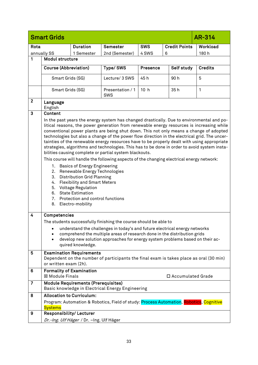<span id="page-32-0"></span>

|                | <b>Smart Grids</b><br>AR-314                              |                                                                                                                                                                                                                                                                    |                                                                                                                                                                                                                                                                                                                                                                                                                                                                                                                                                                                                                                                                                                                                        |                 |                      |                |  |
|----------------|-----------------------------------------------------------|--------------------------------------------------------------------------------------------------------------------------------------------------------------------------------------------------------------------------------------------------------------------|----------------------------------------------------------------------------------------------------------------------------------------------------------------------------------------------------------------------------------------------------------------------------------------------------------------------------------------------------------------------------------------------------------------------------------------------------------------------------------------------------------------------------------------------------------------------------------------------------------------------------------------------------------------------------------------------------------------------------------------|-----------------|----------------------|----------------|--|
| Rota           |                                                           | <b>Duration</b>                                                                                                                                                                                                                                                    | Semester                                                                                                                                                                                                                                                                                                                                                                                                                                                                                                                                                                                                                                                                                                                               | <b>SWS</b>      | <b>Credit Points</b> | Workload       |  |
|                | annually SS                                               | 1 Semester                                                                                                                                                                                                                                                         | 2nd (Semester)                                                                                                                                                                                                                                                                                                                                                                                                                                                                                                                                                                                                                                                                                                                         | 4 SWS           | 6                    | 180h           |  |
| 1              | <b>Modul structure</b>                                    |                                                                                                                                                                                                                                                                    |                                                                                                                                                                                                                                                                                                                                                                                                                                                                                                                                                                                                                                                                                                                                        |                 |                      |                |  |
|                | <b>Course (Abbreviation)</b>                              |                                                                                                                                                                                                                                                                    | Type/SWS                                                                                                                                                                                                                                                                                                                                                                                                                                                                                                                                                                                                                                                                                                                               | Presence        | Self study           | <b>Credits</b> |  |
|                | Smart Grids (SG)                                          |                                                                                                                                                                                                                                                                    | Lecture/ 3 SWS                                                                                                                                                                                                                                                                                                                                                                                                                                                                                                                                                                                                                                                                                                                         | 45 h            | 90h                  | 5              |  |
|                | Smart Grids (SG)                                          |                                                                                                                                                                                                                                                                    | Presentation / 1<br>SWS                                                                                                                                                                                                                                                                                                                                                                                                                                                                                                                                                                                                                                                                                                                | 10 <sub>h</sub> | 35h                  | 1              |  |
| $\overline{2}$ | Language<br>English                                       |                                                                                                                                                                                                                                                                    |                                                                                                                                                                                                                                                                                                                                                                                                                                                                                                                                                                                                                                                                                                                                        |                 |                      |                |  |
| 3              | Content                                                   |                                                                                                                                                                                                                                                                    |                                                                                                                                                                                                                                                                                                                                                                                                                                                                                                                                                                                                                                                                                                                                        |                 |                      |                |  |
|                | 1.<br>2.<br>3.<br>4.<br>5.                                | <b>Basics of Energy Engineering</b><br>Renewable Energy Technologies<br><b>Distribution Grid Planning</b><br><b>Flexibility and Smart Meters</b><br><b>Voltage Regulation</b><br>6. State Estimation<br>7. Protection and control functions<br>8. Electro-mobility | In the past years the energy system has changed drastically. Due to environmental and po-<br>litical reasons, the power generation from renewable energy resources is increasing while<br>conventional power plants are being shut down. This not only means a change of adopted<br>technologies but also a change of the power flow direction in the electrical grid. The uncer-<br>tainties of the renewable energy resources have to be properly dealt with using appropriate<br>strategies, algorithms and technologies. This has to be done in order to avoid system insta-<br>bilities causing complete or partial system blackouts.<br>This course will handle the following aspects of the changing electrical energy network: |                 |                      |                |  |
| $\overline{4}$ | Competencies                                              |                                                                                                                                                                                                                                                                    |                                                                                                                                                                                                                                                                                                                                                                                                                                                                                                                                                                                                                                                                                                                                        |                 |                      |                |  |
|                |                                                           |                                                                                                                                                                                                                                                                    | The students successfully finishing the course should be able to                                                                                                                                                                                                                                                                                                                                                                                                                                                                                                                                                                                                                                                                       |                 |                      |                |  |
|                | $\bullet$<br>$\bullet$                                    | quired knowledge.                                                                                                                                                                                                                                                  | understand the challenges in today's and future electrical energy networks<br>comprehend the multiple areas of research done in the distribution grids<br>develop new solution approaches for energy system problems based on their ac-                                                                                                                                                                                                                                                                                                                                                                                                                                                                                                |                 |                      |                |  |
| 5              | or written exam (2h).                                     | <b>Examination Requirements</b>                                                                                                                                                                                                                                    | Dependent on the number of participants the final exam is takes place as oral (30 min)                                                                                                                                                                                                                                                                                                                                                                                                                                                                                                                                                                                                                                                 |                 |                      |                |  |
| 6              | <b>Formality of Examination</b><br><b>⊠ Module Finals</b> |                                                                                                                                                                                                                                                                    |                                                                                                                                                                                                                                                                                                                                                                                                                                                                                                                                                                                                                                                                                                                                        |                 | □ Accumulated Grade  |                |  |
| 7              |                                                           | <b>Module Requirements (Prerequisites)</b>                                                                                                                                                                                                                         | Basic knowledge in Electrical Energy Engineering                                                                                                                                                                                                                                                                                                                                                                                                                                                                                                                                                                                                                                                                                       |                 |                      |                |  |
| 8              | <b>Allocation to Curriculum:</b>                          |                                                                                                                                                                                                                                                                    |                                                                                                                                                                                                                                                                                                                                                                                                                                                                                                                                                                                                                                                                                                                                        |                 |                      |                |  |
|                | <b>Systems</b>                                            |                                                                                                                                                                                                                                                                    | Program: Automation & Robotics, Field of study: Process Automation, Robotics, Cognitive                                                                                                                                                                                                                                                                                                                                                                                                                                                                                                                                                                                                                                                |                 |                      |                |  |
| 9              | Responsibility/Lecturer                                   |                                                                                                                                                                                                                                                                    |                                                                                                                                                                                                                                                                                                                                                                                                                                                                                                                                                                                                                                                                                                                                        |                 |                      |                |  |
|                |                                                           | Dr.-Ing. Ulf Häger / Dr. -Ing. Ulf Häger                                                                                                                                                                                                                           |                                                                                                                                                                                                                                                                                                                                                                                                                                                                                                                                                                                                                                                                                                                                        |                 |                      |                |  |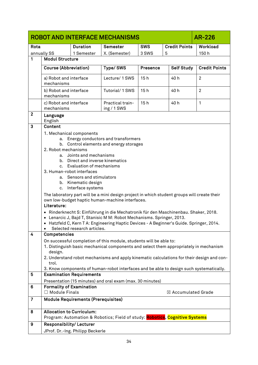<span id="page-33-0"></span>

|                | ROBOT AND INTERFACE MECHANISMS<br>AR-226           |                                                           |                                                                                                                                                              |                 |                               |                      |
|----------------|----------------------------------------------------|-----------------------------------------------------------|--------------------------------------------------------------------------------------------------------------------------------------------------------------|-----------------|-------------------------------|----------------------|
| Rota           |                                                    | <b>Duration</b>                                           | Semester                                                                                                                                                     | <b>SWS</b>      | <b>Credit Points</b>          | Workload             |
|                | annually SS                                        | 1 Semester                                                | X. (Semester)                                                                                                                                                | 3 SWS           | 5                             | 150h                 |
| 1              | <b>Modul Structure</b>                             |                                                           |                                                                                                                                                              |                 |                               |                      |
|                | <b>Course (Abbreviation)</b>                       |                                                           | <b>Type/SWS</b>                                                                                                                                              | <b>Presence</b> | <b>Self Study</b>             | <b>Credit Points</b> |
|                | a) Robot and interface<br>mechanisms               |                                                           | Lecture/ 1 SWS                                                                                                                                               | 15h             | 40 h                          | $\overline{2}$       |
|                | b) Robot and interface<br>mechanisms               |                                                           | Tutorial/1 SWS                                                                                                                                               | 15h             | 40 h                          | $\overline{2}$       |
|                | c) Robot and interface<br>mechanisms               |                                                           | Practical train-<br>ing / 1 SWS                                                                                                                              | 15h             | 40 h                          | 1                    |
| $\mathbf{2}$   | Language<br>English                                |                                                           |                                                                                                                                                              |                 |                               |                      |
| 3              | Content                                            |                                                           |                                                                                                                                                              |                 |                               |                      |
|                |                                                    | 1. Mechanical components                                  |                                                                                                                                                              |                 |                               |                      |
|                | а.                                                 |                                                           | Energy conductors and transformers                                                                                                                           |                 |                               |                      |
|                | b.                                                 |                                                           | Control elements and energy storages                                                                                                                         |                 |                               |                      |
|                | 2. Robot mechanisms                                |                                                           |                                                                                                                                                              |                 |                               |                      |
|                | b.                                                 | a. Joints and mechanisms<br>Direct and inverse kinematics |                                                                                                                                                              |                 |                               |                      |
|                | c.                                                 | Evaluation of mechanisms                                  |                                                                                                                                                              |                 |                               |                      |
|                | 3. Human-robot interfaces                          |                                                           |                                                                                                                                                              |                 |                               |                      |
|                | а.                                                 | Sensors and stimulators                                   |                                                                                                                                                              |                 |                               |                      |
|                | b.                                                 | Kinematic design                                          |                                                                                                                                                              |                 |                               |                      |
|                | c.                                                 | Interface systems                                         |                                                                                                                                                              |                 |                               |                      |
|                |                                                    |                                                           | The laboratory part will be a mini design project in which student groups will create their                                                                  |                 |                               |                      |
|                |                                                    |                                                           | own low-budget haptic human-machine interfaces.                                                                                                              |                 |                               |                      |
|                | Literature:                                        |                                                           |                                                                                                                                                              |                 |                               |                      |
|                |                                                    |                                                           | · Rinderknecht S: Einführung in die Mechatronik für den Maschinenbau. Shaker, 2018.<br>• Lenarcic J, Bajd T, Stanisic M M: Robot Mechanisms. Springer, 2013. |                 |                               |                      |
|                |                                                    |                                                           | • Hatzfeld C, Kern T A: Engineering Haptic Devices - A Beginner's Guide. Springer, 2014.                                                                     |                 |                               |                      |
|                |                                                    | Selected research articles.                               |                                                                                                                                                              |                 |                               |                      |
| 4              | <b>Competencies</b>                                |                                                           |                                                                                                                                                              |                 |                               |                      |
|                |                                                    |                                                           | On successful completion of this module, students will be able to:                                                                                           |                 |                               |                      |
|                | design.                                            |                                                           | 1. Distinguish basic mechanical components and select them appropriately in mechanism                                                                        |                 |                               |                      |
|                | trol.                                              |                                                           | 2. Understand robot mechanisms and apply kinematic calculations for their design and con-                                                                    |                 |                               |                      |
|                |                                                    |                                                           | 3. Know components of human-robot interfaces and be able to design such systematically.                                                                      |                 |                               |                      |
| 5              |                                                    | <b>Examination Requirements</b>                           |                                                                                                                                                              |                 |                               |                      |
|                |                                                    |                                                           | Presentation (15 minutes) and oral exam (max. 30 minutes)                                                                                                    |                 |                               |                      |
| 6              | <b>Formality of Examination</b><br>□ Module Finals |                                                           |                                                                                                                                                              |                 | $\boxtimes$ Accumulated Grade |                      |
| $\overline{7}$ |                                                    | <b>Module Requirements (Prerequisites)</b>                |                                                                                                                                                              |                 |                               |                      |
| 8              | <b>Allocation to Curriculum:</b>                   |                                                           |                                                                                                                                                              |                 |                               |                      |
|                |                                                    |                                                           | Program: Automation & Robotics; Field of study: Robotics, Cognitive Systems                                                                                  |                 |                               |                      |
| 9              | Responsibility/Lecturer                            |                                                           |                                                                                                                                                              |                 |                               |                      |
|                |                                                    | JProf. Dr.-Ing. Philipp Beckerle                          |                                                                                                                                                              |                 |                               |                      |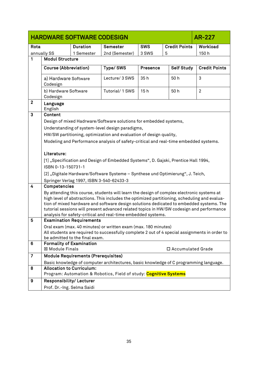<span id="page-34-0"></span>

|                | <b>HARDWARE SOFTWARE CODESIGN</b><br>AR-227 |                                                      |                                                                                                                                                                                     |            |                      |                      |
|----------------|---------------------------------------------|------------------------------------------------------|-------------------------------------------------------------------------------------------------------------------------------------------------------------------------------------|------------|----------------------|----------------------|
| Rota           |                                             | <b>Duration</b>                                      | <b>Semester</b>                                                                                                                                                                     | <b>SWS</b> | <b>Credit Points</b> | Workload             |
|                | annually SS                                 | 1 Semester                                           | 2nd (Semester)                                                                                                                                                                      | 3 SWS      | 5                    | 150h                 |
| 1              | <b>Modul Structure</b>                      |                                                      |                                                                                                                                                                                     |            |                      |                      |
|                | <b>Course (Abbreviation)</b>                |                                                      | Type/SWS                                                                                                                                                                            | Presence   | <b>Self Study</b>    | <b>Credit Points</b> |
|                |                                             |                                                      |                                                                                                                                                                                     |            |                      |                      |
|                |                                             | Lecture/ 3 SWS<br>50h<br>a) Hardware Software<br>35h |                                                                                                                                                                                     | 3          |                      |                      |
|                | Codesign                                    |                                                      |                                                                                                                                                                                     |            |                      |                      |
|                | b) Hardware Software<br>Codesign            |                                                      | Tutorial/1 SWS                                                                                                                                                                      | 15h        | 50h                  | $\overline{2}$       |
| $\mathbf{2}$   | Language                                    |                                                      |                                                                                                                                                                                     |            |                      |                      |
|                | English                                     |                                                      |                                                                                                                                                                                     |            |                      |                      |
| 3              | Content                                     |                                                      |                                                                                                                                                                                     |            |                      |                      |
|                |                                             |                                                      | Design of mixed Hadrware/Software solutions for embedded systems,                                                                                                                   |            |                      |                      |
|                |                                             |                                                      | Understanding of system-level design paradigms,                                                                                                                                     |            |                      |                      |
|                |                                             |                                                      | HW/SW partitioning, optimization and evaluation of design quality,                                                                                                                  |            |                      |                      |
|                |                                             |                                                      | Modeling and Performance analysis of safety-critical and real-time embedded systems.                                                                                                |            |                      |                      |
|                | Literature:                                 |                                                      |                                                                                                                                                                                     |            |                      |                      |
|                |                                             |                                                      | [1] "Specification and Design of Embedded Systems", D. Gajski, Prentice Hall 1994,                                                                                                  |            |                      |                      |
|                | ISBN 0-13-150731-1                          |                                                      |                                                                                                                                                                                     |            |                      |                      |
|                |                                             |                                                      | [2] "Digitale Hardware/Software Systeme - Synthese und Optimierung", J. Teich,                                                                                                      |            |                      |                      |
|                |                                             | Springer Verlag 1997, ISBN 3-540-62433-3             |                                                                                                                                                                                     |            |                      |                      |
| 4              | Competencies                                |                                                      |                                                                                                                                                                                     |            |                      |                      |
|                |                                             |                                                      | By attending this course, students will learn the design of complex electronic systems at                                                                                           |            |                      |                      |
|                |                                             |                                                      | high level of abstractions. This includes the optimized partitioning, scheduling and evalua-                                                                                        |            |                      |                      |
|                |                                             |                                                      | tion of mixed hardware and software design solutions dedicated to embedded systems. The<br>tutorial sessions will present advanced related topics in HW/SW codesign and performance |            |                      |                      |
|                |                                             |                                                      | analysis for safety-critical and real-time embedded systems.                                                                                                                        |            |                      |                      |
| 5              |                                             | <b>Examination Requirements</b>                      |                                                                                                                                                                                     |            |                      |                      |
|                |                                             |                                                      | Oral exam (max. 40 minutes) or written exam (max. 180 minutes)                                                                                                                      |            |                      |                      |
|                |                                             |                                                      | All students are required to successfully complete 2 out of 4 special assignments in order to                                                                                       |            |                      |                      |
| 6              | <b>Formality of Examination</b>             | be admitted to the final exam.                       |                                                                                                                                                                                     |            |                      |                      |
|                | <b>⊠ Module Finals</b>                      |                                                      |                                                                                                                                                                                     |            | □ Accumulated Grade  |                      |
| $\overline{7}$ |                                             | <b>Module Requirements (Prerequisites)</b>           |                                                                                                                                                                                     |            |                      |                      |
|                |                                             |                                                      | Basic knowledge of computer architectures, basic knowledge of C programming language.                                                                                               |            |                      |                      |
| 8              | <b>Allocation to Curriculum:</b>            |                                                      |                                                                                                                                                                                     |            |                      |                      |
|                |                                             |                                                      | Program: Automation & Robotics, Field of study: Cognitive Systems                                                                                                                   |            |                      |                      |
| 9              | <b>Responsibility/Lecturer</b>              |                                                      |                                                                                                                                                                                     |            |                      |                      |
|                | Prof. Dr.-Ing. Selma Saidi                  |                                                      |                                                                                                                                                                                     |            |                      |                      |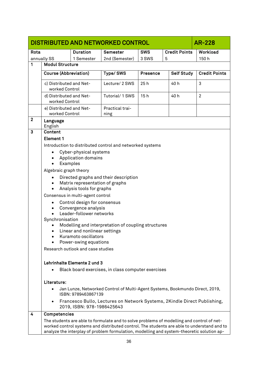<span id="page-35-0"></span>

|              | DISTRIBUTED AND NETWORKED CONTROL<br>AR-228 |                                                              |                                                                                                                                                                                                                                                                                      |                 |                      |                      |
|--------------|---------------------------------------------|--------------------------------------------------------------|--------------------------------------------------------------------------------------------------------------------------------------------------------------------------------------------------------------------------------------------------------------------------------------|-----------------|----------------------|----------------------|
| Rota         |                                             | <b>Duration</b>                                              | <b>Semester</b>                                                                                                                                                                                                                                                                      | <b>SWS</b>      | <b>Credit Points</b> | Workload             |
|              | annually SS                                 | 1 Semester                                                   | 2nd (Semester)                                                                                                                                                                                                                                                                       | 3 SWS           | 5                    | 150h                 |
| 1            | <b>Modul Structure</b>                      |                                                              |                                                                                                                                                                                                                                                                                      |                 |                      |                      |
|              | <b>Course (Abbreviation)</b>                |                                                              | Type/SWS                                                                                                                                                                                                                                                                             | <b>Presence</b> | <b>Self Study</b>    | <b>Credit Points</b> |
|              | c) Distributed and Net-<br>worked Control   |                                                              | Lecture/ 2 SWS                                                                                                                                                                                                                                                                       | 25h             | 40 h                 | 3                    |
|              | d) Distributed and Net-<br>worked Control   |                                                              | Tutorial/1 SWS                                                                                                                                                                                                                                                                       | 15h             | 40 h                 | $\overline{2}$       |
|              | e) Distributed and Net-<br>worked Control   |                                                              | Practical trai-<br>ning                                                                                                                                                                                                                                                              |                 |                      |                      |
| $\mathbf{2}$ | Language<br>English                         |                                                              |                                                                                                                                                                                                                                                                                      |                 |                      |                      |
| 3            | Content                                     |                                                              |                                                                                                                                                                                                                                                                                      |                 |                      |                      |
|              | <b>Element 1</b>                            |                                                              |                                                                                                                                                                                                                                                                                      |                 |                      |                      |
|              |                                             |                                                              | Introduction to distributed control and networked systems                                                                                                                                                                                                                            |                 |                      |                      |
|              | $\bullet$                                   | Cyber-physical systems                                       |                                                                                                                                                                                                                                                                                      |                 |                      |                      |
|              | $\bullet$<br>$\bullet$                      | <b>Application domains</b><br>Examples                       |                                                                                                                                                                                                                                                                                      |                 |                      |                      |
|              | Algebraic graph theory                      |                                                              |                                                                                                                                                                                                                                                                                      |                 |                      |                      |
|              |                                             |                                                              | Directed graphs and their description                                                                                                                                                                                                                                                |                 |                      |                      |
|              | $\bullet$<br>$\bullet$                      | Matrix representation of graphs<br>Analysis tools for graphs |                                                                                                                                                                                                                                                                                      |                 |                      |                      |
|              |                                             | Consensus in multi-agent control                             |                                                                                                                                                                                                                                                                                      |                 |                      |                      |
|              | $\bullet$                                   | Control design for consensus                                 |                                                                                                                                                                                                                                                                                      |                 |                      |                      |
|              | $\bullet$                                   | Convergence analysis                                         |                                                                                                                                                                                                                                                                                      |                 |                      |                      |
|              |                                             | Leader-follower networks                                     |                                                                                                                                                                                                                                                                                      |                 |                      |                      |
|              | Synchronisation                             |                                                              | Modelling and interpretation of coupling structures                                                                                                                                                                                                                                  |                 |                      |                      |
|              |                                             | Linear and nonlinear settings                                |                                                                                                                                                                                                                                                                                      |                 |                      |                      |
|              |                                             | Kuramoto oscillators                                         |                                                                                                                                                                                                                                                                                      |                 |                      |                      |
|              |                                             | Power-swing equations                                        |                                                                                                                                                                                                                                                                                      |                 |                      |                      |
|              |                                             | Research outlook and case studies                            |                                                                                                                                                                                                                                                                                      |                 |                      |                      |
|              |                                             | Lehrinhalte Elemente 2 und 3                                 |                                                                                                                                                                                                                                                                                      |                 |                      |                      |
|              |                                             |                                                              | Black board exercises, in class computer exercises                                                                                                                                                                                                                                   |                 |                      |                      |
|              | Literature:                                 |                                                              |                                                                                                                                                                                                                                                                                      |                 |                      |                      |
|              |                                             | ISBN: 9789463867139                                          | Jan Lunze, Networked Control of Multi-Agent Systems, Bookmundo Direct, 2019,                                                                                                                                                                                                         |                 |                      |                      |
|              |                                             | 2019, ISBN: 978-1986425643                                   | Francesco Bullo, Lectures on Network Systems, 2Kindle Direct Publishing,                                                                                                                                                                                                             |                 |                      |                      |
| 4            | Competencies                                |                                                              |                                                                                                                                                                                                                                                                                      |                 |                      |                      |
|              |                                             |                                                              | The students are able to formulate and to solve problems of modelling and control of net-<br>worked control systems and distributed control. The students are able to understand and to<br>analyze the interplay of problem formulation, modelling and system-theoretic solution ap- |                 |                      |                      |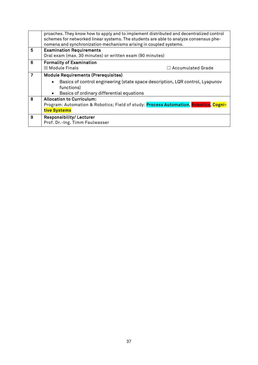|                | proaches. They know how to apply and to implement distributed and decentralized control<br>schemes for networked linear systems. The students are able to analyze consensus phe-<br>nomena and synchronization mechanisms arising in coupled systems. |
|----------------|-------------------------------------------------------------------------------------------------------------------------------------------------------------------------------------------------------------------------------------------------------|
| 5              | <b>Examination Requirements</b>                                                                                                                                                                                                                       |
|                | Oral exam (max. 30 minutes) or written exam (90 minutes)                                                                                                                                                                                              |
| 6              | <b>Formality of Examination</b>                                                                                                                                                                                                                       |
|                | $\boxtimes$ Module Finals<br>$\Box$ Accumulated Grade                                                                                                                                                                                                 |
| $\overline{7}$ | <b>Module Requirements (Prerequisites)</b>                                                                                                                                                                                                            |
|                | Basics of control engineering (state space description, LQR control, Lyapunov<br>functions)                                                                                                                                                           |
|                | Basics of ordinary differential equations                                                                                                                                                                                                             |
| 8              | <b>Allocation to Curriculum:</b>                                                                                                                                                                                                                      |
|                | Program: Automation & Robotics; Field of study: Process Automation, Robotics, Cogni-                                                                                                                                                                  |
|                | tive Systems                                                                                                                                                                                                                                          |
| 9              | <b>Responsibility/Lecturer</b>                                                                                                                                                                                                                        |
|                | Prof. Dr.-Ing. Timm Faulwasser                                                                                                                                                                                                                        |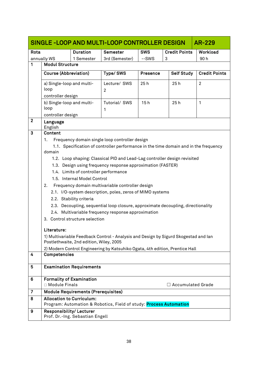<span id="page-37-0"></span>

|                |                                                    |                                                                      | SINGLE-LOOP AND MULTI-LOOP CONTROLLER DESIGN                                         |                 |                          | AR-229               |
|----------------|----------------------------------------------------|----------------------------------------------------------------------|--------------------------------------------------------------------------------------|-----------------|--------------------------|----------------------|
| Rota           |                                                    | <b>Duration</b>                                                      | Semester                                                                             | <b>SWS</b>      | <b>Credit Points</b>     | Workload             |
|                | annually WS                                        | 1 Semester                                                           | 3rd (Semester)                                                                       | --SWS           | 3                        | 90h                  |
| 1              | <b>Modul Structure</b>                             |                                                                      |                                                                                      |                 |                          |                      |
|                | <b>Course (Abbreviation)</b>                       |                                                                      | Type/SWS                                                                             | <b>Presence</b> | <b>Self Study</b>        | <b>Credit Points</b> |
|                | a) Single-loop and multi-                          |                                                                      | Lecture/ SWS                                                                         | 25h             | 25h                      | $\overline{2}$       |
|                | loop                                               |                                                                      | $\overline{c}$                                                                       |                 |                          |                      |
|                | controller design                                  |                                                                      |                                                                                      |                 |                          |                      |
|                | b) Single-loop and multi-<br>loop                  |                                                                      | Tutorial/ SWS                                                                        | 15h             | 25h                      | 1                    |
|                | controller design                                  |                                                                      | 1                                                                                    |                 |                          |                      |
| $\mathbf{2}$   | Language                                           |                                                                      |                                                                                      |                 |                          |                      |
|                | English                                            |                                                                      |                                                                                      |                 |                          |                      |
| 3              | Content                                            |                                                                      |                                                                                      |                 |                          |                      |
|                | 1.                                                 |                                                                      | Frequency domain single loop controller design                                       |                 |                          |                      |
|                |                                                    |                                                                      | 1.1. Specification of controller performance in the time domain and in the frequency |                 |                          |                      |
|                | domain                                             |                                                                      |                                                                                      |                 |                          |                      |
|                |                                                    |                                                                      | 1.2. Loop shaping: Classical PID and Lead-Lag controller design revisited            |                 |                          |                      |
|                |                                                    |                                                                      | 1.3. Design using frequency response approximation (FASTER)                          |                 |                          |                      |
|                |                                                    | 1.4. Limits of controller performance<br>1.5. Internal Model Control |                                                                                      |                 |                          |                      |
|                | 2.                                                 |                                                                      | Frequency domain multivariable controller design                                     |                 |                          |                      |
|                |                                                    |                                                                      | 2.1. I/O-system description, poles, zeros of MIMO systems                            |                 |                          |                      |
|                |                                                    | 2.2. Stability criteria                                              |                                                                                      |                 |                          |                      |
|                |                                                    |                                                                      | 2.3. Decoupling, sequential loop closure, approximate decoupling, directionality     |                 |                          |                      |
|                |                                                    |                                                                      | 2.4. Multivariable frequency response approximation                                  |                 |                          |                      |
|                |                                                    | 3. Control structure selection                                       |                                                                                      |                 |                          |                      |
|                |                                                    |                                                                      |                                                                                      |                 |                          |                      |
|                | Literature:                                        |                                                                      |                                                                                      |                 |                          |                      |
|                |                                                    | Postlethwaite, 2nd edition, Wiley, 2005                              | 1) Multivariable Feedback Control - Analysis and Design by Sigurd Skogestad and lan  |                 |                          |                      |
|                |                                                    |                                                                      | 2) Modern Control Engineering by Katsuhiko Ogata, 4th edition, Prentice Hall         |                 |                          |                      |
| 4              | Competencies                                       |                                                                      |                                                                                      |                 |                          |                      |
|                |                                                    |                                                                      |                                                                                      |                 |                          |                      |
| 5              |                                                    | <b>Examination Requirements</b>                                      |                                                                                      |                 |                          |                      |
|                |                                                    |                                                                      |                                                                                      |                 |                          |                      |
| 6              | <b>Formality of Examination</b><br>□ Module Finals |                                                                      |                                                                                      |                 | $\Box$ Accumulated Grade |                      |
| $\overline{7}$ |                                                    | <b>Module Requirements (Prerequisites)</b>                           |                                                                                      |                 |                          |                      |
| 8              | <b>Allocation to Curriculum:</b>                   |                                                                      |                                                                                      |                 |                          |                      |
|                |                                                    |                                                                      | Program: Automation & Robotics, Field of study: Process Automation                   |                 |                          |                      |
| 9              | Responsibility/Lecturer                            | Prof. Dr.-Ing. Sebastian Engell                                      |                                                                                      |                 |                          |                      |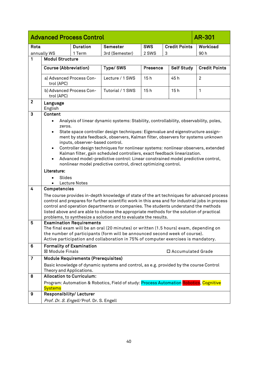<span id="page-39-0"></span>

|                | <b>Advanced Process Control</b><br><b>AR-301</b>                                                                                                                                                                                                                                                                                                                                                                                                                                                                                                                                                                                                                                                                                                                                                                                     |                                            |                                                                                                                                                                                                                                                                                                                                                         |            |                      |                      |
|----------------|--------------------------------------------------------------------------------------------------------------------------------------------------------------------------------------------------------------------------------------------------------------------------------------------------------------------------------------------------------------------------------------------------------------------------------------------------------------------------------------------------------------------------------------------------------------------------------------------------------------------------------------------------------------------------------------------------------------------------------------------------------------------------------------------------------------------------------------|--------------------------------------------|---------------------------------------------------------------------------------------------------------------------------------------------------------------------------------------------------------------------------------------------------------------------------------------------------------------------------------------------------------|------------|----------------------|----------------------|
| Rota           |                                                                                                                                                                                                                                                                                                                                                                                                                                                                                                                                                                                                                                                                                                                                                                                                                                      | <b>Duration</b>                            | <b>Semester</b>                                                                                                                                                                                                                                                                                                                                         | <b>SWS</b> | <b>Credit Points</b> | Workload             |
|                | annually WS                                                                                                                                                                                                                                                                                                                                                                                                                                                                                                                                                                                                                                                                                                                                                                                                                          | 1 Term                                     | 3rd (Semester)                                                                                                                                                                                                                                                                                                                                          | 2 SWS      | 3                    | 90h                  |
| 1              | <b>Modul Structure</b>                                                                                                                                                                                                                                                                                                                                                                                                                                                                                                                                                                                                                                                                                                                                                                                                               |                                            |                                                                                                                                                                                                                                                                                                                                                         |            |                      |                      |
|                | <b>Course (Abbreviation)</b>                                                                                                                                                                                                                                                                                                                                                                                                                                                                                                                                                                                                                                                                                                                                                                                                         |                                            | Type/SWS                                                                                                                                                                                                                                                                                                                                                | Presence   | <b>Self Study</b>    | <b>Credit Points</b> |
|                | a) Advanced Process Con-<br>trol (APC)                                                                                                                                                                                                                                                                                                                                                                                                                                                                                                                                                                                                                                                                                                                                                                                               |                                            | Lecture / 1 SWS                                                                                                                                                                                                                                                                                                                                         | 15h        | 45 h                 | $\overline{2}$       |
|                | b) Advanced Process Con-<br>trol (APC)                                                                                                                                                                                                                                                                                                                                                                                                                                                                                                                                                                                                                                                                                                                                                                                               |                                            | Tutorial / 1 SWS                                                                                                                                                                                                                                                                                                                                        | 15h        | 15h                  | 1                    |
| $\mathbf{2}$   | Language<br>English                                                                                                                                                                                                                                                                                                                                                                                                                                                                                                                                                                                                                                                                                                                                                                                                                  |                                            |                                                                                                                                                                                                                                                                                                                                                         |            |                      |                      |
| $\mathbf{3}$   | Content                                                                                                                                                                                                                                                                                                                                                                                                                                                                                                                                                                                                                                                                                                                                                                                                                              |                                            |                                                                                                                                                                                                                                                                                                                                                         |            |                      |                      |
| 4              | Analysis of linear dynamic systems: Stability, controllability, observability, poles,<br>zeros.<br>State space controller design techniques: Eigenvalue and eigenstructure assign-<br>$\bullet$<br>ment by state feedback, observers, Kalman filter, observers for systems unknown<br>inputs, observer-based control.<br>Controller design techniques for nonlinear systems: nonlinear observers, extended<br>$\bullet$<br>Kalman filter, gain scheduled controllers, exact feedback linearization.<br>Advanced model-predictive control: Linear constrained model predictive control,<br>$\bullet$<br>nonlinear model predictive control, direct optimizing control.<br>Literature:<br>Slides<br><b>Lecture Notes</b><br>Competencies<br>The course provides in-depth knowledge of state of the art techniques for advanced process |                                            |                                                                                                                                                                                                                                                                                                                                                         |            |                      |                      |
|                |                                                                                                                                                                                                                                                                                                                                                                                                                                                                                                                                                                                                                                                                                                                                                                                                                                      |                                            | control and prepares for further scientific work in this area and for industrial jobs in process<br>control and operation departments or companies. The students understand the methods<br>listed above and are able to choose the appropriate methods for the solution of practical<br>problems, to synthesize a solution and to evaluate the results. |            |                      |                      |
| 5              |                                                                                                                                                                                                                                                                                                                                                                                                                                                                                                                                                                                                                                                                                                                                                                                                                                      | <b>Examination Requirements</b>            |                                                                                                                                                                                                                                                                                                                                                         |            |                      |                      |
|                |                                                                                                                                                                                                                                                                                                                                                                                                                                                                                                                                                                                                                                                                                                                                                                                                                                      |                                            | The final exam will be an oral (20 minutes) or written (1.5 hours) exam, depending on<br>the number of participants (form will be announced second week of course).<br>Active participation and collaboration in 75% of computer exercises is mandatory.                                                                                                |            |                      |                      |
| 6              | <b>Formality of Examination</b><br>⊠ Module Finals                                                                                                                                                                                                                                                                                                                                                                                                                                                                                                                                                                                                                                                                                                                                                                                   |                                            |                                                                                                                                                                                                                                                                                                                                                         |            |                      |                      |
|                |                                                                                                                                                                                                                                                                                                                                                                                                                                                                                                                                                                                                                                                                                                                                                                                                                                      |                                            |                                                                                                                                                                                                                                                                                                                                                         |            | □ Accumulated Grade  |                      |
| $\overline{7}$ |                                                                                                                                                                                                                                                                                                                                                                                                                                                                                                                                                                                                                                                                                                                                                                                                                                      | <b>Module Requirements (Prerequisites)</b> |                                                                                                                                                                                                                                                                                                                                                         |            |                      |                      |
|                | Theory and Applications.                                                                                                                                                                                                                                                                                                                                                                                                                                                                                                                                                                                                                                                                                                                                                                                                             |                                            | Basic knowledge of dynamic systems and control, as e.g. provided by the course Control                                                                                                                                                                                                                                                                  |            |                      |                      |
| 8              | <b>Allocation to Curriculum:</b>                                                                                                                                                                                                                                                                                                                                                                                                                                                                                                                                                                                                                                                                                                                                                                                                     |                                            |                                                                                                                                                                                                                                                                                                                                                         |            |                      |                      |
|                | <b>Systems</b>                                                                                                                                                                                                                                                                                                                                                                                                                                                                                                                                                                                                                                                                                                                                                                                                                       |                                            | Program: Automation & Robotics, Field of study: Process Automation Robotics, Cognitive                                                                                                                                                                                                                                                                  |            |                      |                      |
| 9              | Responsibility/Lecturer                                                                                                                                                                                                                                                                                                                                                                                                                                                                                                                                                                                                                                                                                                                                                                                                              |                                            |                                                                                                                                                                                                                                                                                                                                                         |            |                      |                      |
|                |                                                                                                                                                                                                                                                                                                                                                                                                                                                                                                                                                                                                                                                                                                                                                                                                                                      | Prof. Dr. S. Engell/Prof. Dr. S. Engell    |                                                                                                                                                                                                                                                                                                                                                         |            |                      |                      |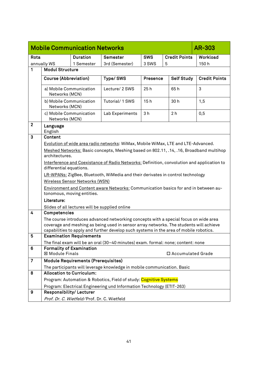<span id="page-40-0"></span>

|              | <b>Mobile Communication Networks</b>               | <b>AR-303</b>                                  |                                                                                                                                                                                                                                                                          |                 |                      |                      |
|--------------|----------------------------------------------------|------------------------------------------------|--------------------------------------------------------------------------------------------------------------------------------------------------------------------------------------------------------------------------------------------------------------------------|-----------------|----------------------|----------------------|
| Rota         |                                                    | <b>Duration</b>                                | <b>Semester</b>                                                                                                                                                                                                                                                          | <b>SWS</b>      | <b>Credit Points</b> | Workload             |
|              | annually WS                                        | 1 Semester                                     | 3rd (Semester)                                                                                                                                                                                                                                                           | 3 SWS           | 5                    | 150h                 |
| 1            | <b>Modul Structure</b>                             |                                                |                                                                                                                                                                                                                                                                          |                 |                      |                      |
|              | <b>Course (Abbreviation)</b>                       |                                                | Type/SWS                                                                                                                                                                                                                                                                 | <b>Presence</b> | <b>Self Study</b>    | <b>Credit Points</b> |
|              | a) Mobile Communication<br>Networks (MCN)          |                                                | Lecture/ 2 SWS                                                                                                                                                                                                                                                           | 25h             | 65h                  | 3                    |
|              | b) Mobile Communication<br>Networks (MCN)          |                                                | Tutorial/1 SWS                                                                                                                                                                                                                                                           | 15h             | 30h                  | 1,5                  |
|              | c) Mobile Communication<br>Networks (MCN)          |                                                | Lab Experiments                                                                                                                                                                                                                                                          | 3 <sub>h</sub>  | 2 <sub>h</sub>       | 0,5                  |
| $\mathbf{2}$ | Language<br>English                                |                                                |                                                                                                                                                                                                                                                                          |                 |                      |                      |
| 3            | Content                                            |                                                |                                                                                                                                                                                                                                                                          |                 |                      |                      |
|              |                                                    |                                                | Evolution of wide area radio networks: WiMax, Mobile WiMax, LTE and LTE-Advanced.                                                                                                                                                                                        |                 |                      |                      |
|              | architectures.                                     |                                                | Meshed Networks: Basic concepts, Meshing based on 802.11, .14, .16, Broadband multihop                                                                                                                                                                                   |                 |                      |                      |
|              |                                                    |                                                | Interference and Coexistance of Radio Networks: Definition, convolution and application to                                                                                                                                                                               |                 |                      |                      |
|              | differential equations.                            |                                                |                                                                                                                                                                                                                                                                          |                 |                      |                      |
|              |                                                    |                                                | LR-WPANs: ZigBee, Bluetooth, WiMedia and their derivates in control technology                                                                                                                                                                                           |                 |                      |                      |
|              |                                                    | Wireless Sensor Networks (WSN)                 |                                                                                                                                                                                                                                                                          |                 |                      |                      |
|              |                                                    | tonomous, moving entities.                     | Environment and Content aware Networks: Communication basics for and in between au-                                                                                                                                                                                      |                 |                      |                      |
|              | Literature:                                        |                                                |                                                                                                                                                                                                                                                                          |                 |                      |                      |
|              |                                                    | Slides of all lectures will be supplied online |                                                                                                                                                                                                                                                                          |                 |                      |                      |
| 4            | Competencies                                       |                                                |                                                                                                                                                                                                                                                                          |                 |                      |                      |
|              |                                                    |                                                | The course introduces advanced networking concepts with a special focus on wide area<br>coverage and meshing as being used in sensor array networks. The students will achieve<br>capabilities to apply and further develop such systems in the area of mobile robotics. |                 |                      |                      |
| 5            |                                                    | <b>Examination Requirements</b>                |                                                                                                                                                                                                                                                                          |                 |                      |                      |
|              |                                                    |                                                | The final exam will be an oral (30-40 minutes) exam. formal: none; content: none                                                                                                                                                                                         |                 |                      |                      |
| 6            | <b>Formality of Examination</b><br>⊠ Module Finals |                                                |                                                                                                                                                                                                                                                                          |                 | □ Accumulated Grade  |                      |
| 7            |                                                    | <b>Module Requirements (Prerequisites)</b>     |                                                                                                                                                                                                                                                                          |                 |                      |                      |
|              |                                                    |                                                | The participants will leverage knowledge in mobile communication. Basic                                                                                                                                                                                                  |                 |                      |                      |
| 8            | <b>Allocation to Curriculum:</b>                   |                                                |                                                                                                                                                                                                                                                                          |                 |                      |                      |
|              |                                                    |                                                | Program: Automation & Robotics, Field of study: Cognitive Systems                                                                                                                                                                                                        |                 |                      |                      |
| 9            | Responsibility/ Lecturer                           |                                                | Program: Electrical Engineering und Information Technology (ETIT-263)                                                                                                                                                                                                    |                 |                      |                      |
|              |                                                    | Prof. Dr. C. Wietfeld/Prof. Dr. C. Wietfeld    |                                                                                                                                                                                                                                                                          |                 |                      |                      |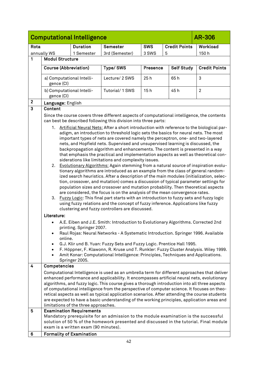<span id="page-41-0"></span>

|                         | <b>Computational Intelligence</b><br><b>AR-306</b>                                                                                                                                                                                                                                                                                                                                                                                                                                                                                                                                                                                                                                                                                                                                                                                                                                                                                                                                                                                                                                                                                                                                                                                                                                                                                                                                                                                                                                                                                                                                                                                                                                                                                                                                                                                           |                                                                         |                                                                                                                                                                               |                 |                      |                      |  |
|-------------------------|----------------------------------------------------------------------------------------------------------------------------------------------------------------------------------------------------------------------------------------------------------------------------------------------------------------------------------------------------------------------------------------------------------------------------------------------------------------------------------------------------------------------------------------------------------------------------------------------------------------------------------------------------------------------------------------------------------------------------------------------------------------------------------------------------------------------------------------------------------------------------------------------------------------------------------------------------------------------------------------------------------------------------------------------------------------------------------------------------------------------------------------------------------------------------------------------------------------------------------------------------------------------------------------------------------------------------------------------------------------------------------------------------------------------------------------------------------------------------------------------------------------------------------------------------------------------------------------------------------------------------------------------------------------------------------------------------------------------------------------------------------------------------------------------------------------------------------------------|-------------------------------------------------------------------------|-------------------------------------------------------------------------------------------------------------------------------------------------------------------------------|-----------------|----------------------|----------------------|--|
| Rota                    |                                                                                                                                                                                                                                                                                                                                                                                                                                                                                                                                                                                                                                                                                                                                                                                                                                                                                                                                                                                                                                                                                                                                                                                                                                                                                                                                                                                                                                                                                                                                                                                                                                                                                                                                                                                                                                              | <b>Duration</b>                                                         | <b>Semester</b>                                                                                                                                                               | <b>SWS</b>      | <b>Credit Points</b> | Workload             |  |
|                         | annually WS                                                                                                                                                                                                                                                                                                                                                                                                                                                                                                                                                                                                                                                                                                                                                                                                                                                                                                                                                                                                                                                                                                                                                                                                                                                                                                                                                                                                                                                                                                                                                                                                                                                                                                                                                                                                                                  | 1 Semester                                                              | 3rd (Semester)                                                                                                                                                                | 3 SWS           | 5                    | 150h                 |  |
| 1                       | <b>Modul Structure</b>                                                                                                                                                                                                                                                                                                                                                                                                                                                                                                                                                                                                                                                                                                                                                                                                                                                                                                                                                                                                                                                                                                                                                                                                                                                                                                                                                                                                                                                                                                                                                                                                                                                                                                                                                                                                                       |                                                                         |                                                                                                                                                                               |                 |                      |                      |  |
|                         | <b>Course (Abbreviation)</b>                                                                                                                                                                                                                                                                                                                                                                                                                                                                                                                                                                                                                                                                                                                                                                                                                                                                                                                                                                                                                                                                                                                                                                                                                                                                                                                                                                                                                                                                                                                                                                                                                                                                                                                                                                                                                 |                                                                         | Type/SWS                                                                                                                                                                      | <b>Presence</b> | <b>Self Study</b>    | <b>Credit Points</b> |  |
|                         | a) Computational Intelli-<br>gence (CI)                                                                                                                                                                                                                                                                                                                                                                                                                                                                                                                                                                                                                                                                                                                                                                                                                                                                                                                                                                                                                                                                                                                                                                                                                                                                                                                                                                                                                                                                                                                                                                                                                                                                                                                                                                                                      |                                                                         | Lecture/ 2 SWS                                                                                                                                                                | 25h             | 65h                  | 3                    |  |
|                         | b) Computational Intelli-<br>gence (CI)                                                                                                                                                                                                                                                                                                                                                                                                                                                                                                                                                                                                                                                                                                                                                                                                                                                                                                                                                                                                                                                                                                                                                                                                                                                                                                                                                                                                                                                                                                                                                                                                                                                                                                                                                                                                      |                                                                         | Tutorial/ 1 SWS                                                                                                                                                               | 15h             | 45h                  | $\overline{2}$       |  |
| $\mathbf{2}$            | Language: English                                                                                                                                                                                                                                                                                                                                                                                                                                                                                                                                                                                                                                                                                                                                                                                                                                                                                                                                                                                                                                                                                                                                                                                                                                                                                                                                                                                                                                                                                                                                                                                                                                                                                                                                                                                                                            |                                                                         |                                                                                                                                                                               |                 |                      |                      |  |
| $\overline{\mathbf{3}}$ | Content                                                                                                                                                                                                                                                                                                                                                                                                                                                                                                                                                                                                                                                                                                                                                                                                                                                                                                                                                                                                                                                                                                                                                                                                                                                                                                                                                                                                                                                                                                                                                                                                                                                                                                                                                                                                                                      |                                                                         |                                                                                                                                                                               |                 |                      |                      |  |
|                         | Since the course covers three different aspects of computational intelligence, the contents<br>can best be described following this division into three parts:<br>1. Artificial Neural Nets: After a short introduction with reference to the biological par-<br>adigm, an introduction to threshold logic sets the basics for neural nets. The most<br>important types of nets are covered namely the perceptron, one- and two-layered<br>nets, and Hopfield nets. Supervised and unsupervised learning is discussed, the<br>backpropagation algorithm and enhancements. The content is presented in a way<br>that emphasis the practical and implementation aspects as well as theoretical con-<br>siderations like limitations and complexity issues.<br>2. Evolutionary Algorithms: Again stemming from a natural source of inspiration evolu-<br>tionary algorithms are introduced as an example from the class of general random-<br>ized search heuristics. After a description of the main modules (initialization, selec-<br>tion, crossover, and mutation) comes a discussion of typical parameter settings for<br>population sizes and crossover and mutation probability. Then theoretical aspects<br>are considered, the focus is on the analysis of the mean convergence rates.<br>3. Fuzzy Logic: This final part starts with an introduction to fuzzy sets and fuzzy logic<br>using fuzzy relations and the concept of fuzzy inference. Applications like fuzzy<br>clustering and fuzzy controllers are discussed.<br>Literature:<br>A.E. Eiben and J.E. Smith: Introduction to Evolutionary Algorithms. Corrected 2nd<br>printing. Springer 2007.<br>Raul Rojas: Neural Networks - A Systematic Introduction. Springer 1996. Available<br>online.<br>G.J. Klir und B. Yuan: Fuzzy Sets and Fuzzy Logic. Prentice Hall 1995. |                                                                         |                                                                                                                                                                               |                 |                      |                      |  |
|                         |                                                                                                                                                                                                                                                                                                                                                                                                                                                                                                                                                                                                                                                                                                                                                                                                                                                                                                                                                                                                                                                                                                                                                                                                                                                                                                                                                                                                                                                                                                                                                                                                                                                                                                                                                                                                                                              |                                                                         | Amit Konar: Computational Intelligence: Principles, Techniques and Applications.                                                                                              |                 |                      |                      |  |
| 4                       | Competencies                                                                                                                                                                                                                                                                                                                                                                                                                                                                                                                                                                                                                                                                                                                                                                                                                                                                                                                                                                                                                                                                                                                                                                                                                                                                                                                                                                                                                                                                                                                                                                                                                                                                                                                                                                                                                                 | Springer 2005.                                                          |                                                                                                                                                                               |                 |                      |                      |  |
|                         | Computational Intelligence is used as an umbrella term for different approaches that deliver<br>enhanced performance and applicability. It encompasses artificial neural nets, evolutionary<br>algorithms, and fuzzy logic. This course gives a thorough introduction into all three aspects<br>of computational intelligence from the perspective of computer science. It focuses on theo-<br>retical aspects as well as typical application scenarios. After attending the course students<br>are expected to have a basic understanding of the working principles, application areas and<br>limitations of the three approaches.                                                                                                                                                                                                                                                                                                                                                                                                                                                                                                                                                                                                                                                                                                                                                                                                                                                                                                                                                                                                                                                                                                                                                                                                          |                                                                         |                                                                                                                                                                               |                 |                      |                      |  |
| 5                       |                                                                                                                                                                                                                                                                                                                                                                                                                                                                                                                                                                                                                                                                                                                                                                                                                                                                                                                                                                                                                                                                                                                                                                                                                                                                                                                                                                                                                                                                                                                                                                                                                                                                                                                                                                                                                                              | <b>Examination Requirements</b><br>exam is a written exam (90 minutes). | Mandatory prerequisite for an admission to the module examination is the successful<br>solution of 50 % of the homework presented and discussed in the tutorial. Final module |                 |                      |                      |  |
| 6                       | <b>Formality of Examination</b>                                                                                                                                                                                                                                                                                                                                                                                                                                                                                                                                                                                                                                                                                                                                                                                                                                                                                                                                                                                                                                                                                                                                                                                                                                                                                                                                                                                                                                                                                                                                                                                                                                                                                                                                                                                                              |                                                                         |                                                                                                                                                                               |                 |                      |                      |  |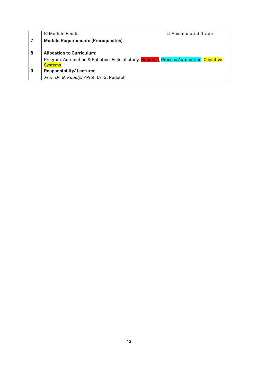|   | ⊠ Module Finals                                                                         | $\Box$ Accumulated Grade |
|---|-----------------------------------------------------------------------------------------|--------------------------|
|   | <b>Module Requirements (Prerequisites)</b>                                              |                          |
|   |                                                                                         |                          |
| 8 | <b>Allocation to Curriculum:</b>                                                        |                          |
|   | Program: Automation & Robotics, Field of study: Robotics, Process Automation, Cognitive |                          |
|   | <b>Systems</b>                                                                          |                          |
| 9 | <b>Responsibility/Lecturer</b>                                                          |                          |
|   | Prof. Dr. G. Rudolph/Prof. Dr. G. Rudolph                                               |                          |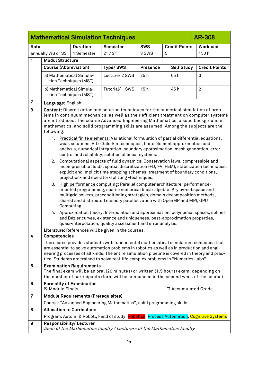<span id="page-43-0"></span>

|                 |                                                                                                                                                                                                                                                                                                                                                                                                                                                                                                                                                                                                                                                                                                                                                                                                                                                                                                                                                                                                                                                                                                                                                                                                                                                                                                                                                                                                                                                                                                                                                      |                                                  | <b>Mathematical Simulation Techniques</b>                                                                                                                                                                                                                                                                                                                                  |          |                      | <b>AR-308</b>        |
|-----------------|------------------------------------------------------------------------------------------------------------------------------------------------------------------------------------------------------------------------------------------------------------------------------------------------------------------------------------------------------------------------------------------------------------------------------------------------------------------------------------------------------------------------------------------------------------------------------------------------------------------------------------------------------------------------------------------------------------------------------------------------------------------------------------------------------------------------------------------------------------------------------------------------------------------------------------------------------------------------------------------------------------------------------------------------------------------------------------------------------------------------------------------------------------------------------------------------------------------------------------------------------------------------------------------------------------------------------------------------------------------------------------------------------------------------------------------------------------------------------------------------------------------------------------------------------|--------------------------------------------------|----------------------------------------------------------------------------------------------------------------------------------------------------------------------------------------------------------------------------------------------------------------------------------------------------------------------------------------------------------------------------|----------|----------------------|----------------------|
| Rota            | <b>Duration</b><br>Semester<br><b>SWS</b>                                                                                                                                                                                                                                                                                                                                                                                                                                                                                                                                                                                                                                                                                                                                                                                                                                                                                                                                                                                                                                                                                                                                                                                                                                                                                                                                                                                                                                                                                                            |                                                  |                                                                                                                                                                                                                                                                                                                                                                            |          | <b>Credit Points</b> | Workload             |
|                 | 2 <sup>nd</sup> /3 <sup>rd</sup><br>3 SWS<br>5<br>annually WS or SS<br>1 Semester                                                                                                                                                                                                                                                                                                                                                                                                                                                                                                                                                                                                                                                                                                                                                                                                                                                                                                                                                                                                                                                                                                                                                                                                                                                                                                                                                                                                                                                                    |                                                  |                                                                                                                                                                                                                                                                                                                                                                            |          |                      | 150h                 |
| $\mathbf{1}$    | <b>Modul Structure</b>                                                                                                                                                                                                                                                                                                                                                                                                                                                                                                                                                                                                                                                                                                                                                                                                                                                                                                                                                                                                                                                                                                                                                                                                                                                                                                                                                                                                                                                                                                                               |                                                  |                                                                                                                                                                                                                                                                                                                                                                            |          |                      |                      |
|                 |                                                                                                                                                                                                                                                                                                                                                                                                                                                                                                                                                                                                                                                                                                                                                                                                                                                                                                                                                                                                                                                                                                                                                                                                                                                                                                                                                                                                                                                                                                                                                      | <b>Course (Abbreviation)</b>                     | Type/SWS                                                                                                                                                                                                                                                                                                                                                                   | Presence | <b>Self Study</b>    | <b>Credit Points</b> |
|                 |                                                                                                                                                                                                                                                                                                                                                                                                                                                                                                                                                                                                                                                                                                                                                                                                                                                                                                                                                                                                                                                                                                                                                                                                                                                                                                                                                                                                                                                                                                                                                      | a) Mathematical Simula-<br>tion Techniques (MST) | Lecture/ 2 SWS                                                                                                                                                                                                                                                                                                                                                             | 25h      | 65h                  | 3                    |
|                 |                                                                                                                                                                                                                                                                                                                                                                                                                                                                                                                                                                                                                                                                                                                                                                                                                                                                                                                                                                                                                                                                                                                                                                                                                                                                                                                                                                                                                                                                                                                                                      | b) Mathematical Simula-<br>tion Techniques (MST) | Tutorial/ 1 SWS                                                                                                                                                                                                                                                                                                                                                            | 15h      | 45h                  | $\overline{2}$       |
| $\overline{2}$  |                                                                                                                                                                                                                                                                                                                                                                                                                                                                                                                                                                                                                                                                                                                                                                                                                                                                                                                                                                                                                                                                                                                                                                                                                                                                                                                                                                                                                                                                                                                                                      |                                                  |                                                                                                                                                                                                                                                                                                                                                                            |          |                      |                      |
| 3               | Language: English<br>Content: Discretization and solution techniques for the numerical simulation of prob-<br>lems in continuum mechanics, as well as their efficient treatment on computer systems<br>are introduced. The course Advanced Engineering Mathematics, a solid background in<br>mathematics, and solid programming skills are assumed. Among the subjects are the<br>following:<br>1. Practical finite elements: Variational formulation of partial differential equations,<br>weak solutions, Ritz-Galerkin techniques, finite element approximation and<br>analysis, numerical integration, boundary approximation, mesh generation, error<br>control and reliability, solution of linear systems.<br>Computational aspects of fluid dynamics: Conservation laws, compressible and<br>2.<br>incompressible fluids, spatial discretization (FD, FV, FEM), stabilization techniques,<br>explicit and implicit time stepping schemes, treatment of boundary conditions,<br>projection- and operator-splitting-techniques.<br>High performance computing: Parallel computer architecture, performance-<br>3.<br>oriented programming, sparse numerical linear algebra, Krylov-subspace and<br>multigrid solvers, preconditioning strategies, domain decomposition methods,<br>shared and distributed memory parallelization with OpenMP and MPI, GPU<br>Computing.<br>4. Approximation theory: Interpolation and approximation, polynomial spaces, splines<br>and Bézier curves, existence and uniqueness, best-approximation properties, |                                                  |                                                                                                                                                                                                                                                                                                                                                                            |          |                      |                      |
|                 |                                                                                                                                                                                                                                                                                                                                                                                                                                                                                                                                                                                                                                                                                                                                                                                                                                                                                                                                                                                                                                                                                                                                                                                                                                                                                                                                                                                                                                                                                                                                                      |                                                  | quasi-interpolation, quality assessment and error analysis.<br>Literature: References will be given in the courses.                                                                                                                                                                                                                                                        |          |                      |                      |
| $\overline{4}$  | Competencies                                                                                                                                                                                                                                                                                                                                                                                                                                                                                                                                                                                                                                                                                                                                                                                                                                                                                                                                                                                                                                                                                                                                                                                                                                                                                                                                                                                                                                                                                                                                         |                                                  |                                                                                                                                                                                                                                                                                                                                                                            |          |                      |                      |
|                 |                                                                                                                                                                                                                                                                                                                                                                                                                                                                                                                                                                                                                                                                                                                                                                                                                                                                                                                                                                                                                                                                                                                                                                                                                                                                                                                                                                                                                                                                                                                                                      |                                                  | This course provides students with fundamental mathematical simulation techniques that<br>are essential to solve automation problems in robotics as well as in production and engi-<br>neering processes of all kinds. The entire simulation pipeline is covered in theory and prac-<br>tice. Students are trained to solve real-life complex problems in "Numerics Labs". |          |                      |                      |
| 5               |                                                                                                                                                                                                                                                                                                                                                                                                                                                                                                                                                                                                                                                                                                                                                                                                                                                                                                                                                                                                                                                                                                                                                                                                                                                                                                                                                                                                                                                                                                                                                      | <b>Examination Requirements</b>                  | The final exam will be an oral (20 minutes) or written (1.5 hours) exam, depending on<br>the number of participants (form will be announced in the second week of the course).                                                                                                                                                                                             |          |                      |                      |
| $6\phantom{1}6$ | ⊠ Module Finals                                                                                                                                                                                                                                                                                                                                                                                                                                                                                                                                                                                                                                                                                                                                                                                                                                                                                                                                                                                                                                                                                                                                                                                                                                                                                                                                                                                                                                                                                                                                      | <b>Formality of Examination</b>                  |                                                                                                                                                                                                                                                                                                                                                                            |          | □ Accumulated Grade  |                      |
| $\overline{7}$  |                                                                                                                                                                                                                                                                                                                                                                                                                                                                                                                                                                                                                                                                                                                                                                                                                                                                                                                                                                                                                                                                                                                                                                                                                                                                                                                                                                                                                                                                                                                                                      | <b>Module Requirements (Prerequisites)</b>       |                                                                                                                                                                                                                                                                                                                                                                            |          |                      |                      |
|                 |                                                                                                                                                                                                                                                                                                                                                                                                                                                                                                                                                                                                                                                                                                                                                                                                                                                                                                                                                                                                                                                                                                                                                                                                                                                                                                                                                                                                                                                                                                                                                      |                                                  | Course: "Advanced Engineering Mathematics", solid programming skills                                                                                                                                                                                                                                                                                                       |          |                      |                      |
| 8               |                                                                                                                                                                                                                                                                                                                                                                                                                                                                                                                                                                                                                                                                                                                                                                                                                                                                                                                                                                                                                                                                                                                                                                                                                                                                                                                                                                                                                                                                                                                                                      | <b>Allocation to Curriculum:</b>                 |                                                                                                                                                                                                                                                                                                                                                                            |          |                      |                      |
|                 |                                                                                                                                                                                                                                                                                                                                                                                                                                                                                                                                                                                                                                                                                                                                                                                                                                                                                                                                                                                                                                                                                                                                                                                                                                                                                                                                                                                                                                                                                                                                                      |                                                  | Program: Autom. & Robot., Field of study: Robotics, Process Automation, Cognitive Systems                                                                                                                                                                                                                                                                                  |          |                      |                      |
| 9               |                                                                                                                                                                                                                                                                                                                                                                                                                                                                                                                                                                                                                                                                                                                                                                                                                                                                                                                                                                                                                                                                                                                                                                                                                                                                                                                                                                                                                                                                                                                                                      | Responsibility/Lecturer                          | Dean of the Mathematics faculty / Lecturers of the Mathematics faculty                                                                                                                                                                                                                                                                                                     |          |                      |                      |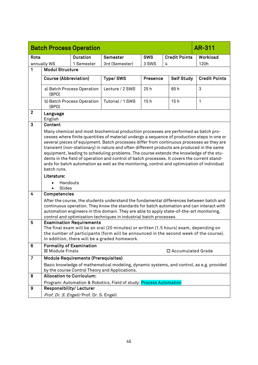<span id="page-44-0"></span>

|                |                                                                                                                                                                                                                                                                                                                                                                                                                                                                                                                                                                                                                                                                                        | <b>Batch Process Operation</b>             |                                                                                          |            |                      | AR-311               |
|----------------|----------------------------------------------------------------------------------------------------------------------------------------------------------------------------------------------------------------------------------------------------------------------------------------------------------------------------------------------------------------------------------------------------------------------------------------------------------------------------------------------------------------------------------------------------------------------------------------------------------------------------------------------------------------------------------------|--------------------------------------------|------------------------------------------------------------------------------------------|------------|----------------------|----------------------|
| Rota           |                                                                                                                                                                                                                                                                                                                                                                                                                                                                                                                                                                                                                                                                                        | <b>Duration</b>                            | <b>Semester</b>                                                                          | <b>SWS</b> | <b>Credit Points</b> | Workload             |
|                | annually WS                                                                                                                                                                                                                                                                                                                                                                                                                                                                                                                                                                                                                                                                            | 1 Semester                                 | 3rd (Semester)                                                                           | 3 SWS      | 4                    | 120h                 |
| 1              | <b>Modul Structure</b>                                                                                                                                                                                                                                                                                                                                                                                                                                                                                                                                                                                                                                                                 |                                            |                                                                                          |            |                      |                      |
|                | <b>Course (Abbreviation)</b>                                                                                                                                                                                                                                                                                                                                                                                                                                                                                                                                                                                                                                                           |                                            | Type/SWS                                                                                 | Presence   | <b>Self Study</b>    | <b>Credit Points</b> |
|                |                                                                                                                                                                                                                                                                                                                                                                                                                                                                                                                                                                                                                                                                                        |                                            |                                                                                          |            |                      |                      |
|                | (BPO)                                                                                                                                                                                                                                                                                                                                                                                                                                                                                                                                                                                                                                                                                  | a) Batch Process Operation                 | Lecture / 2 SWS                                                                          | 25h        | 65h                  | 3                    |
|                | (BPO)                                                                                                                                                                                                                                                                                                                                                                                                                                                                                                                                                                                                                                                                                  | b) Batch Process Operation                 | Tutorial / 1 SWS                                                                         | 15h        | 15h                  | 1                    |
| $\mathbf{2}$   | Language<br>English                                                                                                                                                                                                                                                                                                                                                                                                                                                                                                                                                                                                                                                                    |                                            |                                                                                          |            |                      |                      |
| 3              | Content                                                                                                                                                                                                                                                                                                                                                                                                                                                                                                                                                                                                                                                                                |                                            |                                                                                          |            |                      |                      |
|                | Many chemical and most biochemical production processes are performed as batch pro-<br>cesses where finite quantities of material undergo a sequence of production steps in one or<br>several pieces of equipment. Batch processes differ from continuous processes as they are<br>transient (non-stationary) in nature and often different products are produced in the same<br>equipment, leading to scheduling problems. The course extends the knowledge of the stu-<br>dents in the field of operation and control of batch processes. It covers the current stand-<br>ards for batch automation as well as the monitoring, control and optimization of individual<br>batch runs. |                                            |                                                                                          |            |                      |                      |
|                | Literature:                                                                                                                                                                                                                                                                                                                                                                                                                                                                                                                                                                                                                                                                            |                                            |                                                                                          |            |                      |                      |
|                | Handouts<br>Slides                                                                                                                                                                                                                                                                                                                                                                                                                                                                                                                                                                                                                                                                     |                                            |                                                                                          |            |                      |                      |
| 4              | Competencies                                                                                                                                                                                                                                                                                                                                                                                                                                                                                                                                                                                                                                                                           |                                            |                                                                                          |            |                      |                      |
|                | After the course, the students understand the fundamental differences between batch and<br>continuous operation. They know the standards for batch automation and can interact with<br>automation engineers in this domain. They are able to apply state-of-the-art monitoring,<br>control and optimization techniques in industrial batch processes.                                                                                                                                                                                                                                                                                                                                  |                                            |                                                                                          |            |                      |                      |
| $5\phantom{1}$ | <b>Examination Requirements</b><br>The final exam will be an oral (20 minutes) or written (1.5 hours) exam, depending on<br>the number of participants (form will be announced in the second week of the course).<br>In addition, there will be a graded homework.                                                                                                                                                                                                                                                                                                                                                                                                                     |                                            |                                                                                          |            |                      |                      |
| 6              | <b>Formality of Examination</b><br><b>⊠ Module Finals</b><br>□ Accumulated Grade                                                                                                                                                                                                                                                                                                                                                                                                                                                                                                                                                                                                       |                                            |                                                                                          |            |                      |                      |
| 7              |                                                                                                                                                                                                                                                                                                                                                                                                                                                                                                                                                                                                                                                                                        | <b>Module Requirements (Prerequisites)</b> |                                                                                          |            |                      |                      |
|                |                                                                                                                                                                                                                                                                                                                                                                                                                                                                                                                                                                                                                                                                                        |                                            | Basic knowledge of mathematical modeling, dynamic systems, and control, as e.g. provided |            |                      |                      |
|                | <b>Allocation to Curriculum:</b>                                                                                                                                                                                                                                                                                                                                                                                                                                                                                                                                                                                                                                                       |                                            | by the course Control Theory and Applications.                                           |            |                      |                      |
| 8              |                                                                                                                                                                                                                                                                                                                                                                                                                                                                                                                                                                                                                                                                                        |                                            | Program: Automation & Robotics, Field of study: Process Automation                       |            |                      |                      |
| 9              | Responsibility/Lecturer                                                                                                                                                                                                                                                                                                                                                                                                                                                                                                                                                                                                                                                                |                                            |                                                                                          |            |                      |                      |
|                |                                                                                                                                                                                                                                                                                                                                                                                                                                                                                                                                                                                                                                                                                        | Prof. Dr. S. Engell/Prof. Dr. S. Engell    |                                                                                          |            |                      |                      |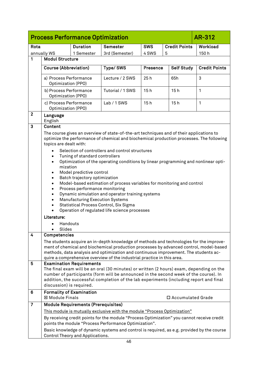<span id="page-45-0"></span>

|                | <b>Process Performance Optimization</b><br>AR-312                                                                                                                                                                                                                                                                                                                                                                                                                                                                                                                                                                                                                                                                                                                                                                                                                                |                                            |                                                                                                                                                                                                                                                                           |                 |                     |                      |  |
|----------------|----------------------------------------------------------------------------------------------------------------------------------------------------------------------------------------------------------------------------------------------------------------------------------------------------------------------------------------------------------------------------------------------------------------------------------------------------------------------------------------------------------------------------------------------------------------------------------------------------------------------------------------------------------------------------------------------------------------------------------------------------------------------------------------------------------------------------------------------------------------------------------|--------------------------------------------|---------------------------------------------------------------------------------------------------------------------------------------------------------------------------------------------------------------------------------------------------------------------------|-----------------|---------------------|----------------------|--|
| Rota           | <b>Duration</b><br><b>SWS</b><br><b>Credit Points</b><br><b>Semester</b>                                                                                                                                                                                                                                                                                                                                                                                                                                                                                                                                                                                                                                                                                                                                                                                                         |                                            | Workload                                                                                                                                                                                                                                                                  |                 |                     |                      |  |
|                | annually WS                                                                                                                                                                                                                                                                                                                                                                                                                                                                                                                                                                                                                                                                                                                                                                                                                                                                      | 1 Semester                                 | 3rd (Semester)                                                                                                                                                                                                                                                            | 4 SWS           | 5                   | 150h                 |  |
| 1              | <b>Modul Structure</b>                                                                                                                                                                                                                                                                                                                                                                                                                                                                                                                                                                                                                                                                                                                                                                                                                                                           |                                            |                                                                                                                                                                                                                                                                           |                 |                     |                      |  |
|                | <b>Course (Abbreviation)</b>                                                                                                                                                                                                                                                                                                                                                                                                                                                                                                                                                                                                                                                                                                                                                                                                                                                     |                                            | Type/SWS                                                                                                                                                                                                                                                                  | <b>Presence</b> | <b>Self Study</b>   | <b>Credit Points</b> |  |
|                | a) Process Performance<br>Optimization (PPO)                                                                                                                                                                                                                                                                                                                                                                                                                                                                                                                                                                                                                                                                                                                                                                                                                                     |                                            | Lecture / 2 SWS                                                                                                                                                                                                                                                           | 25h             | 65h                 | 3                    |  |
|                | b) Process Performance<br>Optimization (PPO)                                                                                                                                                                                                                                                                                                                                                                                                                                                                                                                                                                                                                                                                                                                                                                                                                                     |                                            | Tutorial / 1 SWS                                                                                                                                                                                                                                                          | 15h             | 15h                 | 1                    |  |
|                | c) Process Performance<br>Optimization (PPO)                                                                                                                                                                                                                                                                                                                                                                                                                                                                                                                                                                                                                                                                                                                                                                                                                                     |                                            | Lab / 1 SWS                                                                                                                                                                                                                                                               | 15h             | 15h                 | 1                    |  |
| $\overline{2}$ | Language<br>English                                                                                                                                                                                                                                                                                                                                                                                                                                                                                                                                                                                                                                                                                                                                                                                                                                                              |                                            |                                                                                                                                                                                                                                                                           |                 |                     |                      |  |
| 3              | Content                                                                                                                                                                                                                                                                                                                                                                                                                                                                                                                                                                                                                                                                                                                                                                                                                                                                          |                                            |                                                                                                                                                                                                                                                                           |                 |                     |                      |  |
|                | The course gives an overview of state-of-the-art techniques and of their applications to<br>optimize the performance of chemical and biochemical production processes. The following<br>topics are dealt with:<br>Selection of controllers and control structures<br>Tuning of standard controllers<br>Optimization of the operating conditions by linear programming and nonlinear opti-<br>$\bullet$<br>mization<br>Model predictive control<br>$\bullet$<br>Batch trajectory optimization<br>$\bullet$<br>Model-based estimation of process variables for monitoring and control<br>$\bullet$<br>Process performance monitoring<br>$\bullet$<br>Dynamic simulation and operator training systems<br>$\bullet$<br><b>Manufacturing Execution Systems</b><br>Statistical Process Control, Six Sigma<br>Operation of regulated life science processes<br>Literature:<br>Handouts |                                            |                                                                                                                                                                                                                                                                           |                 |                     |                      |  |
| $\overline{4}$ | Slides<br>Competencies                                                                                                                                                                                                                                                                                                                                                                                                                                                                                                                                                                                                                                                                                                                                                                                                                                                           |                                            |                                                                                                                                                                                                                                                                           |                 |                     |                      |  |
|                |                                                                                                                                                                                                                                                                                                                                                                                                                                                                                                                                                                                                                                                                                                                                                                                                                                                                                  |                                            | The students acquire an in-depth knowledge of methods and technologies for the improve-<br>ment of chemical and biochemical production processes by advanced control, model-based<br>methods, data analysis and optimization and continuous improvement. The students ac- |                 |                     |                      |  |
| $5\phantom{1}$ | quire a comprehensive overview of the industrial practice in this area.<br><b>Examination Requirements</b><br>The final exam will be an oral (30 minutes) or written (2 hours) exam, depending on the<br>number of participants (form will be announced in the second week of the course). In<br>addition, the successful completion of the lab experiments (including report and final<br>discussion) is required.                                                                                                                                                                                                                                                                                                                                                                                                                                                              |                                            |                                                                                                                                                                                                                                                                           |                 |                     |                      |  |
| 6              | <b>Formality of Examination</b><br><b>⊠ Module Finals</b>                                                                                                                                                                                                                                                                                                                                                                                                                                                                                                                                                                                                                                                                                                                                                                                                                        |                                            |                                                                                                                                                                                                                                                                           |                 | □ Accumulated Grade |                      |  |
| $\overline{7}$ |                                                                                                                                                                                                                                                                                                                                                                                                                                                                                                                                                                                                                                                                                                                                                                                                                                                                                  | <b>Module Requirements (Prerequisites)</b> |                                                                                                                                                                                                                                                                           |                 |                     |                      |  |
|                |                                                                                                                                                                                                                                                                                                                                                                                                                                                                                                                                                                                                                                                                                                                                                                                                                                                                                  |                                            | This module is mutually exclusive with the module "Process Optimization"                                                                                                                                                                                                  |                 |                     |                      |  |
|                |                                                                                                                                                                                                                                                                                                                                                                                                                                                                                                                                                                                                                                                                                                                                                                                                                                                                                  |                                            | By receiving credit points for the module "Process Optimization" you cannot receive credit<br>points the module "Process Performance Optimization".                                                                                                                       |                 |                     |                      |  |
|                |                                                                                                                                                                                                                                                                                                                                                                                                                                                                                                                                                                                                                                                                                                                                                                                                                                                                                  | Control Theory and Applications.           | Basic knowledge of dynamic systems and control is required, as e.g. provided by the course                                                                                                                                                                                |                 |                     |                      |  |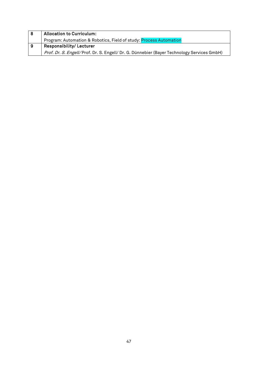|     | <b>Allocation to Curriculum:</b>                                                           |
|-----|--------------------------------------------------------------------------------------------|
|     | Program: Automation & Robotics, Field of study: Process Automation                         |
| - 9 | <b>Responsibility/Lecturer</b>                                                             |
|     | Prof. Dr. S. Engell/Prof. Dr. S. Engell/ Dr. G. Dünnebier (Bayer Technology Services GmbH) |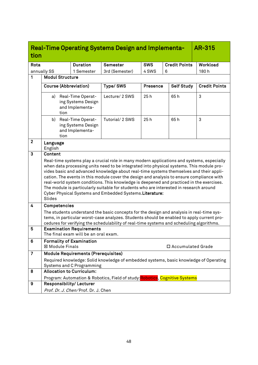<span id="page-47-0"></span>

| tion           |                                                                                                                                                                                                                                                                                                                                                                                                                                                                                                                                                                                                                                          |      |                                                                         | <b>Real-Time Operating Systems Design and Implementa-</b>                             |            |   |                      | <b>AR-315</b>        |
|----------------|------------------------------------------------------------------------------------------------------------------------------------------------------------------------------------------------------------------------------------------------------------------------------------------------------------------------------------------------------------------------------------------------------------------------------------------------------------------------------------------------------------------------------------------------------------------------------------------------------------------------------------------|------|-------------------------------------------------------------------------|---------------------------------------------------------------------------------------|------------|---|----------------------|----------------------|
| Rota           |                                                                                                                                                                                                                                                                                                                                                                                                                                                                                                                                                                                                                                          |      | <b>Duration</b>                                                         | Semester                                                                              | <b>SWS</b> |   | <b>Credit Points</b> | Workload             |
|                | annually SS                                                                                                                                                                                                                                                                                                                                                                                                                                                                                                                                                                                                                              |      | 1 Semester                                                              | 3rd (Semester)                                                                        | 4 SWS      | 6 |                      | 180h                 |
| 1              | <b>Modul Structure</b>                                                                                                                                                                                                                                                                                                                                                                                                                                                                                                                                                                                                                   |      |                                                                         |                                                                                       |            |   |                      |                      |
|                |                                                                                                                                                                                                                                                                                                                                                                                                                                                                                                                                                                                                                                          |      | <b>Course (Abbreviation)</b>                                            | Type/SWS                                                                              | Presence   |   | <b>Self Study</b>    | <b>Credit Points</b> |
|                | a)                                                                                                                                                                                                                                                                                                                                                                                                                                                                                                                                                                                                                                       | tion | Real-Time Operat-<br>ing Systems Design<br>and Implementa-              | Lecture/ 2 SWS                                                                        | 25h        |   | 65h                  | 3                    |
|                |                                                                                                                                                                                                                                                                                                                                                                                                                                                                                                                                                                                                                                          | tion | b) Real-Time Operat-<br>ing Systems Design<br>and Implementa-           | Tutorial/ 2 SWS                                                                       | 25h        |   | 65h                  | 3                    |
| $\mathbf{2}$   | Language<br>English                                                                                                                                                                                                                                                                                                                                                                                                                                                                                                                                                                                                                      |      |                                                                         |                                                                                       |            |   |                      |                      |
| $\mathbf{3}$   | Content                                                                                                                                                                                                                                                                                                                                                                                                                                                                                                                                                                                                                                  |      |                                                                         |                                                                                       |            |   |                      |                      |
|                | Real-time systems play a crucial role in many modern applications and systems, especially<br>when data processing units need to be integrated into physical systems. This module pro-<br>vides basic and advanced knowledge about real-time systems themselves and their appli-<br>cation. The events in this module cover the design and analysis to ensure compliance with<br>real-world system conditions. This knowledge is deepened and practiced in the exercises.<br>The module is particularly suitable for students who are interested in research around<br>Cyber Physical Systems and Embedded Systems. Literature:<br>Slides |      |                                                                         |                                                                                       |            |   |                      |                      |
| 4              | Competencies                                                                                                                                                                                                                                                                                                                                                                                                                                                                                                                                                                                                                             |      |                                                                         |                                                                                       |            |   |                      |                      |
|                | The students understand the basic concepts for the design and analysis in real-time sys-<br>tems, in particular worst-case analyzes. Students should be enabled to apply current pro-<br>cedures for verifying the schedulability of real-time systems and scheduling algorithms.                                                                                                                                                                                                                                                                                                                                                        |      |                                                                         |                                                                                       |            |   |                      |                      |
| 5              |                                                                                                                                                                                                                                                                                                                                                                                                                                                                                                                                                                                                                                          |      | <b>Examination Requirements</b><br>The final exam will be an oral exam. |                                                                                       |            |   |                      |                      |
| 6              | <b>⊠ Module Finals</b>                                                                                                                                                                                                                                                                                                                                                                                                                                                                                                                                                                                                                   |      | <b>Formality of Examination</b>                                         |                                                                                       |            |   | □ Accumulated Grade  |                      |
| $\overline{7}$ |                                                                                                                                                                                                                                                                                                                                                                                                                                                                                                                                                                                                                                          |      | <b>Module Requirements (Prerequisites)</b>                              |                                                                                       |            |   |                      |                      |
|                |                                                                                                                                                                                                                                                                                                                                                                                                                                                                                                                                                                                                                                          |      |                                                                         | Required knowledge: Solid knowledge of embedded systems, basic knowledge of Operating |            |   |                      |                      |
| 8              |                                                                                                                                                                                                                                                                                                                                                                                                                                                                                                                                                                                                                                          |      | <b>Systems and C Programming</b><br><b>Allocation to Curriculum:</b>    |                                                                                       |            |   |                      |                      |
|                |                                                                                                                                                                                                                                                                                                                                                                                                                                                                                                                                                                                                                                          |      |                                                                         | Program: Automation & Robotics, Field of study: Robotics, Cognitive Systems           |            |   |                      |                      |
| 9              |                                                                                                                                                                                                                                                                                                                                                                                                                                                                                                                                                                                                                                          |      | Responsibility/Lecturer                                                 |                                                                                       |            |   |                      |                      |
|                |                                                                                                                                                                                                                                                                                                                                                                                                                                                                                                                                                                                                                                          |      | Prof. Dr. J. Chen/Prof. Dr. J. Chen                                     |                                                                                       |            |   |                      |                      |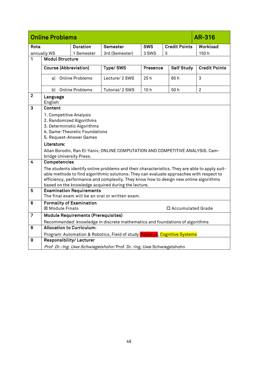<span id="page-48-0"></span>

|                  | <b>Online Problems</b>                                                                                                                                                                                                                                                                                                                    |                                            |                                                                                           |                 |                      | <b>AR-316</b>        |
|------------------|-------------------------------------------------------------------------------------------------------------------------------------------------------------------------------------------------------------------------------------------------------------------------------------------------------------------------------------------|--------------------------------------------|-------------------------------------------------------------------------------------------|-----------------|----------------------|----------------------|
| Rota             |                                                                                                                                                                                                                                                                                                                                           | <b>Duration</b>                            | <b>Semester</b>                                                                           | <b>SWS</b>      | <b>Credit Points</b> | Workload             |
|                  | annually WS                                                                                                                                                                                                                                                                                                                               | 1 Semester                                 | 3rd (Semester)                                                                            | 3 SWS           | 5                    | 150h                 |
| 1                | <b>Modul Structure</b>                                                                                                                                                                                                                                                                                                                    |                                            |                                                                                           |                 |                      |                      |
|                  | <b>Course (Abbreviation)</b>                                                                                                                                                                                                                                                                                                              |                                            | Type/SWS                                                                                  | <b>Presence</b> | <b>Self Study</b>    | <b>Credit Points</b> |
|                  | a)                                                                                                                                                                                                                                                                                                                                        | <b>Online Problems</b>                     | Lecture/ 2 SWS                                                                            | 25 h            | 65 h                 | 3                    |
|                  | b)                                                                                                                                                                                                                                                                                                                                        | <b>Online Problems</b>                     | Tutorial/ 2 SWS                                                                           | 10 <sub>h</sub> | 50 h                 | $\overline{2}$       |
| $\mathbf{2}$     | Language<br>English                                                                                                                                                                                                                                                                                                                       |                                            |                                                                                           |                 |                      |                      |
| $\overline{3}$   | Content                                                                                                                                                                                                                                                                                                                                   |                                            |                                                                                           |                 |                      |                      |
|                  | 1. Competitive Analysis                                                                                                                                                                                                                                                                                                                   |                                            |                                                                                           |                 |                      |                      |
|                  | 2. Randomized Algorithms                                                                                                                                                                                                                                                                                                                  | 3. Deterministic Algorithms                |                                                                                           |                 |                      |                      |
|                  |                                                                                                                                                                                                                                                                                                                                           | 4. Game-Theoretic Foundations              |                                                                                           |                 |                      |                      |
|                  | 5. Request-Answer Games                                                                                                                                                                                                                                                                                                                   |                                            |                                                                                           |                 |                      |                      |
|                  | Literature:                                                                                                                                                                                                                                                                                                                               |                                            |                                                                                           |                 |                      |                      |
|                  | bridge University Press.                                                                                                                                                                                                                                                                                                                  |                                            | Allan Borodin, Ran El-Yaniv, ONLINE COMPUTATION AND COMPETITIVE ANALYSIS. Cam-            |                 |                      |                      |
| 4                | Competencies                                                                                                                                                                                                                                                                                                                              |                                            |                                                                                           |                 |                      |                      |
|                  | The students identify online problems and their characteristics. They are able to apply suit-<br>able methods to find algorithmic solutions. They can evaluate approaches with respect to<br>efficiency, performance and complexity. They know how to design new online algorithms<br>based on the knowledge acquired during the lecture. |                                            |                                                                                           |                 |                      |                      |
| $5\phantom{1}$   | <b>Examination Requirements</b><br>The final exam will be an oral or written exam.                                                                                                                                                                                                                                                        |                                            |                                                                                           |                 |                      |                      |
| $6\phantom{1}$   | <b>Formality of Examination</b><br>⊠ Module Finals                                                                                                                                                                                                                                                                                        |                                            |                                                                                           |                 | □ Accumulated Grade  |                      |
| $\overline{7}$   |                                                                                                                                                                                                                                                                                                                                           | <b>Module Requirements (Prerequisites)</b> |                                                                                           |                 |                      |                      |
|                  |                                                                                                                                                                                                                                                                                                                                           |                                            | Recommended: knowledge in discrete mathematics and foundations of algorithms              |                 |                      |                      |
| 8                | <b>Allocation to Curriculum:</b>                                                                                                                                                                                                                                                                                                          |                                            |                                                                                           |                 |                      |                      |
|                  |                                                                                                                                                                                                                                                                                                                                           |                                            | Program: Automation & Robotics, Field of study: <mark>Robotics</mark> , Cognitive Systems |                 |                      |                      |
| $\boldsymbol{9}$ | Responsibility/ Lecturer                                                                                                                                                                                                                                                                                                                  |                                            |                                                                                           |                 |                      |                      |
|                  | Prof. Dr.-Ing. Uwe Schwiegelshohn/Prof. Dr.-Ing. Uwe Schwiegelshohn                                                                                                                                                                                                                                                                       |                                            |                                                                                           |                 |                      |                      |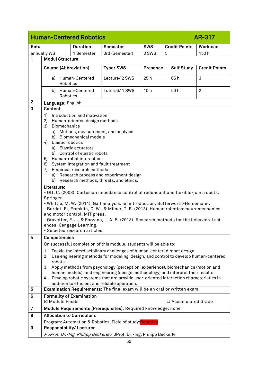<span id="page-49-0"></span>

|                | <b>Human-Centered Robotics</b><br>AR-317                                                                                                                                                                                                                                                                                                                                                                                                                                                                                                                                                                                                                                                                                                                                                                                                                                                                                                             |                                                                      |                                                                                                                                                                                                                                                               |                 |                     |                      |  |
|----------------|------------------------------------------------------------------------------------------------------------------------------------------------------------------------------------------------------------------------------------------------------------------------------------------------------------------------------------------------------------------------------------------------------------------------------------------------------------------------------------------------------------------------------------------------------------------------------------------------------------------------------------------------------------------------------------------------------------------------------------------------------------------------------------------------------------------------------------------------------------------------------------------------------------------------------------------------------|----------------------------------------------------------------------|---------------------------------------------------------------------------------------------------------------------------------------------------------------------------------------------------------------------------------------------------------------|-----------------|---------------------|----------------------|--|
| Rota           | <b>SWS</b><br><b>Duration</b><br><b>Semester</b>                                                                                                                                                                                                                                                                                                                                                                                                                                                                                                                                                                                                                                                                                                                                                                                                                                                                                                     |                                                                      | <b>Credit Points</b>                                                                                                                                                                                                                                          | Workload        |                     |                      |  |
|                | annually WS                                                                                                                                                                                                                                                                                                                                                                                                                                                                                                                                                                                                                                                                                                                                                                                                                                                                                                                                          | 1 Semester                                                           | 3rd (Semester)                                                                                                                                                                                                                                                | 3 SWS           | 5                   | 150h                 |  |
| 1              | <b>Modul Structure</b>                                                                                                                                                                                                                                                                                                                                                                                                                                                                                                                                                                                                                                                                                                                                                                                                                                                                                                                               |                                                                      |                                                                                                                                                                                                                                                               |                 |                     |                      |  |
|                | <b>Course (Abbreviation)</b>                                                                                                                                                                                                                                                                                                                                                                                                                                                                                                                                                                                                                                                                                                                                                                                                                                                                                                                         |                                                                      | Type/SWS                                                                                                                                                                                                                                                      | <b>Presence</b> | <b>Self Study</b>   | <b>Credit Points</b> |  |
|                | a)<br>Robotics                                                                                                                                                                                                                                                                                                                                                                                                                                                                                                                                                                                                                                                                                                                                                                                                                                                                                                                                       | Human-Centered                                                       | Lecture/ 2 SWS                                                                                                                                                                                                                                                | 25h             | 65h                 | 3                    |  |
|                | b)<br>Robotics                                                                                                                                                                                                                                                                                                                                                                                                                                                                                                                                                                                                                                                                                                                                                                                                                                                                                                                                       | Human-Centered                                                       | Tutorial/ 1 SWS                                                                                                                                                                                                                                               | 10 <sub>h</sub> | 50h                 | $\overline{2}$       |  |
| $\mathbf{2}$   | Language: English                                                                                                                                                                                                                                                                                                                                                                                                                                                                                                                                                                                                                                                                                                                                                                                                                                                                                                                                    |                                                                      |                                                                                                                                                                                                                                                               |                 |                     |                      |  |
| 3              | Content                                                                                                                                                                                                                                                                                                                                                                                                                                                                                                                                                                                                                                                                                                                                                                                                                                                                                                                                              |                                                                      |                                                                                                                                                                                                                                                               |                 |                     |                      |  |
|                | Introduction and motivation<br>1)<br>2)<br>Human-oriented design methods<br>3)<br><b>Biomechanics</b><br>a) Motions, measurement, and analysis<br><b>Biomechanical models</b><br>b)<br>Elastic robotics<br>4)<br>a) Elastic actuators<br>b) Control of elastic robots<br>5)<br>Human-robot interaction<br>6)<br>System integration and fault treatment<br>Empirical research methods<br>7)<br>Research process and experiment design<br>a)<br>b)<br>Research methods, threats, and ethics.<br>Literature:<br>- Ott, C. (2008). Cartesian impedance control of redundant and flexible-joint robots.<br>Springer.<br>- Whittle, M. W. (2014). Gait analysis: an introduction. Butterworth-Heinemann.<br>- Burdet, E., Franklin, D. W., & Milner, T. E. (2013). Human robotics: neuromechanics<br>and motor control. MIT press.<br>- Gravetter, F. J., & Forzano, L. A. B. (2018). Research methods for the behavioral sci-<br>ences. Cengage Learning. |                                                                      |                                                                                                                                                                                                                                                               |                 |                     |                      |  |
| 4              | Competencies                                                                                                                                                                                                                                                                                                                                                                                                                                                                                                                                                                                                                                                                                                                                                                                                                                                                                                                                         | - Selected research articles.                                        |                                                                                                                                                                                                                                                               |                 |                     |                      |  |
|                |                                                                                                                                                                                                                                                                                                                                                                                                                                                                                                                                                                                                                                                                                                                                                                                                                                                                                                                                                      |                                                                      | On successful completion of this module, students will be able to:                                                                                                                                                                                            |                 |                     |                      |  |
|                | 1.<br>2.<br>robots.                                                                                                                                                                                                                                                                                                                                                                                                                                                                                                                                                                                                                                                                                                                                                                                                                                                                                                                                  |                                                                      | Tackle the interdisciplinary challenges of human-centered robot design.<br>Use engineering methods for modeling, design, and control to develop human-centered                                                                                                |                 |                     |                      |  |
|                | 3.<br>4.                                                                                                                                                                                                                                                                                                                                                                                                                                                                                                                                                                                                                                                                                                                                                                                                                                                                                                                                             |                                                                      | Apply methods from psychology (perception, experience), biomechanics (motion and<br>human models), and engineering (design methodology) and interpret their results.<br>Develop robotic systems that are provide user-oriented interaction characteristics in |                 |                     |                      |  |
|                |                                                                                                                                                                                                                                                                                                                                                                                                                                                                                                                                                                                                                                                                                                                                                                                                                                                                                                                                                      |                                                                      | addition to efficient and reliable operation.                                                                                                                                                                                                                 |                 |                     |                      |  |
| 5              |                                                                                                                                                                                                                                                                                                                                                                                                                                                                                                                                                                                                                                                                                                                                                                                                                                                                                                                                                      |                                                                      | Examination Requirements: The final exam will be an oral or written exam.                                                                                                                                                                                     |                 |                     |                      |  |
| 6              | <b>Formality of Examination</b><br>⊠ Module Finals                                                                                                                                                                                                                                                                                                                                                                                                                                                                                                                                                                                                                                                                                                                                                                                                                                                                                                   |                                                                      |                                                                                                                                                                                                                                                               |                 | □ Accumulated Grade |                      |  |
| $\overline{7}$ |                                                                                                                                                                                                                                                                                                                                                                                                                                                                                                                                                                                                                                                                                                                                                                                                                                                                                                                                                      |                                                                      | Module Requirements (Prerequisites): Required knowledge: none                                                                                                                                                                                                 |                 |                     |                      |  |
| 8              | <b>Allocation to Curriculum:</b>                                                                                                                                                                                                                                                                                                                                                                                                                                                                                                                                                                                                                                                                                                                                                                                                                                                                                                                     |                                                                      |                                                                                                                                                                                                                                                               |                 |                     |                      |  |
|                |                                                                                                                                                                                                                                                                                                                                                                                                                                                                                                                                                                                                                                                                                                                                                                                                                                                                                                                                                      |                                                                      | Program: Automation & Robotics, Field of study: Robotics                                                                                                                                                                                                      |                 |                     |                      |  |
| 9              | Responsibility/Lecturer                                                                                                                                                                                                                                                                                                                                                                                                                                                                                                                                                                                                                                                                                                                                                                                                                                                                                                                              |                                                                      |                                                                                                                                                                                                                                                               |                 |                     |                      |  |
|                |                                                                                                                                                                                                                                                                                                                                                                                                                                                                                                                                                                                                                                                                                                                                                                                                                                                                                                                                                      | PJProf. Dr.-Ing. Philipp Beckerle / JProf. Dr.-Ing. Philipp Beckerle |                                                                                                                                                                                                                                                               |                 |                     |                      |  |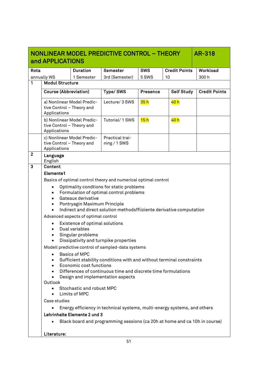<span id="page-50-0"></span>

|              | NONLINEAR MODEL PREDICTIVE CONTROL - THEORY<br><b>AR-318</b><br>and APPLICATIONS                                                                                                                                                                                                                                                                                                                                                                                                                                                                                                                                                                                                                                                                                                                                                                                                                                                                                                                                                         |                                                                            |                                   |                 |                      |                      |  |
|--------------|------------------------------------------------------------------------------------------------------------------------------------------------------------------------------------------------------------------------------------------------------------------------------------------------------------------------------------------------------------------------------------------------------------------------------------------------------------------------------------------------------------------------------------------------------------------------------------------------------------------------------------------------------------------------------------------------------------------------------------------------------------------------------------------------------------------------------------------------------------------------------------------------------------------------------------------------------------------------------------------------------------------------------------------|----------------------------------------------------------------------------|-----------------------------------|-----------------|----------------------|----------------------|--|
| Rota         |                                                                                                                                                                                                                                                                                                                                                                                                                                                                                                                                                                                                                                                                                                                                                                                                                                                                                                                                                                                                                                          | <b>Duration</b>                                                            | Semester                          | <b>SWS</b>      | <b>Credit Points</b> | Workload             |  |
|              | annually WS                                                                                                                                                                                                                                                                                                                                                                                                                                                                                                                                                                                                                                                                                                                                                                                                                                                                                                                                                                                                                              | 1 Semester                                                                 | 3rd (Semester)                    | 5 SWS           | 10                   | 300h                 |  |
| 1            | <b>Modul Structure</b>                                                                                                                                                                                                                                                                                                                                                                                                                                                                                                                                                                                                                                                                                                                                                                                                                                                                                                                                                                                                                   |                                                                            |                                   |                 |                      |                      |  |
|              | <b>Course (Abbreviation)</b>                                                                                                                                                                                                                                                                                                                                                                                                                                                                                                                                                                                                                                                                                                                                                                                                                                                                                                                                                                                                             |                                                                            | Type/SWS                          | <b>Presence</b> | <b>Self Study</b>    | <b>Credit Points</b> |  |
|              | tive Control - Theory and<br>Applications                                                                                                                                                                                                                                                                                                                                                                                                                                                                                                                                                                                                                                                                                                                                                                                                                                                                                                                                                                                                | a) Nonlinear Model Predic-                                                 | Lecture/ 3 SWS                    | 35h             | 40 h                 |                      |  |
|              | tive Control - Theory and<br>Applications                                                                                                                                                                                                                                                                                                                                                                                                                                                                                                                                                                                                                                                                                                                                                                                                                                                                                                                                                                                                | b) Nonlinear Model Predic-                                                 | Tutorial/ 1 SWS                   | 15h             | 40 h                 |                      |  |
|              | c) Nonlinear Model Predic-<br>tive Control - Theory and<br>Applications                                                                                                                                                                                                                                                                                                                                                                                                                                                                                                                                                                                                                                                                                                                                                                                                                                                                                                                                                                  |                                                                            | Practical trai-<br>$ning / 1$ SWS |                 |                      |                      |  |
| $\mathbf{2}$ | Language<br>English                                                                                                                                                                                                                                                                                                                                                                                                                                                                                                                                                                                                                                                                                                                                                                                                                                                                                                                                                                                                                      |                                                                            |                                   |                 |                      |                      |  |
| 3            | Content                                                                                                                                                                                                                                                                                                                                                                                                                                                                                                                                                                                                                                                                                                                                                                                                                                                                                                                                                                                                                                  |                                                                            |                                   |                 |                      |                      |  |
|              | Elemente1<br>Basics of optimal control theory and numerical optimal control<br>Optimality condtions for static problems<br>$\bullet$<br>Formulation of optimal control problems<br>$\bullet$<br>Gateaux derivative<br>$\bullet$<br>Pontryagin Maximum Principle<br>$\bullet$<br>Indirect and direct solution methodsffiiziente derivative computation<br>$\bullet$<br>Advanced aspects of optimal control<br>Existence of optimal solutions<br>$\bullet$<br>Dual variables<br>$\bullet$<br>Singular problems<br>Dissipativity and turnpike properties<br>Modell predictive control of sampled-data systems<br><b>Basics of MPC</b><br>$\bullet$<br>Sufficient stability conditions with and without terminal constraints<br>Economic cost functions<br>$\bullet$<br>Differences of continuous time and discrete time formulations<br>Design and implementation aspects<br>$\bullet$<br>Outlook<br>Stochastic and robust MPC<br>Limits of MPC<br>Case studies<br>Energy efficiency in technical systems, multi-energy systems, and others |                                                                            |                                   |                 |                      |                      |  |
|              |                                                                                                                                                                                                                                                                                                                                                                                                                                                                                                                                                                                                                                                                                                                                                                                                                                                                                                                                                                                                                                          |                                                                            |                                   |                 |                      |                      |  |
|              | Literature:                                                                                                                                                                                                                                                                                                                                                                                                                                                                                                                                                                                                                                                                                                                                                                                                                                                                                                                                                                                                                              | Black board and programming sessions (ca 20h at home and ca 10h in course) |                                   |                 |                      |                      |  |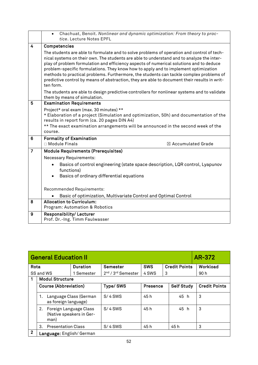|                | Chachuat, Benoit. Nonlinear and dynamic optimization: From theory to prac-<br>$\bullet$<br>tice. Lecture Notes EPFL                                                                                                                                                                                                                                                                                                                                                                                                                                                               |
|----------------|-----------------------------------------------------------------------------------------------------------------------------------------------------------------------------------------------------------------------------------------------------------------------------------------------------------------------------------------------------------------------------------------------------------------------------------------------------------------------------------------------------------------------------------------------------------------------------------|
| 4              | Competencies                                                                                                                                                                                                                                                                                                                                                                                                                                                                                                                                                                      |
|                | The students are able to formulate and to solve problems of operation and control of tech-<br>nical systems on their own. The students are able to understand and to analyze the inter-<br>play of problem formulation and efficiency aspects of numerical solutions and to deduce<br>problem-specific formulations. They know how to apply and to implement optimization<br>methods to practical problems. Furthermore, the students can tackle complex problems of<br>predictive control by means of abstraction, they are able to document their results in writ-<br>ten form. |
|                | The students are able to design predictive controllers for nonlinear systems and to validate<br>them by means of simulation.                                                                                                                                                                                                                                                                                                                                                                                                                                                      |
| 5              | <b>Examination Requirements</b>                                                                                                                                                                                                                                                                                                                                                                                                                                                                                                                                                   |
|                | Project* oral exam (max. 30 minutes) **                                                                                                                                                                                                                                                                                                                                                                                                                                                                                                                                           |
|                | * Elaboration of a project (Simulation and optimization, 50h) and documentation of the<br>results in report form (ca. 20 pages DIN A4)                                                                                                                                                                                                                                                                                                                                                                                                                                            |
|                | ** The exact examination arrangements will be announced in the second week of the                                                                                                                                                                                                                                                                                                                                                                                                                                                                                                 |
|                | course.                                                                                                                                                                                                                                                                                                                                                                                                                                                                                                                                                                           |
| 6              | <b>Formality of Examination</b>                                                                                                                                                                                                                                                                                                                                                                                                                                                                                                                                                   |
|                | $\Box$ Module Finals<br>$\boxtimes$ Accumulated Grade                                                                                                                                                                                                                                                                                                                                                                                                                                                                                                                             |
| $\overline{7}$ | <b>Module Requirements (Prerequisites)</b>                                                                                                                                                                                                                                                                                                                                                                                                                                                                                                                                        |
|                | <b>Necessary Requirements:</b>                                                                                                                                                                                                                                                                                                                                                                                                                                                                                                                                                    |
|                | Basics of control engineering (state space description, LQR control, Lyapunov<br>functions)                                                                                                                                                                                                                                                                                                                                                                                                                                                                                       |
|                | Basics of ordinary differential equations<br>$\bullet$                                                                                                                                                                                                                                                                                                                                                                                                                                                                                                                            |
|                | Recommended Requirements:                                                                                                                                                                                                                                                                                                                                                                                                                                                                                                                                                         |
|                | Basic of optimization, Multivariate Control and Optimal Control                                                                                                                                                                                                                                                                                                                                                                                                                                                                                                                   |
| 8              | <b>Allocation to Curriculum:</b>                                                                                                                                                                                                                                                                                                                                                                                                                                                                                                                                                  |
|                | Program: Automation & Robotics                                                                                                                                                                                                                                                                                                                                                                                                                                                                                                                                                    |
| 9              | <b>Responsibility/Lecturer</b><br>Prof. Dr.-Ing. Timm Faulwasser                                                                                                                                                                                                                                                                                                                                                                                                                                                                                                                  |

<span id="page-51-0"></span>

|              | <b>General Education II</b>          | AR-372                   |                                            |                 |                      |                      |
|--------------|--------------------------------------|--------------------------|--------------------------------------------|-----------------|----------------------|----------------------|
| Rota         |                                      | <b>Duration</b>          | <b>Semester</b>                            | <b>SWS</b>      | <b>Credit Points</b> | Workload             |
|              | SS and WS                            | 1 Semester               | 2 <sup>nd</sup> / 3 <sup>rd</sup> Semester | 4 SWS           | 3                    | 90 h                 |
|              | <b>Modul Structure</b>               |                          |                                            |                 |                      |                      |
|              | <b>Course (Abbreviation)</b>         |                          | <b>Type/SWS</b>                            | <b>Presence</b> | <b>Self Study</b>    | <b>Credit Points</b> |
|              | 1.<br>as foreign language)           | Language Class (German   | $S/4$ SWS                                  | 45 h            | 45 h                 | 3                    |
|              | Foreign Language Class<br>2.<br>man) | (Native speakers in Ger- | $S/4$ SWS                                  | 45 h            | 45 h                 | 3                    |
|              | 3.<br><b>Presentation Class</b>      |                          | $S/4$ SWS                                  | 45 h            | 45 h                 | 3                    |
| $\mathbf{2}$ | Language: English/German             |                          |                                            |                 |                      |                      |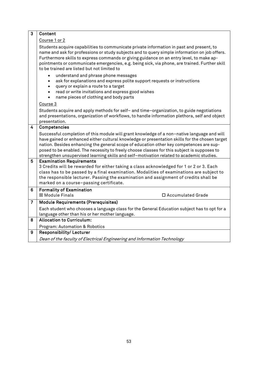| 3 | Content                                                                                                                                                                                                                                                                                                                                                                                                                                                                             |  |  |  |  |  |
|---|-------------------------------------------------------------------------------------------------------------------------------------------------------------------------------------------------------------------------------------------------------------------------------------------------------------------------------------------------------------------------------------------------------------------------------------------------------------------------------------|--|--|--|--|--|
|   | Course 1 or 2                                                                                                                                                                                                                                                                                                                                                                                                                                                                       |  |  |  |  |  |
|   | Students acquire capabilities to communicate private information in past and present, to<br>name and ask for professions or study subjects and to query simple information on job offers.<br>Furthermore skills to express commands or giving guidance on an entry level, to make ap-<br>pointments or communicate emergencies, e.g. being sick, via phone, are trained. Further skill<br>to be trained are listed but not limited to                                               |  |  |  |  |  |
|   | understand and phrase phone messages<br>ask for explanations and express polite support requests or instructions<br>$\bullet$<br>query or explain a route to a target<br>$\bullet$<br>read or write invitations and express good wishes<br>name pieces of clothing and body parts                                                                                                                                                                                                   |  |  |  |  |  |
|   | Course 3                                                                                                                                                                                                                                                                                                                                                                                                                                                                            |  |  |  |  |  |
|   | Students acquire and apply methods for self- and time-organization, to guide negotiations<br>and presentations, organization of workflows, to handle information plethora, self and object<br>presentation.                                                                                                                                                                                                                                                                         |  |  |  |  |  |
| 4 | Competencies                                                                                                                                                                                                                                                                                                                                                                                                                                                                        |  |  |  |  |  |
|   | Successful completion of this module will grant knowledge of a non-native language and will<br>have gained or enhanced either cultural knowledge or presentation skills for the chosen target<br>nation. Besides enhancing the general scope of education other key competences are sup-<br>posed to be enabled. The necessity to freely choose classes for this subject is supposes to<br>strengthen unsupervised learning skills and self-motivation related to academic studies. |  |  |  |  |  |
| 5 | <b>Examination Requirements</b><br>3 Credits will be rewarded for either taking a class acknowledged for 1 or 2 or 3. Each<br>class has to be passed by a final examination. Modalities of examinations are subject to<br>the responsible lecturer. Passing the examination and assignment of credits shall be<br>marked on a course-passing certificate.                                                                                                                           |  |  |  |  |  |
| 6 | <b>Formality of Examination</b><br>⊠ Module Finals<br>□ Accumulated Grade                                                                                                                                                                                                                                                                                                                                                                                                           |  |  |  |  |  |
| 7 | <b>Module Requirements (Prerequisites)</b>                                                                                                                                                                                                                                                                                                                                                                                                                                          |  |  |  |  |  |
|   | Each student who chooses a language class for the General Education subject has to opt for a<br>language other than his or her mother language.                                                                                                                                                                                                                                                                                                                                     |  |  |  |  |  |
| 8 | <b>Allocation to Curriculum:</b>                                                                                                                                                                                                                                                                                                                                                                                                                                                    |  |  |  |  |  |
|   | Program: Automation & Robotics                                                                                                                                                                                                                                                                                                                                                                                                                                                      |  |  |  |  |  |
| 9 | Responsibility/Lecturer                                                                                                                                                                                                                                                                                                                                                                                                                                                             |  |  |  |  |  |
|   | Dean of the faculty of Electrical Engineering and Information Technology                                                                                                                                                                                                                                                                                                                                                                                                            |  |  |  |  |  |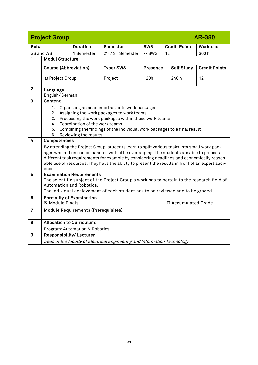<span id="page-53-0"></span>

| <b>Project Group</b> | <b>AR-380</b>                                                                                                                                                                                                                                                                                                                                                                                    |                 |                                            |            |                      |                      |  |  |  |  |
|----------------------|--------------------------------------------------------------------------------------------------------------------------------------------------------------------------------------------------------------------------------------------------------------------------------------------------------------------------------------------------------------------------------------------------|-----------------|--------------------------------------------|------------|----------------------|----------------------|--|--|--|--|
| Rota                 |                                                                                                                                                                                                                                                                                                                                                                                                  | <b>Duration</b> | <b>Semester</b>                            | <b>SWS</b> | <b>Credit Points</b> | Workload             |  |  |  |  |
| SS and WS            |                                                                                                                                                                                                                                                                                                                                                                                                  | 1 Semester      | 2 <sup>nd</sup> / 3 <sup>rd</sup> Semester | -- SWS     | 12                   | 360h                 |  |  |  |  |
| 1                    | <b>Modul Structure</b>                                                                                                                                                                                                                                                                                                                                                                           |                 |                                            |            |                      |                      |  |  |  |  |
|                      | <b>Course (Abbreviation)</b>                                                                                                                                                                                                                                                                                                                                                                     |                 | Type/SWS                                   | Presence   | <b>Self Study</b>    | <b>Credit Points</b> |  |  |  |  |
|                      | a) Project Group                                                                                                                                                                                                                                                                                                                                                                                 |                 | Project                                    | 120h       | 240 h                | 12                   |  |  |  |  |
| $\overline{2}$       | Language<br>English/German                                                                                                                                                                                                                                                                                                                                                                       |                 |                                            |            |                      |                      |  |  |  |  |
| 3                    | Content                                                                                                                                                                                                                                                                                                                                                                                          |                 |                                            |            |                      |                      |  |  |  |  |
|                      | 1. Organizing an academic task into work packages<br>2. Assigning the work packages to work teams<br>3. Processing the work packages within those work teams<br>4. Coordination of the work teams<br>Combining the findings of the individual work packages to a final result<br>5.<br>Reviewing the results<br>6.                                                                               |                 |                                            |            |                      |                      |  |  |  |  |
| 4                    | Competencies                                                                                                                                                                                                                                                                                                                                                                                     |                 |                                            |            |                      |                      |  |  |  |  |
|                      | By attending the Project Group, students learn to split various tasks into small work pack-<br>ages which then can be handled with little overlapping. The students are able to process<br>different task requirements for example by considering deadlines and economically reason-<br>able use of resources. They have the ability to present the results in front of an expert audi-<br>ence. |                 |                                            |            |                      |                      |  |  |  |  |
| 5                    | <b>Examination Requirements</b><br>The scientific subject of the Project Group's work has to pertain to the research field of<br>Automation and Robotics.<br>The individual achievement of each student has to be reviewed and to be graded.                                                                                                                                                     |                 |                                            |            |                      |                      |  |  |  |  |
| 6                    | <b>Formality of Examination</b>                                                                                                                                                                                                                                                                                                                                                                  |                 |                                            |            |                      |                      |  |  |  |  |
|                      | <b>⊠ Module Finals</b><br>□ Accumulated Grade                                                                                                                                                                                                                                                                                                                                                    |                 |                                            |            |                      |                      |  |  |  |  |
| $\overline{7}$       | <b>Module Requirements (Prerequisites)</b>                                                                                                                                                                                                                                                                                                                                                       |                 |                                            |            |                      |                      |  |  |  |  |
| 8                    | <b>Allocation to Curriculum:</b>                                                                                                                                                                                                                                                                                                                                                                 |                 |                                            |            |                      |                      |  |  |  |  |
|                      | Program: Automation & Robotics                                                                                                                                                                                                                                                                                                                                                                   |                 |                                            |            |                      |                      |  |  |  |  |
| 9                    | Responsibility/Lecturer                                                                                                                                                                                                                                                                                                                                                                          |                 |                                            |            |                      |                      |  |  |  |  |
|                      | Dean of the faculty of Electrical Engineering and Information Technology                                                                                                                                                                                                                                                                                                                         |                 |                                            |            |                      |                      |  |  |  |  |